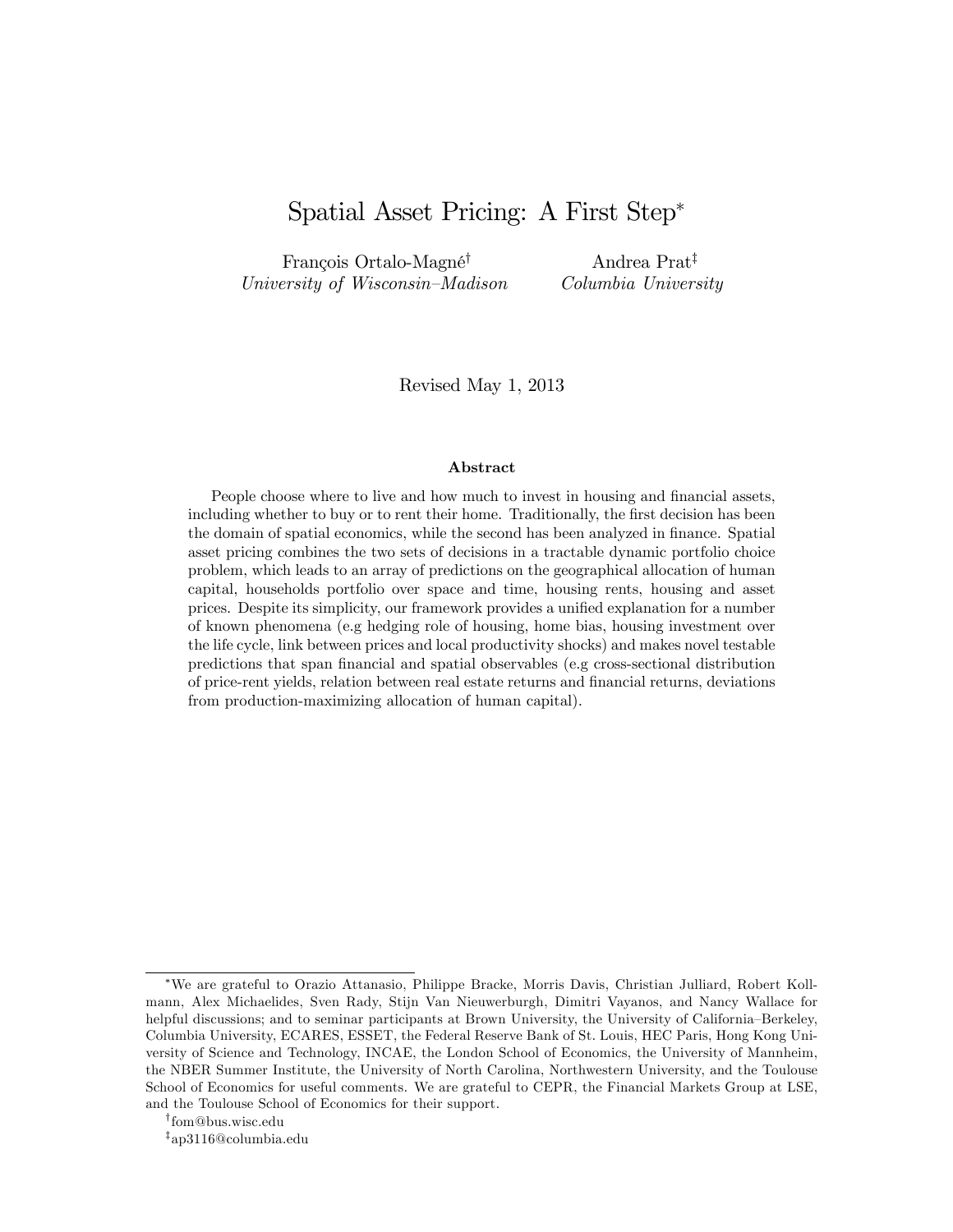# Spatial Asset Pricing: A First Step

François Ortalo-Magné<sup>†</sup> University of Wisconsin–Madison

Andrea Prat<sup>‡</sup> Columbia University

Revised May 1, 2013

#### Abstract

People choose where to live and how much to invest in housing and financial assets, including whether to buy or to rent their home. Traditionally, the first decision has been the domain of spatial economics, while the second has been analyzed in finance. Spatial asset pricing combines the two sets of decisions in a tractable dynamic portfolio choice problem, which leads to an array of predictions on the geographical allocation of human capital, households portfolio over space and time, housing rents, housing and asset prices. Despite its simplicity, our framework provides a unified explanation for a number of known phenomena (e.g hedging role of housing, home bias, housing investment over the life cycle, link between prices and local productivity shocks) and makes novel testable predictions that span Önancial and spatial observables (e.g cross-sectional distribution of price-rent yields, relation between real estate returns and Önancial returns, deviations from production-maximizing allocation of human capital).

We are grateful to Orazio Attanasio, Philippe Bracke, Morris Davis, Christian Julliard, Robert Kollmann, Alex Michaelides, Sven Rady, Stijn Van Nieuwerburgh, Dimitri Vayanos, and Nancy Wallace for helpful discussions; and to seminar participants at Brown University, the University of California–Berkeley, Columbia University, ECARES, ESSET, the Federal Reserve Bank of St. Louis, HEC Paris, Hong Kong University of Science and Technology, INCAE, the London School of Economics, the University of Mannheim, the NBER Summer Institute, the University of North Carolina, Northwestern University, and the Toulouse School of Economics for useful comments. We are grateful to CEPR, the Financial Markets Group at LSE, and the Toulouse School of Economics for their support.

<sup>&</sup>lt;sup>†</sup>fom@bus.wisc.edu

z ap3116@columbia.edu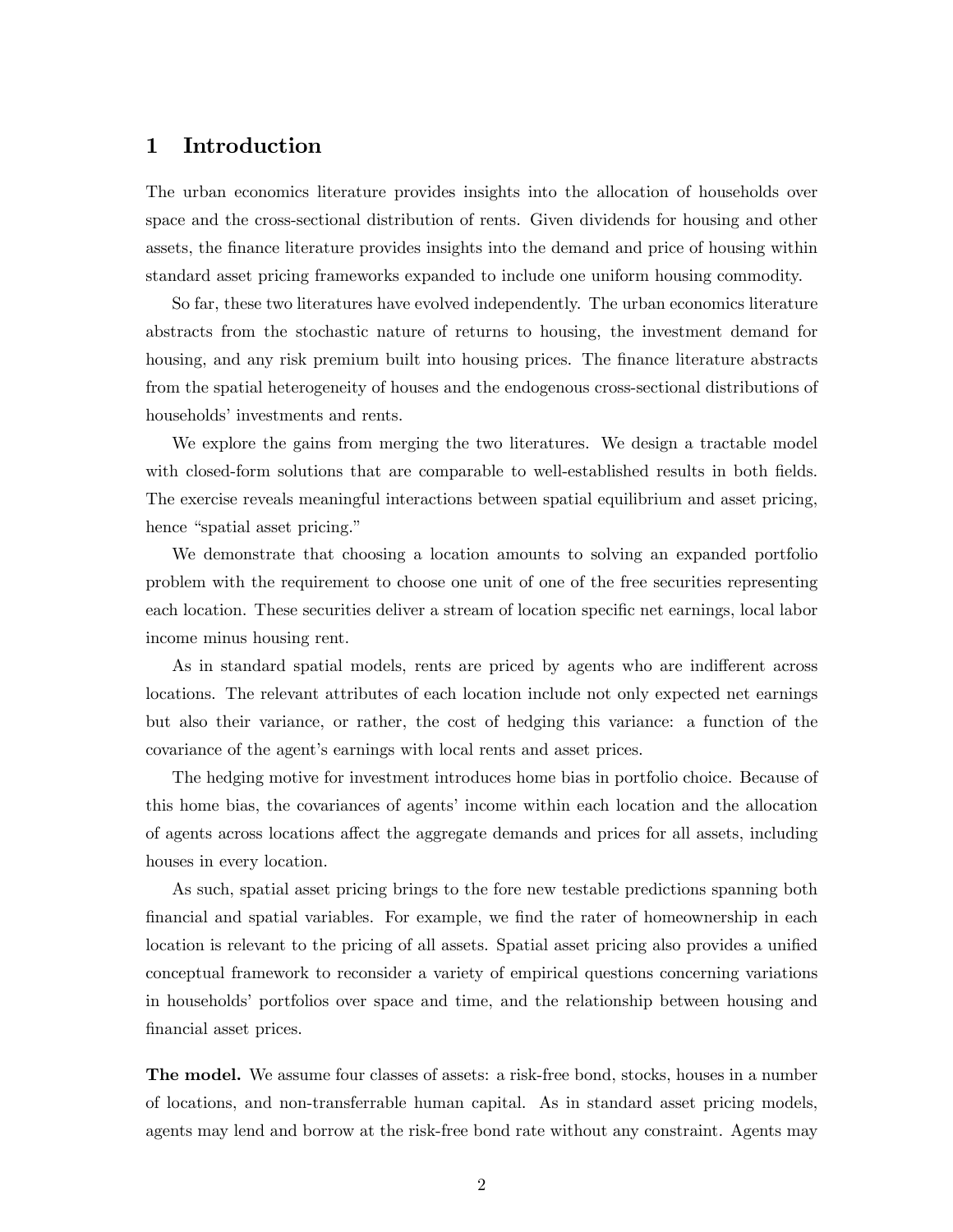### 1 Introduction

The urban economics literature provides insights into the allocation of households over space and the cross-sectional distribution of rents. Given dividends for housing and other assets, the finance literature provides insights into the demand and price of housing within standard asset pricing frameworks expanded to include one uniform housing commodity.

So far, these two literatures have evolved independently. The urban economics literature abstracts from the stochastic nature of returns to housing, the investment demand for housing, and any risk premium built into housing prices. The finance literature abstracts from the spatial heterogeneity of houses and the endogenous cross-sectional distributions of households' investments and rents.

We explore the gains from merging the two literatures. We design a tractable model with closed-form solutions that are comparable to well-established results in both fields. The exercise reveals meaningful interactions between spatial equilibrium and asset pricing, hence "spatial asset pricing."

We demonstrate that choosing a location amounts to solving an expanded portfolio problem with the requirement to choose one unit of one of the free securities representing each location. These securities deliver a stream of location specific net earnings, local labor income minus housing rent.

As in standard spatial models, rents are priced by agents who are indifferent across locations. The relevant attributes of each location include not only expected net earnings but also their variance, or rather, the cost of hedging this variance: a function of the covariance of the agent's earnings with local rents and asset prices.

The hedging motive for investment introduces home bias in portfolio choice. Because of this home bias, the covariances of agents' income within each location and the allocation of agents across locations affect the aggregate demands and prices for all assets, including houses in every location.

As such, spatial asset pricing brings to the fore new testable predictions spanning both financial and spatial variables. For example, we find the rater of homeownership in each location is relevant to the pricing of all assets. Spatial asset pricing also provides a unified conceptual framework to reconsider a variety of empirical questions concerning variations in householdsí portfolios over space and time, and the relationship between housing and financial asset prices.

The model. We assume four classes of assets: a risk-free bond, stocks, houses in a number of locations, and non-transferrable human capital. As in standard asset pricing models, agents may lend and borrow at the risk-free bond rate without any constraint. Agents may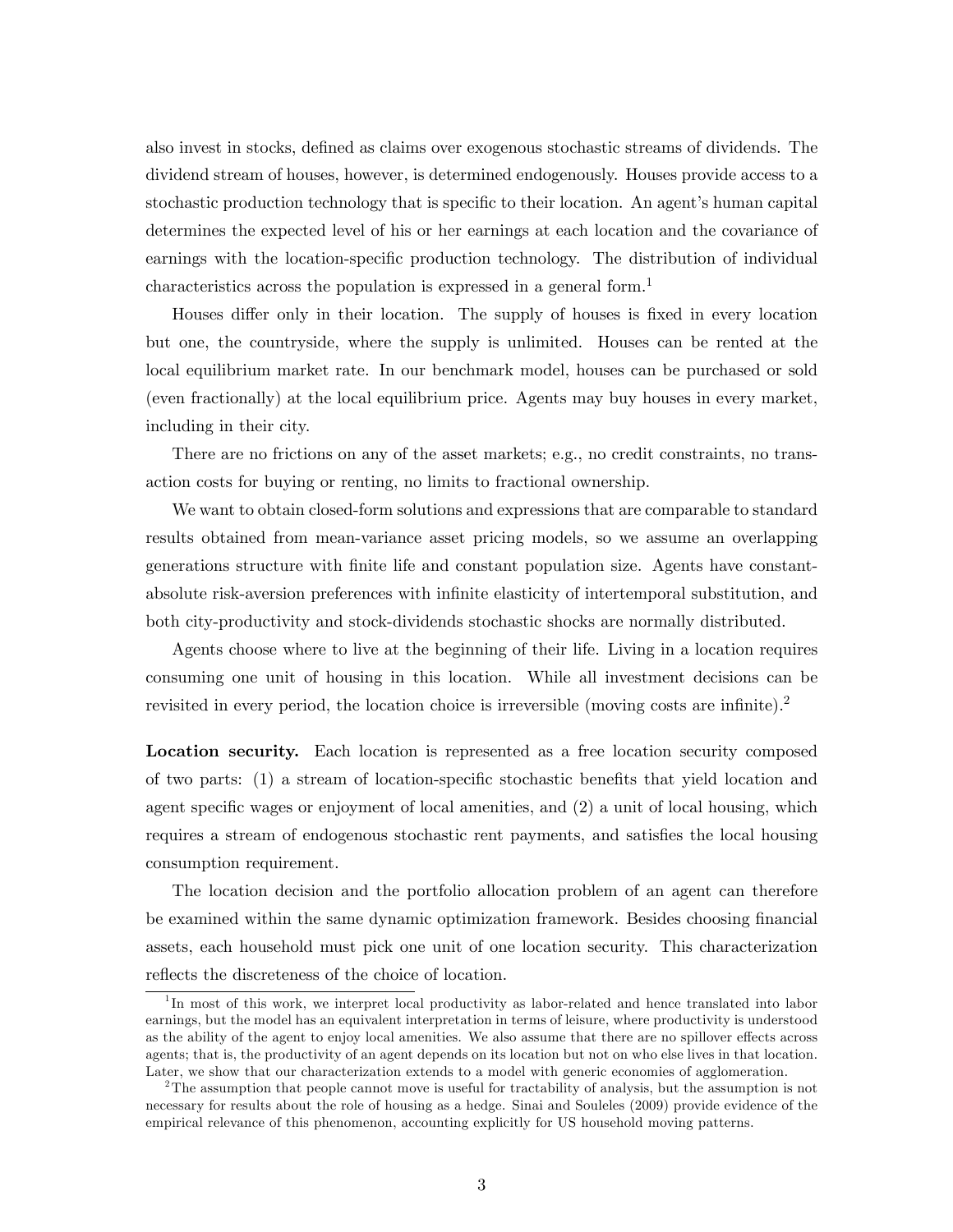also invest in stocks, defined as claims over exogenous stochastic streams of dividends. The dividend stream of houses, however, is determined endogenously. Houses provide access to a stochastic production technology that is specific to their location. An agent's human capital determines the expected level of his or her earnings at each location and the covariance of earnings with the location-specific production technology. The distribution of individual characteristics across the population is expressed in a general form.<sup>1</sup>

Houses differ only in their location. The supply of houses is fixed in every location but one, the countryside, where the supply is unlimited. Houses can be rented at the local equilibrium market rate. In our benchmark model, houses can be purchased or sold (even fractionally) at the local equilibrium price. Agents may buy houses in every market, including in their city.

There are no frictions on any of the asset markets; e.g., no credit constraints, no transaction costs for buying or renting, no limits to fractional ownership.

We want to obtain closed-form solutions and expressions that are comparable to standard results obtained from mean-variance asset pricing models, so we assume an overlapping generations structure with Önite life and constant population size. Agents have constantabsolute risk-aversion preferences with infinite elasticity of intertemporal substitution, and both city-productivity and stock-dividends stochastic shocks are normally distributed.

Agents choose where to live at the beginning of their life. Living in a location requires consuming one unit of housing in this location. While all investment decisions can be revisited in every period, the location choice is irreversible (moving costs are infinite).<sup>2</sup>

Location security. Each location is represented as a free location security composed of two parts:  $(1)$  a stream of location-specific stochastic benefits that yield location and agent specific wages or enjoyment of local amenities, and  $(2)$  a unit of local housing, which requires a stream of endogenous stochastic rent payments, and satisfies the local housing consumption requirement.

The location decision and the portfolio allocation problem of an agent can therefore be examined within the same dynamic optimization framework. Besides choosing financial assets, each household must pick one unit of one location security. This characterization reflects the discreteness of the choice of location.

<sup>&</sup>lt;sup>1</sup>In most of this work, we interpret local productivity as labor-related and hence translated into labor earnings, but the model has an equivalent interpretation in terms of leisure, where productivity is understood as the ability of the agent to enjoy local amenities. We also assume that there are no spillover effects across agents; that is, the productivity of an agent depends on its location but not on who else lives in that location. Later, we show that our characterization extends to a model with generic economies of agglomeration.

<sup>&</sup>lt;sup>2</sup>The assumption that people cannot move is useful for tractability of analysis, but the assumption is not necessary for results about the role of housing as a hedge. Sinai and Souleles (2009) provide evidence of the empirical relevance of this phenomenon, accounting explicitly for US household moving patterns.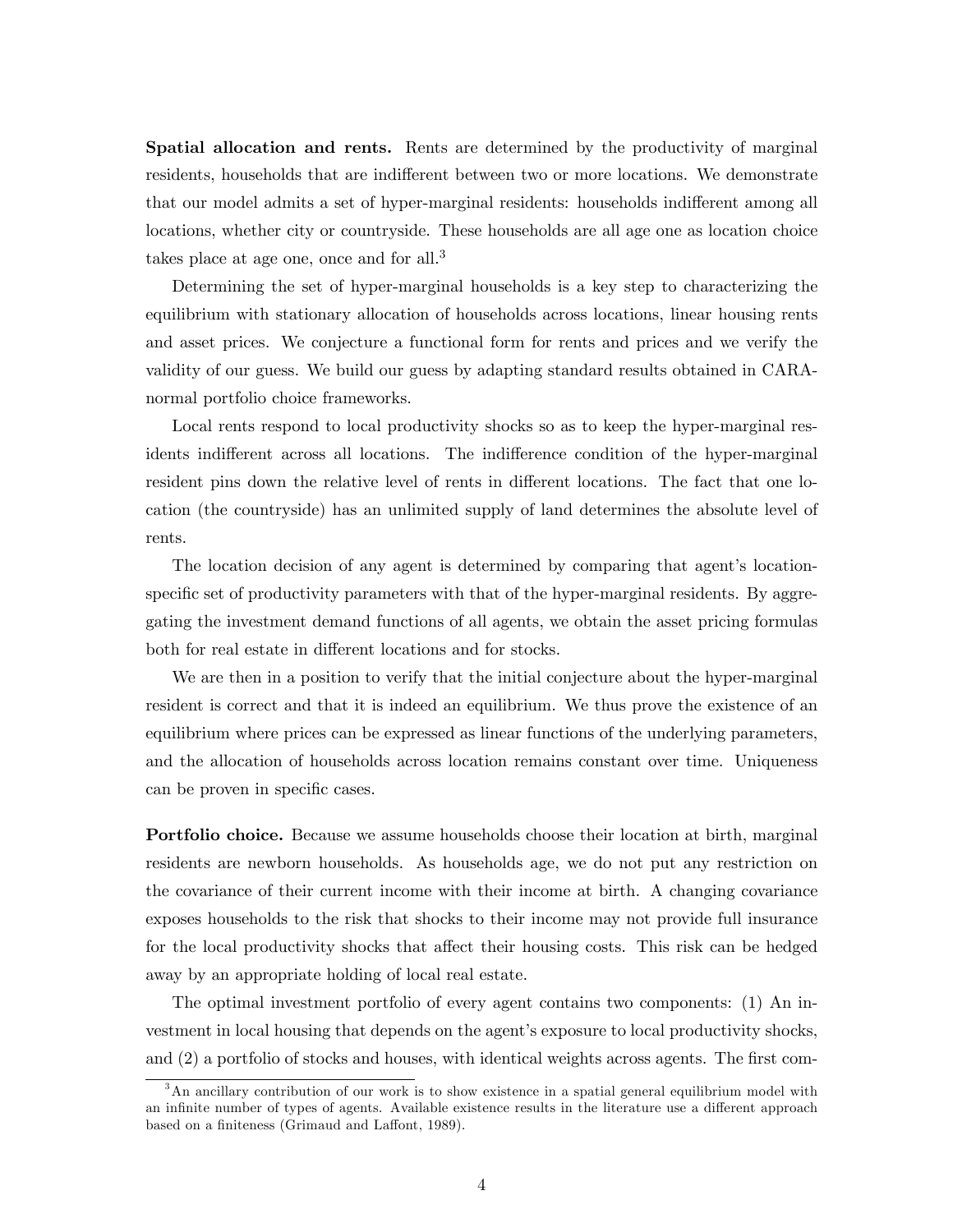Spatial allocation and rents. Rents are determined by the productivity of marginal residents, households that are indifferent between two or more locations. We demonstrate that our model admits a set of hyper-marginal residents: households indifferent among all locations, whether city or countryside. These households are all age one as location choice takes place at age one, once and for all.<sup>3</sup>

Determining the set of hyper-marginal households is a key step to characterizing the equilibrium with stationary allocation of households across locations, linear housing rents and asset prices. We conjecture a functional form for rents and prices and we verify the validity of our guess. We build our guess by adapting standard results obtained in CARAnormal portfolio choice frameworks.

Local rents respond to local productivity shocks so as to keep the hyper-marginal residents indifferent across all locations. The indifference condition of the hyper-marginal resident pins down the relative level of rents in different locations. The fact that one location (the countryside) has an unlimited supply of land determines the absolute level of rents.

The location decision of any agent is determined by comparing that agent's locationspecific set of productivity parameters with that of the hyper-marginal residents. By aggregating the investment demand functions of all agents, we obtain the asset pricing formulas both for real estate in different locations and for stocks.

We are then in a position to verify that the initial conjecture about the hyper-marginal resident is correct and that it is indeed an equilibrium. We thus prove the existence of an equilibrium where prices can be expressed as linear functions of the underlying parameters, and the allocation of households across location remains constant over time. Uniqueness can be proven in specific cases.

Portfolio choice. Because we assume households choose their location at birth, marginal residents are newborn households. As households age, we do not put any restriction on the covariance of their current income with their income at birth. A changing covariance exposes households to the risk that shocks to their income may not provide full insurance for the local productivity shocks that affect their housing costs. This risk can be hedged away by an appropriate holding of local real estate.

The optimal investment portfolio of every agent contains two components: (1) An investment in local housing that depends on the agent's exposure to local productivity shocks, and (2) a portfolio of stocks and houses, with identical weights across agents. The first com-

<sup>&</sup>lt;sup>3</sup>An ancillary contribution of our work is to show existence in a spatial general equilibrium model with an infinite number of types of agents. Available existence results in the literature use a different approach based on a finiteness (Grimaud and Laffont, 1989).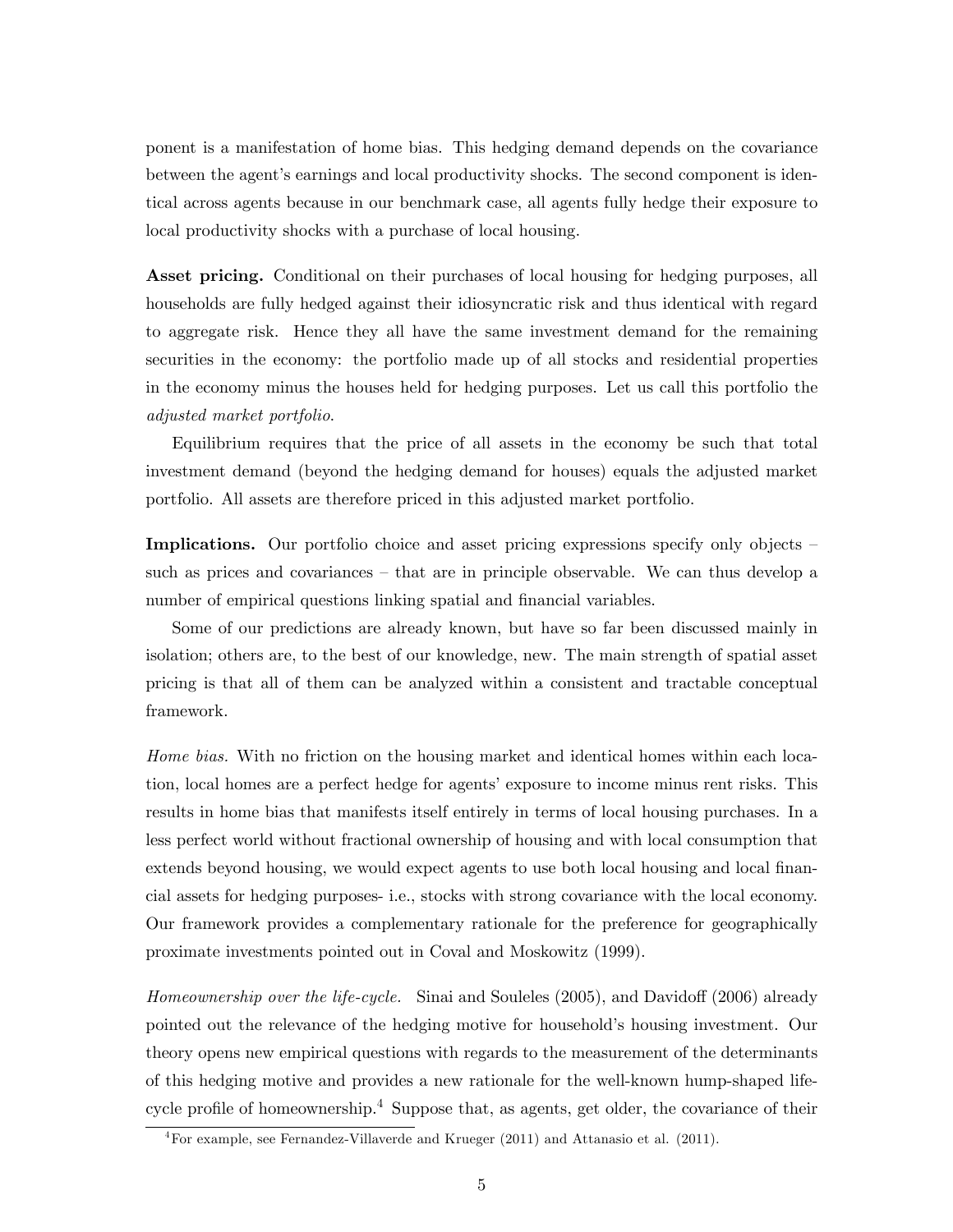ponent is a manifestation of home bias. This hedging demand depends on the covariance between the agent's earnings and local productivity shocks. The second component is identical across agents because in our benchmark case, all agents fully hedge their exposure to local productivity shocks with a purchase of local housing.

Asset pricing. Conditional on their purchases of local housing for hedging purposes, all households are fully hedged against their idiosyncratic risk and thus identical with regard to aggregate risk. Hence they all have the same investment demand for the remaining securities in the economy: the portfolio made up of all stocks and residential properties in the economy minus the houses held for hedging purposes. Let us call this portfolio the adjusted market portfolio.

Equilibrium requires that the price of all assets in the economy be such that total investment demand (beyond the hedging demand for houses) equals the adjusted market portfolio. All assets are therefore priced in this adjusted market portfolio.

**Implications.** Our portfolio choice and asset pricing expressions specify only objects  $\overline{\phantom{a}}$ such as prices and covariances  $-$  that are in principle observable. We can thus develop a number of empirical questions linking spatial and financial variables.

Some of our predictions are already known, but have so far been discussed mainly in isolation; others are, to the best of our knowledge, new. The main strength of spatial asset pricing is that all of them can be analyzed within a consistent and tractable conceptual framework.

Home bias. With no friction on the housing market and identical homes within each location, local homes are a perfect hedge for agents' exposure to income minus rent risks. This results in home bias that manifests itself entirely in terms of local housing purchases. In a less perfect world without fractional ownership of housing and with local consumption that extends beyond housing, we would expect agents to use both local housing and local financial assets for hedging purposes- i.e., stocks with strong covariance with the local economy. Our framework provides a complementary rationale for the preference for geographically proximate investments pointed out in Coval and Moskowitz (1999).

Homeownership over the life-cycle. Sinai and Souleles  $(2005)$ , and Davidoff  $(2006)$  already pointed out the relevance of the hedging motive for householdís housing investment. Our theory opens new empirical questions with regards to the measurement of the determinants of this hedging motive and provides a new rationale for the well-known hump-shaped lifecycle profile of homeownership.<sup>4</sup> Suppose that, as agents, get older, the covariance of their

 $^{4}$ For example, see Fernandez-Villaverde and Krueger (2011) and Attanasio et al. (2011).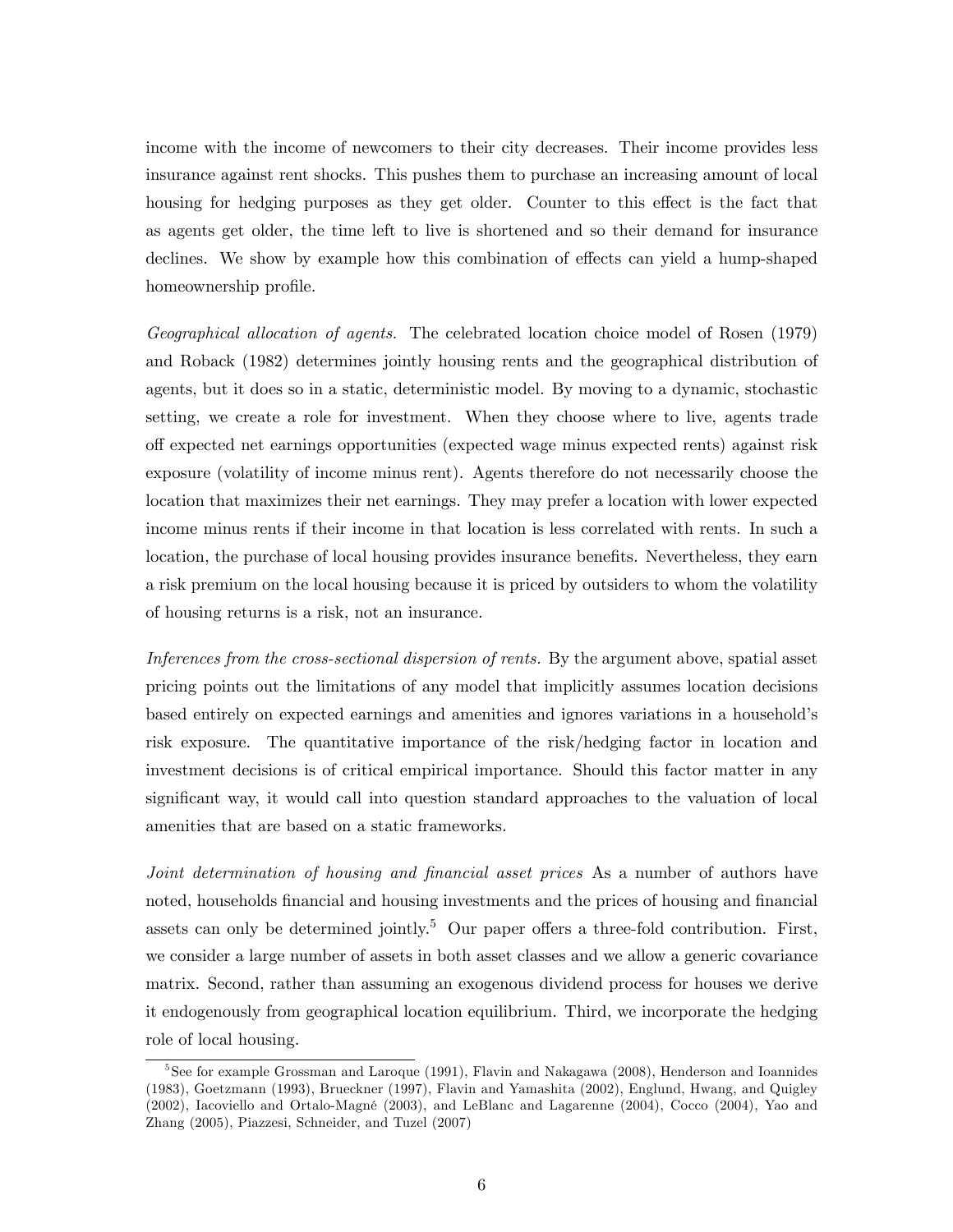income with the income of newcomers to their city decreases. Their income provides less insurance against rent shocks. This pushes them to purchase an increasing amount of local housing for hedging purposes as they get older. Counter to this effect is the fact that as agents get older, the time left to live is shortened and so their demand for insurance declines. We show by example how this combination of effects can yield a hump-shaped homeownership profile.

Geographical allocation of agents. The celebrated location choice model of Rosen (1979) and Roback (1982) determines jointly housing rents and the geographical distribution of agents, but it does so in a static, deterministic model. By moving to a dynamic, stochastic setting, we create a role for investment. When they choose where to live, agents trade o§ expected net earnings opportunities (expected wage minus expected rents) against risk exposure (volatility of income minus rent). Agents therefore do not necessarily choose the location that maximizes their net earnings. They may prefer a location with lower expected income minus rents if their income in that location is less correlated with rents. In such a location, the purchase of local housing provides insurance benefits. Nevertheless, they earn a risk premium on the local housing because it is priced by outsiders to whom the volatility of housing returns is a risk, not an insurance.

Inferences from the cross-sectional dispersion of rents. By the argument above, spatial asset pricing points out the limitations of any model that implicitly assumes location decisions based entirely on expected earnings and amenities and ignores variations in a householdís risk exposure. The quantitative importance of the risk/hedging factor in location and investment decisions is of critical empirical importance. Should this factor matter in any significant way, it would call into question standard approaches to the valuation of local amenities that are based on a static frameworks.

Joint determination of housing and financial asset prices As a number of authors have noted, households financial and housing investments and the prices of housing and financial assets can only be determined jointly.<sup>5</sup> Our paper offers a three-fold contribution. First, we consider a large number of assets in both asset classes and we allow a generic covariance matrix. Second, rather than assuming an exogenous dividend process for houses we derive it endogenously from geographical location equilibrium. Third, we incorporate the hedging role of local housing.

<sup>&</sup>lt;sup>5</sup>See for example Grossman and Laroque (1991), Flavin and Nakagawa (2008), Henderson and Ioannides (1983), Goetzmann (1993), Brueckner (1997), Flavin and Yamashita (2002), Englund, Hwang, and Quigley (2002), Iacoviello and Ortalo-MagnÈ (2003), and LeBlanc and Lagarenne (2004), Cocco (2004), Yao and Zhang (2005), Piazzesi, Schneider, and Tuzel (2007)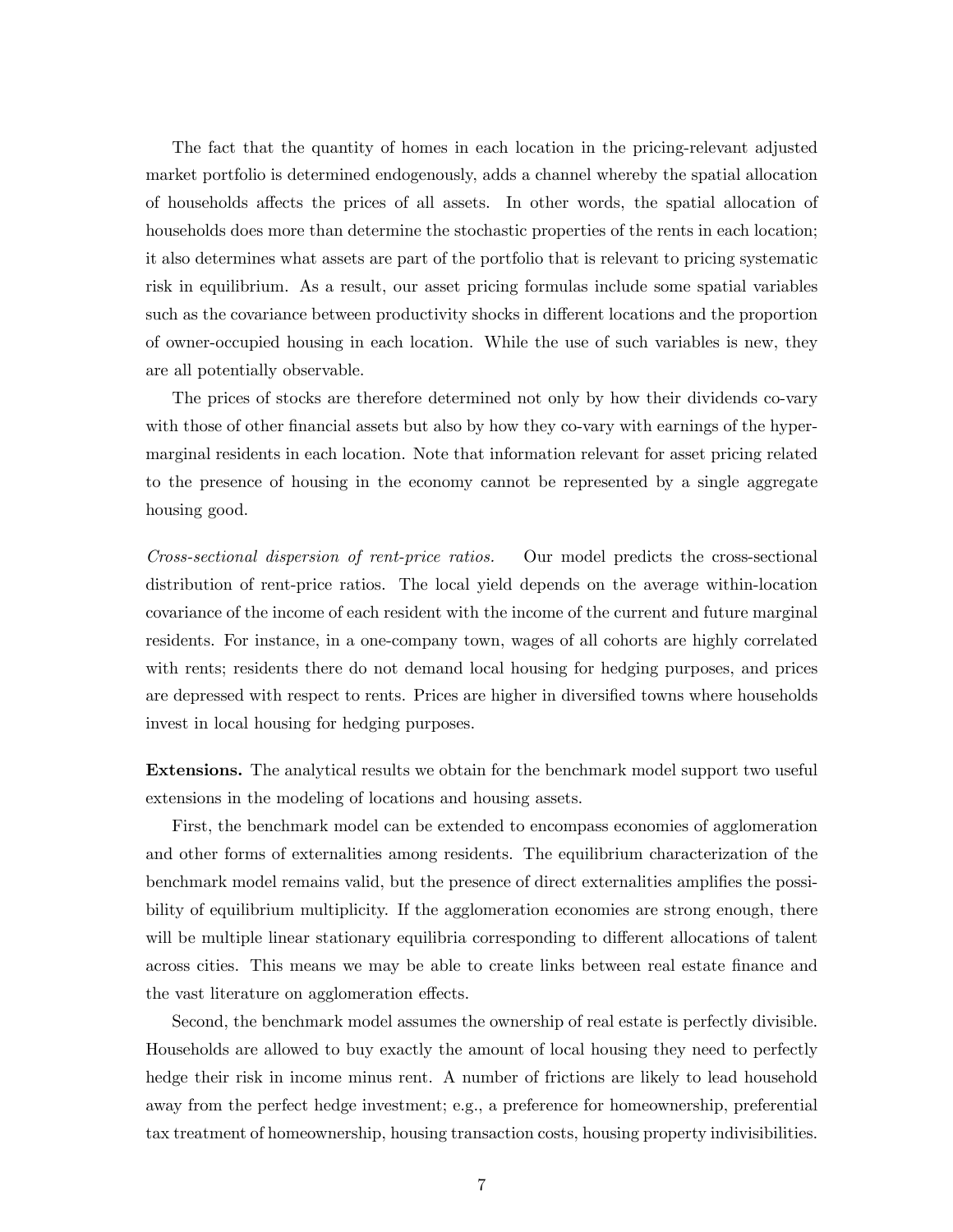The fact that the quantity of homes in each location in the pricing-relevant adjusted market portfolio is determined endogenously, adds a channel whereby the spatial allocation of households affects the prices of all assets. In other words, the spatial allocation of households does more than determine the stochastic properties of the rents in each location; it also determines what assets are part of the portfolio that is relevant to pricing systematic risk in equilibrium. As a result, our asset pricing formulas include some spatial variables such as the covariance between productivity shocks in different locations and the proportion of owner-occupied housing in each location. While the use of such variables is new, they are all potentially observable.

The prices of stocks are therefore determined not only by how their dividends co-vary with those of other financial assets but also by how they co-vary with earnings of the hypermarginal residents in each location. Note that information relevant for asset pricing related to the presence of housing in the economy cannot be represented by a single aggregate housing good.

Cross-sectional dispersion of rent-price ratios. Our model predicts the cross-sectional distribution of rent-price ratios. The local yield depends on the average within-location covariance of the income of each resident with the income of the current and future marginal residents. For instance, in a one-company town, wages of all cohorts are highly correlated with rents; residents there do not demand local housing for hedging purposes, and prices are depressed with respect to rents. Prices are higher in diversified towns where households invest in local housing for hedging purposes.

Extensions. The analytical results we obtain for the benchmark model support two useful extensions in the modeling of locations and housing assets.

First, the benchmark model can be extended to encompass economies of agglomeration and other forms of externalities among residents. The equilibrium characterization of the benchmark model remains valid, but the presence of direct externalities amplifies the possibility of equilibrium multiplicity. If the agglomeration economies are strong enough, there will be multiple linear stationary equilibria corresponding to different allocations of talent across cities. This means we may be able to create links between real estate Önance and the vast literature on agglomeration effects.

Second, the benchmark model assumes the ownership of real estate is perfectly divisible. Households are allowed to buy exactly the amount of local housing they need to perfectly hedge their risk in income minus rent. A number of frictions are likely to lead household away from the perfect hedge investment; e.g., a preference for homeownership, preferential tax treatment of homeownership, housing transaction costs, housing property indivisibilities.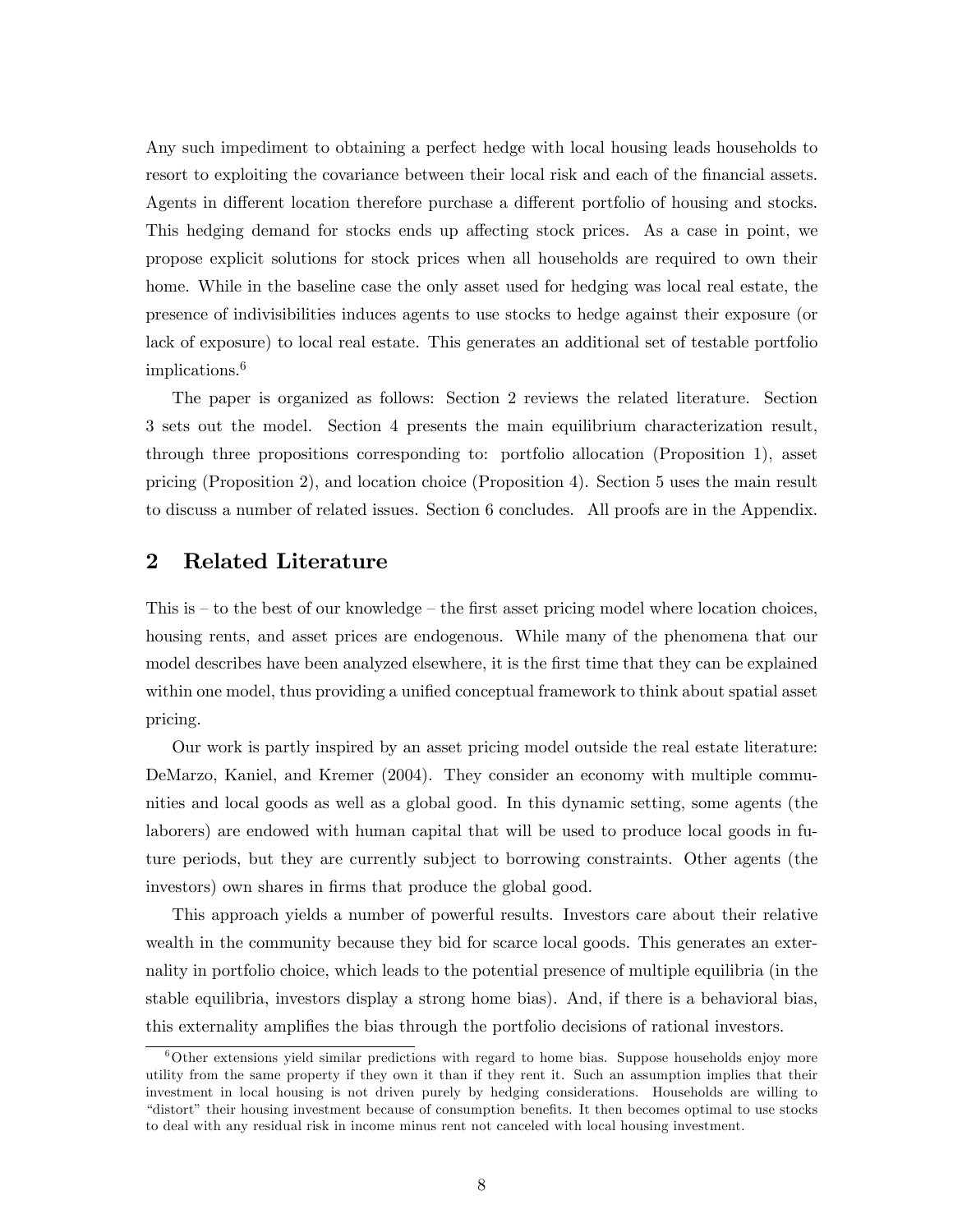Any such impediment to obtaining a perfect hedge with local housing leads households to resort to exploiting the covariance between their local risk and each of the financial assets. Agents in different location therefore purchase a different portfolio of housing and stocks. This hedging demand for stocks ends up affecting stock prices. As a case in point, we propose explicit solutions for stock prices when all households are required to own their home. While in the baseline case the only asset used for hedging was local real estate, the presence of indivisibilities induces agents to use stocks to hedge against their exposure (or lack of exposure) to local real estate. This generates an additional set of testable portfolio implications.<sup>6</sup>

The paper is organized as follows: Section 2 reviews the related literature. Section 3 sets out the model. Section 4 presents the main equilibrium characterization result, through three propositions corresponding to: portfolio allocation (Proposition 1), asset pricing (Proposition 2), and location choice (Proposition 4). Section 5 uses the main result to discuss a number of related issues. Section 6 concludes. All proofs are in the Appendix.

# 2 Related Literature

This is  $-$  to the best of our knowledge  $-$  the first asset pricing model where location choices, housing rents, and asset prices are endogenous. While many of the phenomena that our model describes have been analyzed elsewhere, it is the first time that they can be explained within one model, thus providing a unified conceptual framework to think about spatial asset pricing.

Our work is partly inspired by an asset pricing model outside the real estate literature: DeMarzo, Kaniel, and Kremer (2004). They consider an economy with multiple communities and local goods as well as a global good. In this dynamic setting, some agents (the laborers) are endowed with human capital that will be used to produce local goods in future periods, but they are currently subject to borrowing constraints. Other agents (the investors) own shares in firms that produce the global good.

This approach yields a number of powerful results. Investors care about their relative wealth in the community because they bid for scarce local goods. This generates an externality in portfolio choice, which leads to the potential presence of multiple equilibria (in the stable equilibria, investors display a strong home bias). And, if there is a behavioral bias, this externality amplifies the bias through the portfolio decisions of rational investors.

 $6$ Other extensions yield similar predictions with regard to home bias. Suppose households enjoy more utility from the same property if they own it than if they rent it. Such an assumption implies that their investment in local housing is not driven purely by hedging considerations. Households are willing to ìdistortî their housing investment because of consumption beneÖts. It then becomes optimal to use stocks to deal with any residual risk in income minus rent not canceled with local housing investment.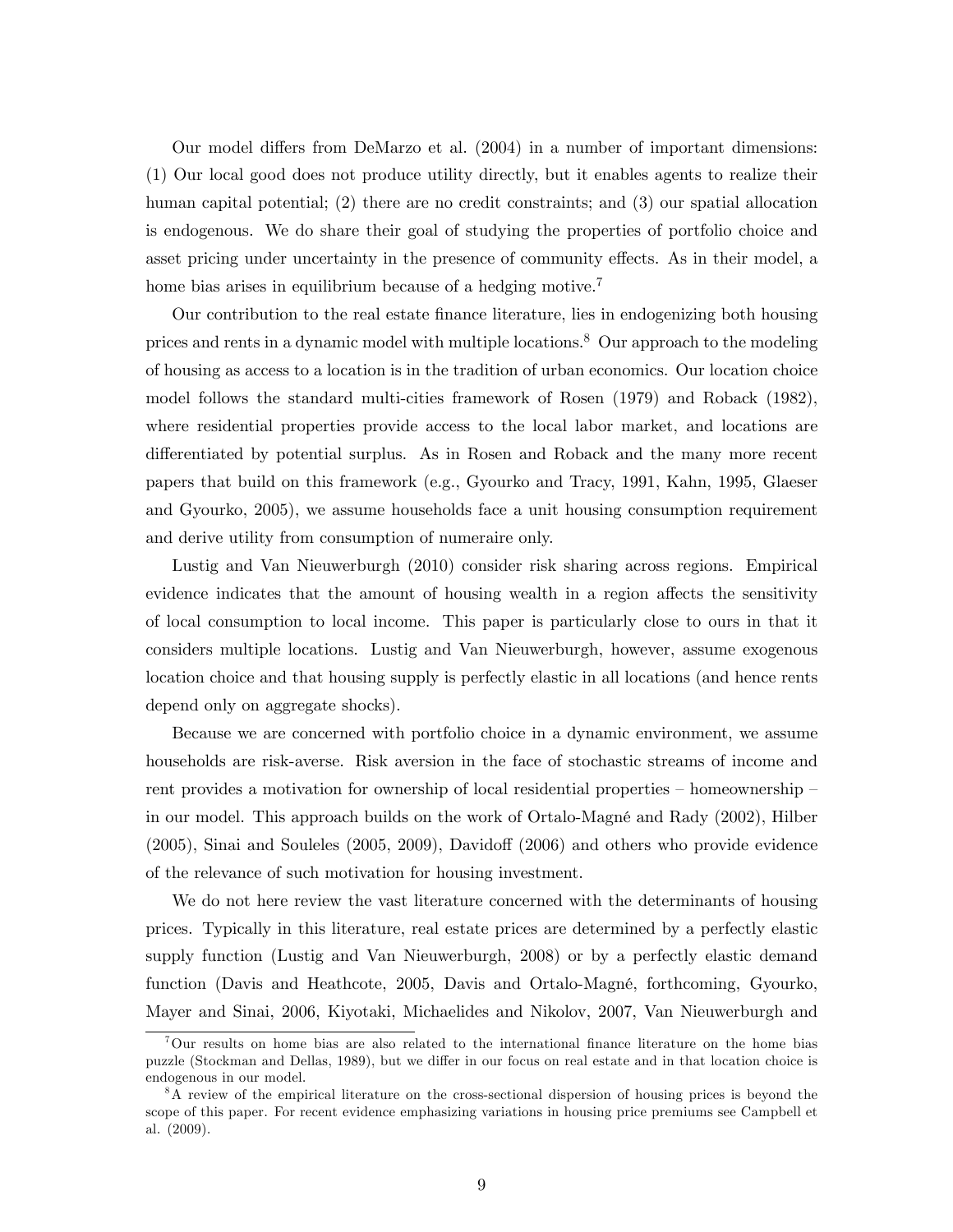Our model differs from DeMarzo et al.  $(2004)$  in a number of important dimensions: (1) Our local good does not produce utility directly, but it enables agents to realize their human capital potential; (2) there are no credit constraints; and (3) our spatial allocation is endogenous. We do share their goal of studying the properties of portfolio choice and asset pricing under uncertainty in the presence of community effects. As in their model, a home bias arises in equilibrium because of a hedging motive.<sup>7</sup>

Our contribution to the real estate Önance literature, lies in endogenizing both housing prices and rents in a dynamic model with multiple locations.<sup>8</sup> Our approach to the modeling of housing as access to a location is in the tradition of urban economics. Our location choice model follows the standard multi-cities framework of Rosen (1979) and Roback (1982), where residential properties provide access to the local labor market, and locations are differentiated by potential surplus. As in Rosen and Roback and the many more recent papers that build on this framework (e.g., Gyourko and Tracy, 1991, Kahn, 1995, Glaeser and Gyourko, 2005), we assume households face a unit housing consumption requirement and derive utility from consumption of numeraire only.

Lustig and Van Nieuwerburgh (2010) consider risk sharing across regions. Empirical evidence indicates that the amount of housing wealth in a region affects the sensitivity of local consumption to local income. This paper is particularly close to ours in that it considers multiple locations. Lustig and Van Nieuwerburgh, however, assume exogenous location choice and that housing supply is perfectly elastic in all locations (and hence rents depend only on aggregate shocks).

Because we are concerned with portfolio choice in a dynamic environment, we assume households are risk-averse. Risk aversion in the face of stochastic streams of income and rent provides a motivation for ownership of local residential properties  $-$  homeownership  $$ in our model. This approach builds on the work of Ortalo-Magné and Rady (2002), Hilber  $(2005)$ , Sinai and Souleles  $(2005, 2009)$ , Davidoff  $(2006)$  and others who provide evidence of the relevance of such motivation for housing investment.

We do not here review the vast literature concerned with the determinants of housing prices. Typically in this literature, real estate prices are determined by a perfectly elastic supply function (Lustig and Van Nieuwerburgh, 2008) or by a perfectly elastic demand function (Davis and Heathcote, 2005, Davis and Ortalo-Magné, forthcoming, Gyourko, Mayer and Sinai, 2006, Kiyotaki, Michaelides and Nikolov, 2007, Van Nieuwerburgh and

<sup>&</sup>lt;sup>7</sup>Our results on home bias are also related to the international finance literature on the home bias puzzle (Stockman and Dellas, 1989), but we differ in our focus on real estate and in that location choice is endogenous in our model.

<sup>8</sup>A review of the empirical literature on the cross-sectional dispersion of housing prices is beyond the scope of this paper. For recent evidence emphasizing variations in housing price premiums see Campbell et al. (2009).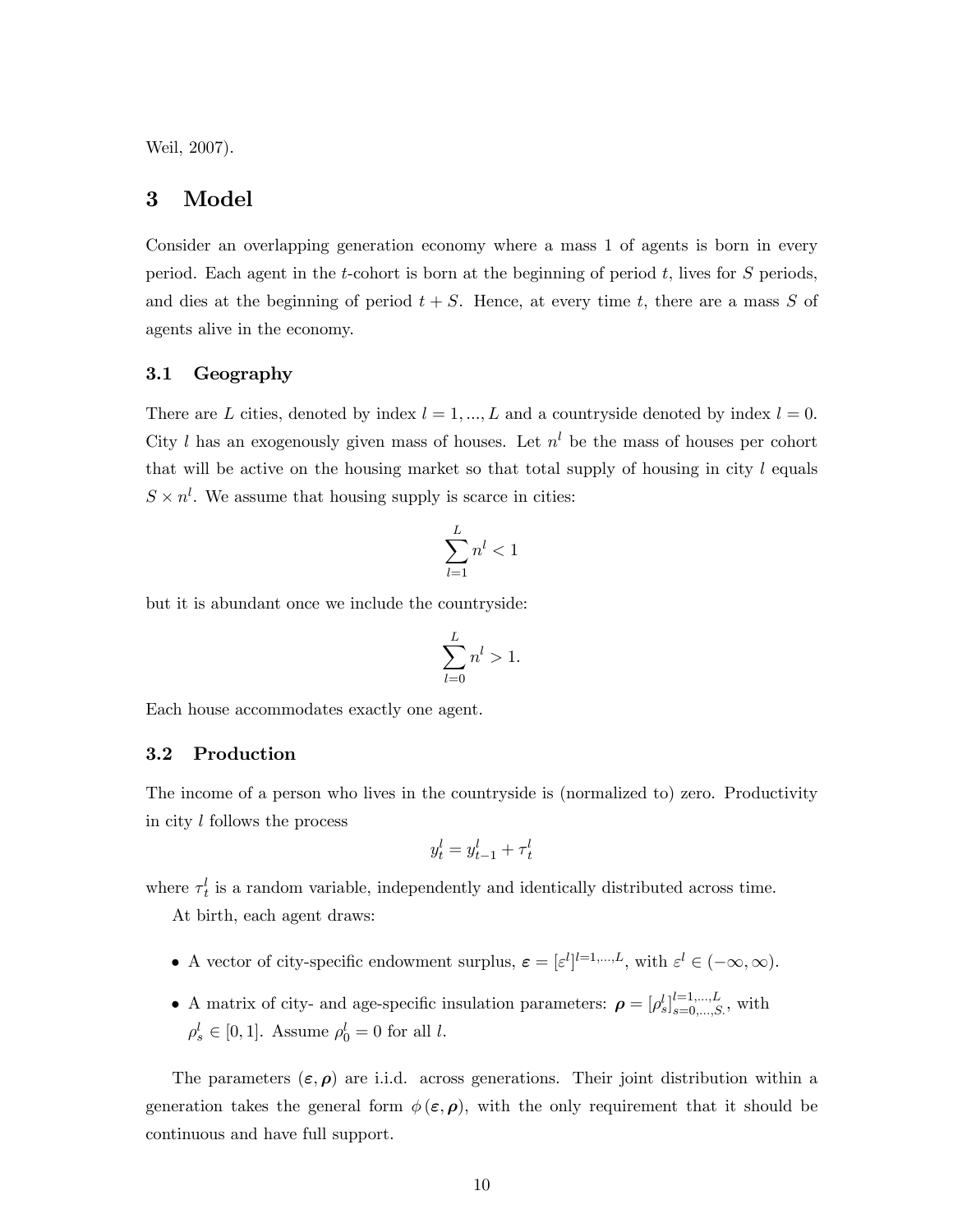Weil, 2007).

# 3 Model

Consider an overlapping generation economy where a mass 1 of agents is born in every period. Each agent in the t-cohort is born at the beginning of period  $t$ , lives for  $S$  periods, and dies at the beginning of period  $t + S$ . Hence, at every time t, there are a mass S of agents alive in the economy.

### 3.1 Geography

There are L cities, denoted by index  $l = 1, ..., L$  and a countryside denoted by index  $l = 0$ . City l has an exogenously given mass of houses. Let  $n^l$  be the mass of houses per cohort that will be active on the housing market so that total supply of housing in city  $l$  equals  $S \times n^l$ . We assume that housing supply is scarce in cities:

$$
\sum_{l=1}^L n^l < 1
$$

but it is abundant once we include the countryside:

$$
\sum_{l=0}^{L} n^l > 1.
$$

Each house accommodates exactly one agent.

### 3.2 Production

The income of a person who lives in the countryside is (normalized to) zero. Productivity in city l follows the process

$$
y_t^l = y_{t-1}^l + \tau_t^l
$$

where  $\tau_t^l$  is a random variable, independently and identically distributed across time.

At birth, each agent draws:

- A vector of city-specific endowment surplus,  $\boldsymbol{\varepsilon} = [\varepsilon^l]^{l=1,\dots,L}$ , with  $\varepsilon^l \in (-\infty,\infty)$ .
- A matrix of city- and age-specific insulation parameters:  $\rho = [\rho_s^l]_{s=0,\dots,S}^{l=1,\dots,L}$ , with  $\rho_s^l \in [0, 1]$ . Assume  $\rho_0^l = 0$  for all l.

The parameters  $(\epsilon, \rho)$  are i.i.d. across generations. Their joint distribution within a generation takes the general form  $\phi(\varepsilon, \rho)$ , with the only requirement that it should be continuous and have full support.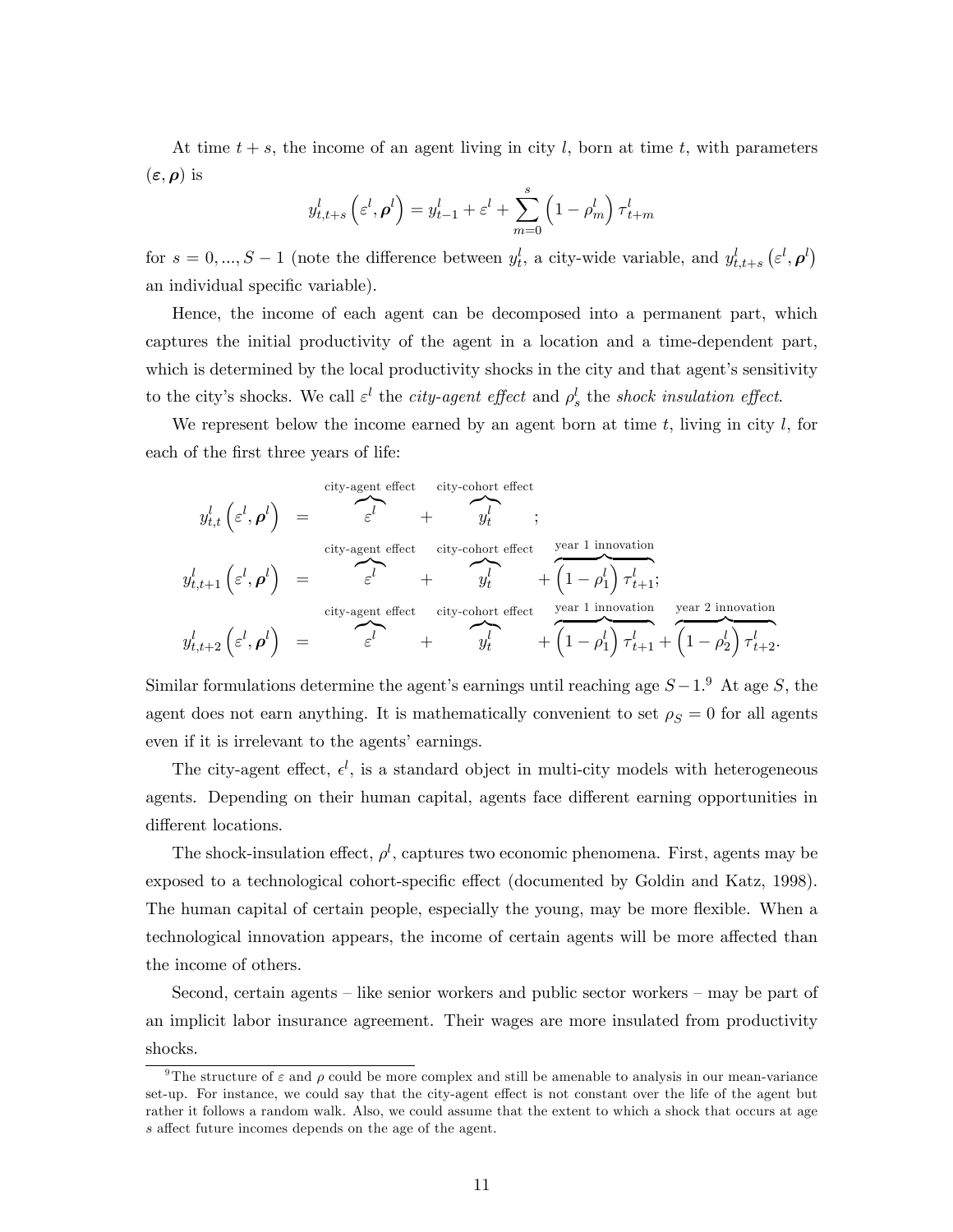At time  $t + s$ , the income of an agent living in city l, born at time t, with parameters  $(\epsilon, \rho)$  is

$$
y_{t,t+s}^l\left(\varepsilon^l,\boldsymbol{\rho}^l\right) = y_{t-1}^l + \varepsilon^l + \sum_{m=0}^s \left(1-\rho_m^l\right)\tau_{t+m}^l
$$

for  $s = 0, ..., S - 1$  (note the difference between  $y_t^l$ , a city-wide variable, and  $y_{t,t+s}^l (\varepsilon^l, \rho^l)$ ) an individual specific variable).

Hence, the income of each agent can be decomposed into a permanent part, which captures the initial productivity of the agent in a location and a time-dependent part, which is determined by the local productivity shocks in the city and that agent's sensitivity to the city's shocks. We call  $\varepsilon^l$  the *city-agent effect* and  $\rho_s^l$  the *shock insulation effect*.

We represent below the income earned by an agent born at time  $t$ , living in city  $l$ , for each of the first three years of life:

$$
y_{t,t}^l \left( \varepsilon^l, \rho^l \right) = \begin{cases} \n\text{city-agent effect} & \text{city-cohort effect} \\ \n\epsilon^l & + \frac{1}{2} \int_t^1 \rho^l \\ \n\text{city-agent effect} & \text{city-cohort effect} \\ \n\epsilon^l & + \frac{1}{2} \int_t^1 \rho^l \\ \n\text{city-agent effect} & \text{city-cohort effect} \\ \n\text{city-cohort effect} & \text{year 1 innovation} \\ \n\text{very-equation} \\ \n\epsilon^l & + \frac{1}{2} \left( \varepsilon^l, \rho^l \right) \n\end{cases} = \begin{cases} \n\text{city-cohort effect} & \text{year 1 innovation} \\ \n\epsilon^l & + \frac{1}{2} \int_t^1 \rho^l \\ \n\epsilon^l & + \frac{1}{2} \left( \frac{1}{2} \rho^l \right) \frac{1}{2} \int_t^1 \rho^l \\ \n\epsilon^l & + \frac{1}{2} \left( \frac{1}{2} \rho^l \right) \frac{1}{2} \int_t^1 \rho^l \\ \n\epsilon^l & + \frac{1}{2} \left( \frac{1}{2} \rho^l \right) \frac{1}{2} \int_t^1 \rho^l \\ \n\epsilon^l & + \frac{1}{2} \left( \frac{1}{2} \rho^l \right) \frac{1}{2} \int_t^1 \rho^l \\ \n\epsilon^l & + \frac{1}{2} \left( \frac{1}{2} \rho^l \right) \frac{1}{2} \int_t^1 \rho^l \\ \n\epsilon^l & + \frac{1}{2} \left( \frac{1}{2} \rho^l \right) \frac{1}{2} \int_t^1 \rho^l \\ \n\epsilon^l & + \frac{1}{2} \left( \frac{1}{2} \rho^l \right) \frac{1}{2} \int_t^1 \rho^l \\ \n\epsilon^l & + \frac{1}{2} \left( \frac{1}{2} \rho^l \right) \frac{1}{2} \int_t^1 \rho^l \\ \n\epsilon^l & + \frac{1}{2} \left( \frac{1}{2} \rho^l \right) \frac{1}{2} \int_t^1 \rho^l \\ \n\epsilon^l & + \frac{1}{2} \left( \frac{1}{
$$

Similar formulations determine the agent's earnings until reaching age  $S-1$ .<sup>9</sup> At age S, the agent does not earn anything. It is mathematically convenient to set  $\rho_S = 0$  for all agents even if it is irrelevant to the agents' earnings.

The city-agent effect,  $\epsilon^l$ , is a standard object in multi-city models with heterogeneous agents. Depending on their human capital, agents face different earning opportunities in different locations.

The shock-insulation effect,  $\rho^l$ , captures two economic phenomena. First, agents may be exposed to a technological cohort-specific effect (documented by Goldin and Katz, 1998). The human capital of certain people, especially the young, may be more flexible. When a technological innovation appears, the income of certain agents will be more affected than the income of others.

Second, certain agents  $\overline{\phantom{a}}$  like senior workers and public sector workers  $\overline{\phantom{a}}$  may be part of an implicit labor insurance agreement. Their wages are more insulated from productivity shocks.

<sup>&</sup>lt;sup>9</sup>The structure of  $\varepsilon$  and  $\rho$  could be more complex and still be amenable to analysis in our mean-variance set-up. For instance, we could say that the city-agent effect is not constant over the life of the agent but rather it follows a random walk. Also, we could assume that the extent to which a shock that occurs at age s affect future incomes depends on the age of the agent.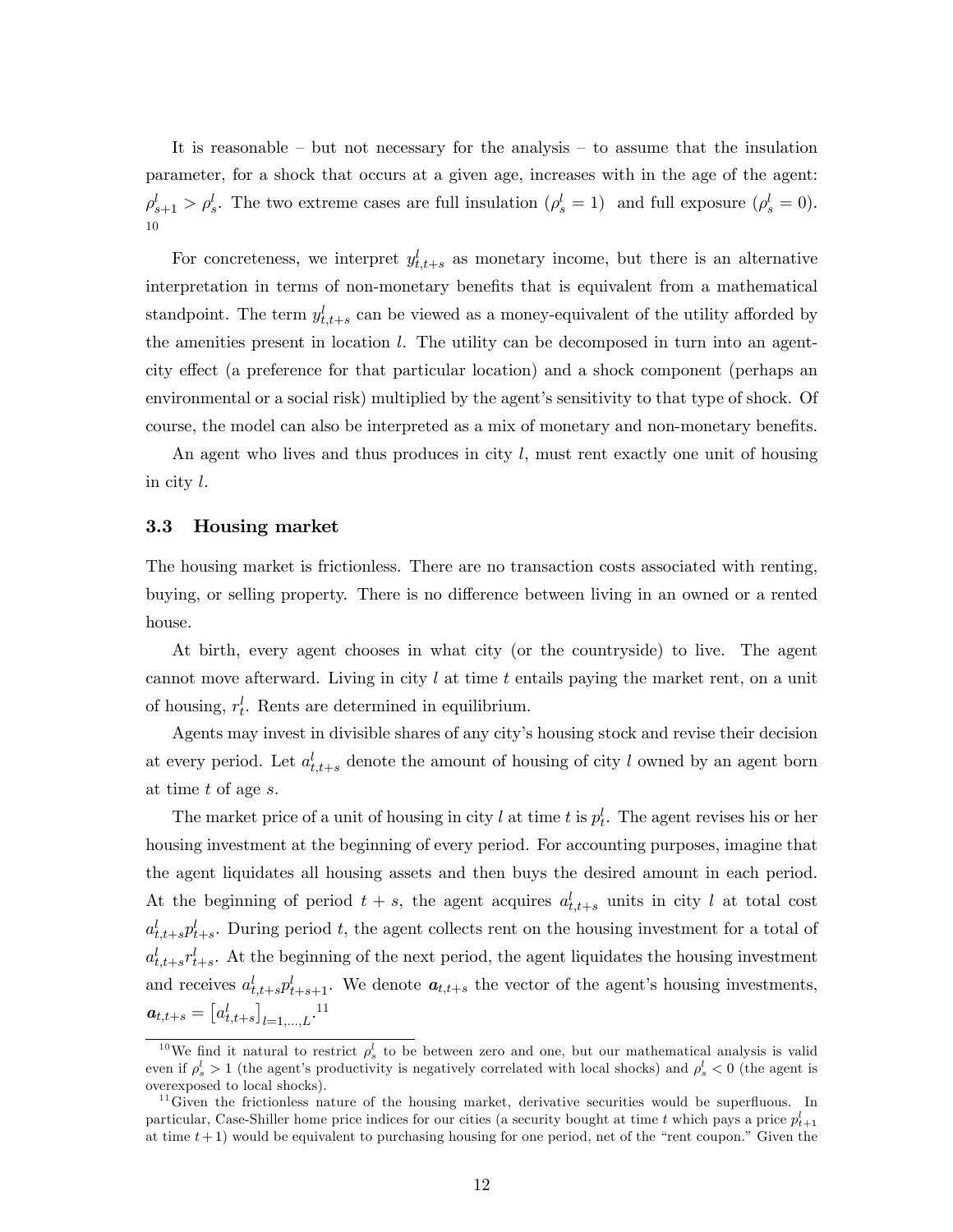It is reasonable  $-$  but not necessary for the analysis  $-$  to assume that the insulation parameter, for a shock that occurs at a given age, increases with in the age of the agent:  $\rho_{s+1}^l > \rho_s^l$ . The two extreme cases are full insulation  $(\rho_s^l = 1)$  and full exposure  $(\rho_s^l = 0)$ . 10

For concreteness, we interpret  $y_{t,t+s}^l$  as monetary income, but there is an alternative interpretation in terms of non-monetary benefits that is equivalent from a mathematical standpoint. The term  $y_{t,t+s}^l$  can be viewed as a money-equivalent of the utility afforded by the amenities present in location  $l$ . The utility can be decomposed in turn into an agentcity effect (a preference for that particular location) and a shock component (perhaps an environmental or a social risk) multiplied by the agent's sensitivity to that type of shock. Of course, the model can also be interpreted as a mix of monetary and non-monetary benefits.

An agent who lives and thus produces in city l, must rent exactly one unit of housing in city l.

#### 3.3 Housing market

The housing market is frictionless. There are no transaction costs associated with renting, buying, or selling property. There is no difference between living in an owned or a rented house.

At birth, every agent chooses in what city (or the countryside) to live. The agent cannot move afterward. Living in city  $l$  at time  $t$  entails paying the market rent, on a unit of housing,  $r_t^l$ . Rents are determined in equilibrium.

Agents may invest in divisible shares of any cityís housing stock and revise their decision at every period. Let  $a_{t,t+s}^l$  denote the amount of housing of city l owned by an agent born at time t of age s.

The market price of a unit of housing in city l at time t is  $p_t^l$ . The agent revises his or her housing investment at the beginning of every period. For accounting purposes, imagine that the agent liquidates all housing assets and then buys the desired amount in each period. At the beginning of period  $t + s$ , the agent acquires  $a_{t,t+s}^l$  units in city l at total cost  $a_{t,t+s}^l p_{t+s}^l$ . During period t, the agent collects rent on the housing investment for a total of  $a_{t,t+s}^l r_{t+s}^l$ . At the beginning of the next period, the agent liquidates the housing investment and receives  $a_{t,t+s}^l p_{t+s+1}^l$ . We denote  $a_{t,t+s}$  the vector of the agent's housing investments,  $\boldsymbol{a}_{t,t+s} = \left[a_{t,t+s}^l\right]_{l=1,\ldots,L}$ .<sup>11</sup>

<sup>&</sup>lt;sup>10</sup>We find it natural to restrict  $\rho_s^l$  to be between zero and one, but our mathematical analysis is valid even if  $\rho_s^l > 1$  (the agent's productivity is negatively correlated with local shocks) and  $\rho_s^l < 0$  (the agent is overexposed to local shocks).

 $11$  Given the frictionless nature of the housing market, derivative securities would be superfluous. In particular, Case-Shiller home price indices for our cities (a security bought at time t which pays a price  $p_{t+1}^l$ at time  $t+1$ ) would be equivalent to purchasing housing for one period, net of the "rent coupon." Given the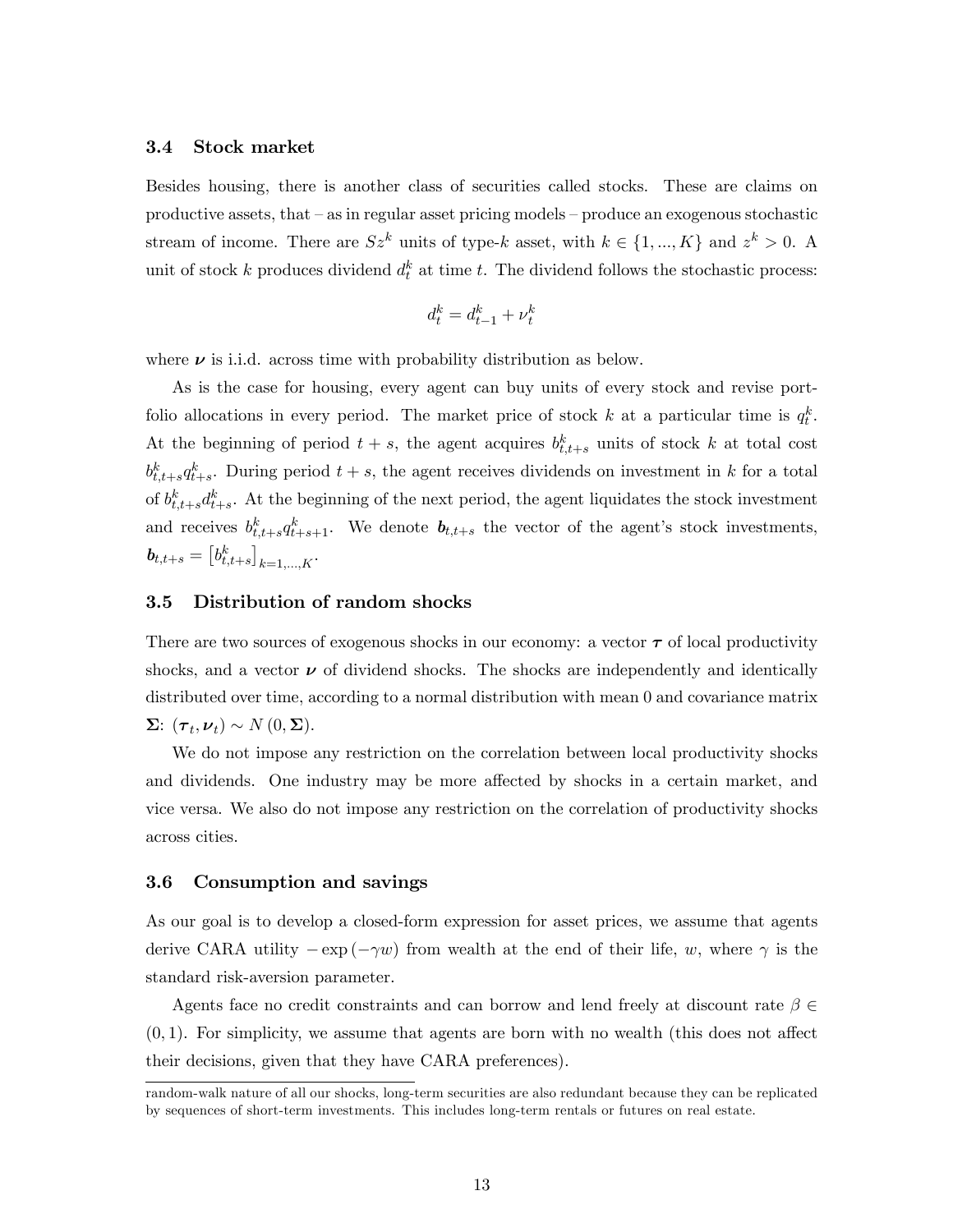#### 3.4 Stock market

Besides housing, there is another class of securities called stocks. These are claims on productive assets, that  $-\infty$  in regular asset pricing models  $-\infty$  produce an exogenous stochastic stream of income. There are  $Sz^k$  units of type-k asset, with  $k \in \{1, ..., K\}$  and  $z^k > 0$ . A unit of stock k produces dividend  $d_t^k$  at time t. The dividend follows the stochastic process:

$$
d_t^k = d_{t-1}^k + \nu_t^k
$$

where  $\nu$  is i.i.d. across time with probability distribution as below.

As is the case for housing, every agent can buy units of every stock and revise portfolio allocations in every period. The market price of stock k at a particular time is  $q_t^k$ . At the beginning of period  $t + s$ , the agent acquires  $b_{t,t+s}^k$  units of stock k at total cost  $b_{t,t+s}^k q_{t+s}^k$ . During period  $t+s$ , the agent receives dividends on investment in k for a total of  $b_{t,t+s}^k$  d<sub> $t+s$ </sub>. At the beginning of the next period, the agent liquidates the stock investment and receives  $b_{t,t+s}^k q_{t+s+1}^k$ . We denote  $\boldsymbol{b}_{t,t+s}$  the vector of the agent's stock investments,  $\bm{b}_{t,t+s} = \left[ b_{t,t+s}^k \right]_{k=1,...,K}.$ 

### 3.5 Distribution of random shocks

There are two sources of exogenous shocks in our economy: a vector  $\tau$  of local productivity shocks, and a vector  $\nu$  of dividend shocks. The shocks are independently and identically distributed over time, according to a normal distribution with mean 0 and covariance matrix  $\Sigma: (\boldsymbol{\tau}_t, \boldsymbol{\nu}_t) \sim N(0, \boldsymbol{\Sigma}).$ 

We do not impose any restriction on the correlation between local productivity shocks and dividends. One industry may be more affected by shocks in a certain market, and vice versa. We also do not impose any restriction on the correlation of productivity shocks across cities.

#### 3.6 Consumption and savings

As our goal is to develop a closed-form expression for asset prices, we assume that agents derive CARA utility  $-\exp(-\gamma w)$  from wealth at the end of their life, w, where  $\gamma$  is the standard risk-aversion parameter.

Agents face no credit constraints and can borrow and lend freely at discount rate  $\beta \in$  $(0, 1)$ . For simplicity, we assume that agents are born with no wealth (this does not affect their decisions, given that they have CARA preferences).

random-walk nature of all our shocks, long-term securities are also redundant because they can be replicated by sequences of short-term investments. This includes long-term rentals or futures on real estate.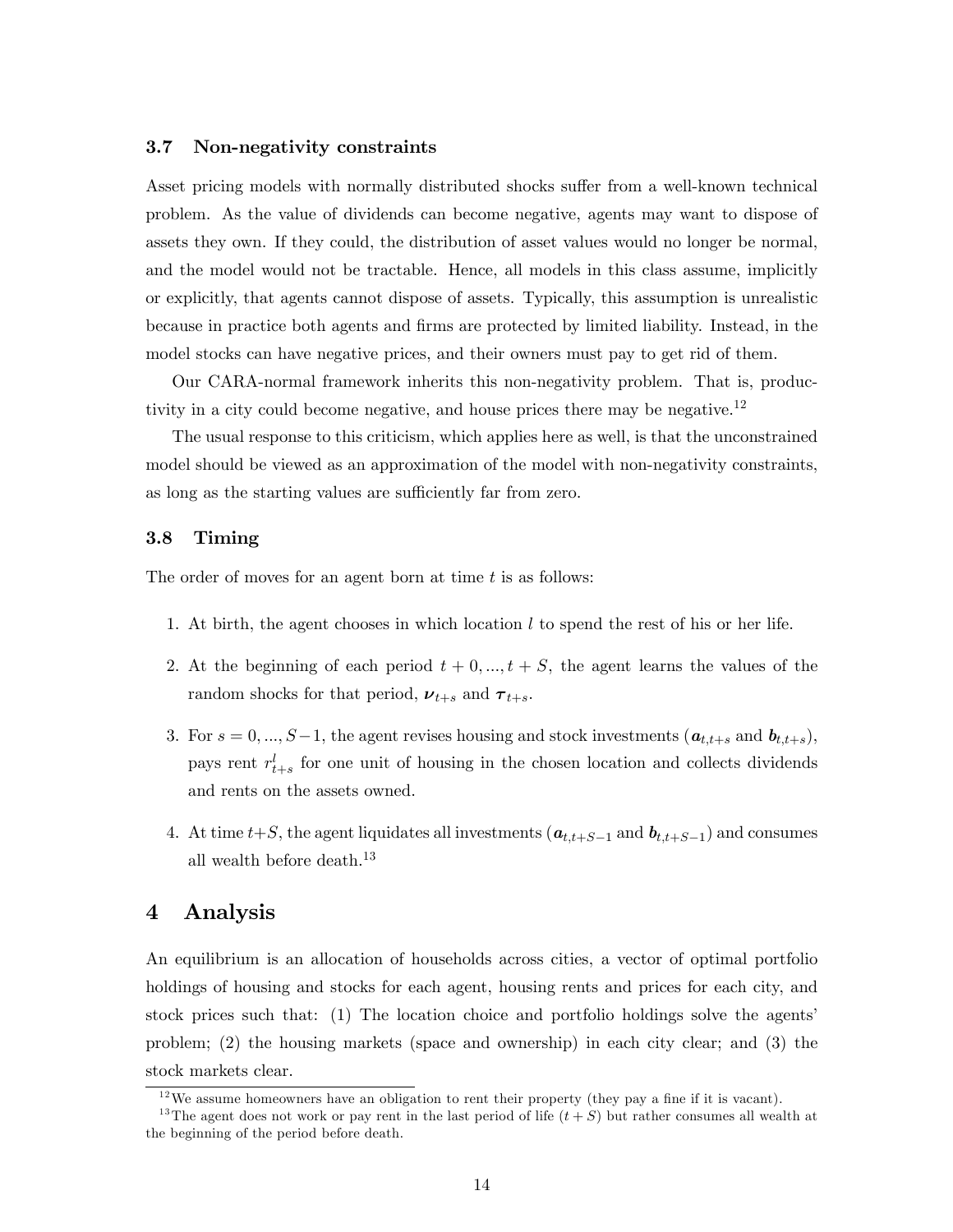#### 3.7 Non-negativity constraints

Asset pricing models with normally distributed shocks suffer from a well-known technical problem. As the value of dividends can become negative, agents may want to dispose of assets they own. If they could, the distribution of asset values would no longer be normal, and the model would not be tractable. Hence, all models in this class assume, implicitly or explicitly, that agents cannot dispose of assets. Typically, this assumption is unrealistic because in practice both agents and Örms are protected by limited liability. Instead, in the model stocks can have negative prices, and their owners must pay to get rid of them.

Our CARA-normal framework inherits this non-negativity problem. That is, productivity in a city could become negative, and house prices there may be negative.<sup>12</sup>

The usual response to this criticism, which applies here as well, is that the unconstrained model should be viewed as an approximation of the model with non-negativity constraints, as long as the starting values are sufficiently far from zero.

### 3.8 Timing

The order of moves for an agent born at time t is as follows:

- 1. At birth, the agent chooses in which location  $l$  to spend the rest of his or her life.
- 2. At the beginning of each period  $t + 0, ..., t + S$ , the agent learns the values of the random shocks for that period,  $\nu_{t+s}$  and  $\tau_{t+s}$ .
- 3. For  $s = 0, ..., S-1$ , the agent revises housing and stock investments  $(a_{t,t+s}$  and  $b_{t,t+s})$ , pays rent  $r_{t+s}^l$  for one unit of housing in the chosen location and collects dividends and rents on the assets owned.
- 4. At time  $t+S$ , the agent liquidates all investments  $(a_{t,t+S-1}$  and  $b_{t,t+S-1})$  and consumes all wealth before death. $^{13}$

## 4 Analysis

An equilibrium is an allocation of households across cities, a vector of optimal portfolio holdings of housing and stocks for each agent, housing rents and prices for each city, and stock prices such that: (1) The location choice and portfolio holdings solve the agents' problem; (2) the housing markets (space and ownership) in each city clear; and (3) the stock markets clear.

<sup>&</sup>lt;sup>12</sup>We assume homeowners have an obligation to rent their property (they pay a fine if it is vacant).

<sup>&</sup>lt;sup>13</sup>The agent does not work or pay rent in the last period of life  $(t + S)$  but rather consumes all wealth at the beginning of the period before death.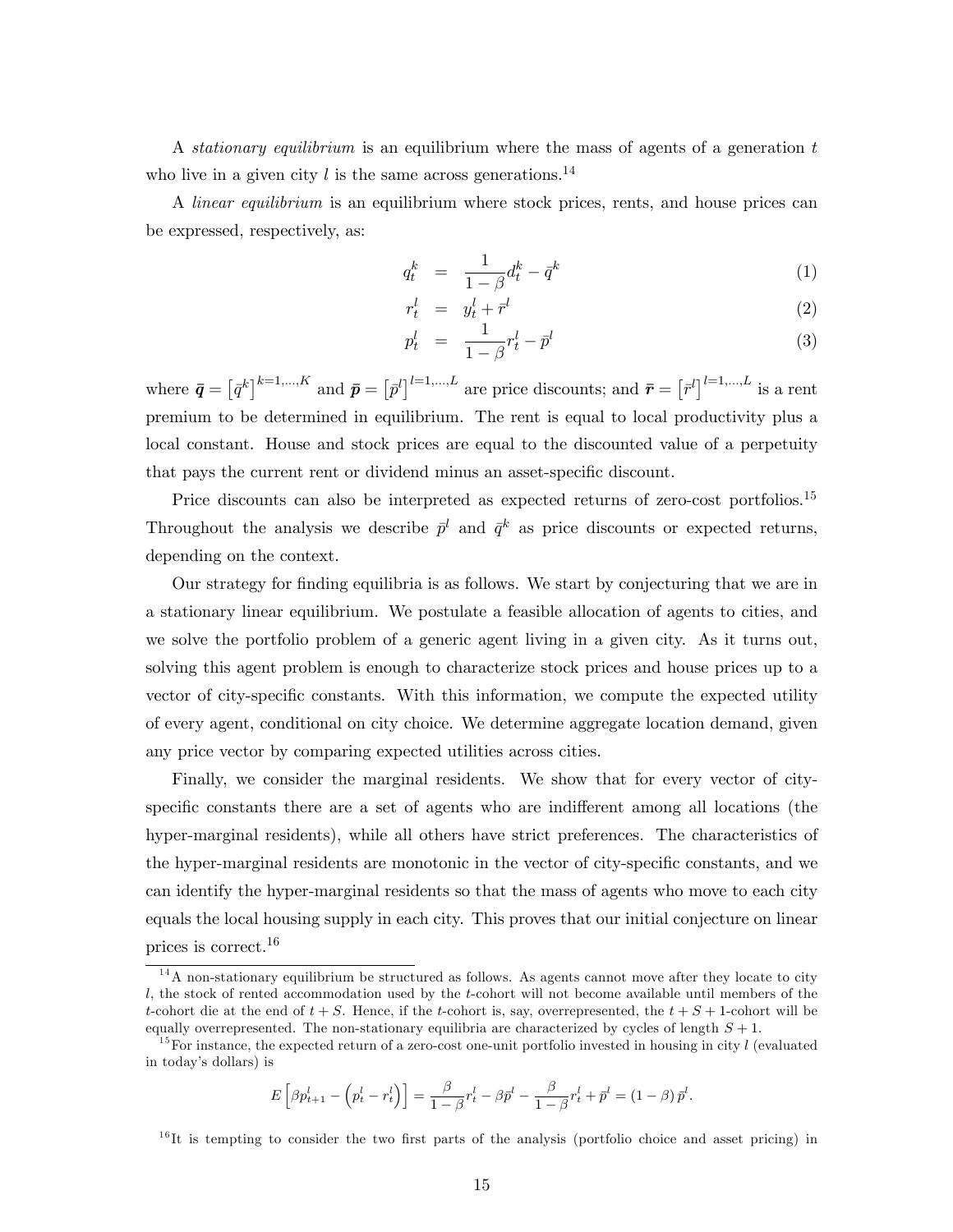A stationary equilibrium is an equilibrium where the mass of agents of a generation  $t$ who live in a given city  $l$  is the same across generations.<sup>14</sup>

A linear equilibrium is an equilibrium where stock prices, rents, and house prices can be expressed, respectively, as:

$$
q_t^k = \frac{1}{1-\beta}d_t^k - \bar{q}^k \tag{1}
$$

$$
r_t^l = y_t^l + \bar{r}^l \tag{2}
$$

$$
p_t^l = \frac{1}{1-\beta}r_t^l - \bar{p}^l \tag{3}
$$

where  $\bar{q} = \left[\bar{q}^k\right]^{k=1,\dots,K}$  and  $\bar{p} = \left[\bar{p}^l\right]^{l=1,\dots,L}$  are price discounts; and  $\bar{r} = \left[\bar{r}^l\right]^{l=1,\dots,L}$  is a rent premium to be determined in equilibrium. The rent is equal to local productivity plus a local constant. House and stock prices are equal to the discounted value of a perpetuity that pays the current rent or dividend minus an asset-specific discount.

Price discounts can also be interpreted as expected returns of zero-cost portfolios.<sup>15</sup> Throughout the analysis we describe  $\bar{p}^l$  and  $\bar{q}^k$  as price discounts or expected returns, depending on the context.

Our strategy for Önding equilibria is as follows. We start by conjecturing that we are in a stationary linear equilibrium. We postulate a feasible allocation of agents to cities, and we solve the portfolio problem of a generic agent living in a given city. As it turns out, solving this agent problem is enough to characterize stock prices and house prices up to a vector of city-specific constants. With this information, we compute the expected utility of every agent, conditional on city choice. We determine aggregate location demand, given any price vector by comparing expected utilities across cities.

Finally, we consider the marginal residents. We show that for every vector of cityspecific constants there are a set of agents who are indifferent among all locations (the hyper-marginal residents), while all others have strict preferences. The characteristics of the hyper-marginal residents are monotonic in the vector of city-specific constants, and we can identify the hyper-marginal residents so that the mass of agents who move to each city equals the local housing supply in each city. This proves that our initial conjecture on linear prices is correct.<sup>16</sup>

$$
E\left[\beta p_{t+1}^l - \left(p_t^l - r_t^l\right)\right] = \frac{\beta}{1-\beta}r_t^l - \beta \bar{p}^l - \frac{\beta}{1-\beta}r_t^l + \bar{p}^l = (1-\beta)\bar{p}^l.
$$

 $16$ It is tempting to consider the two first parts of the analysis (portfolio choice and asset pricing) in

 $14A$  non-stationary equilibrium be structured as follows. As agents cannot move after they locate to city l, the stock of rented accommodation used by the t-cohort will not become available until members of the t-cohort die at the end of  $t + S$ . Hence, if the t-cohort is, say, overrepresented, the  $t + S + 1$ -cohort will be equally overrepresented. The non-stationary equilibria are characterized by cycles of length  $S + 1$ .

<sup>&</sup>lt;sup>15</sup>For instance, the expected return of a zero-cost one-unit portfolio invested in housing in city  $l$  (evaluated in today's dollars) is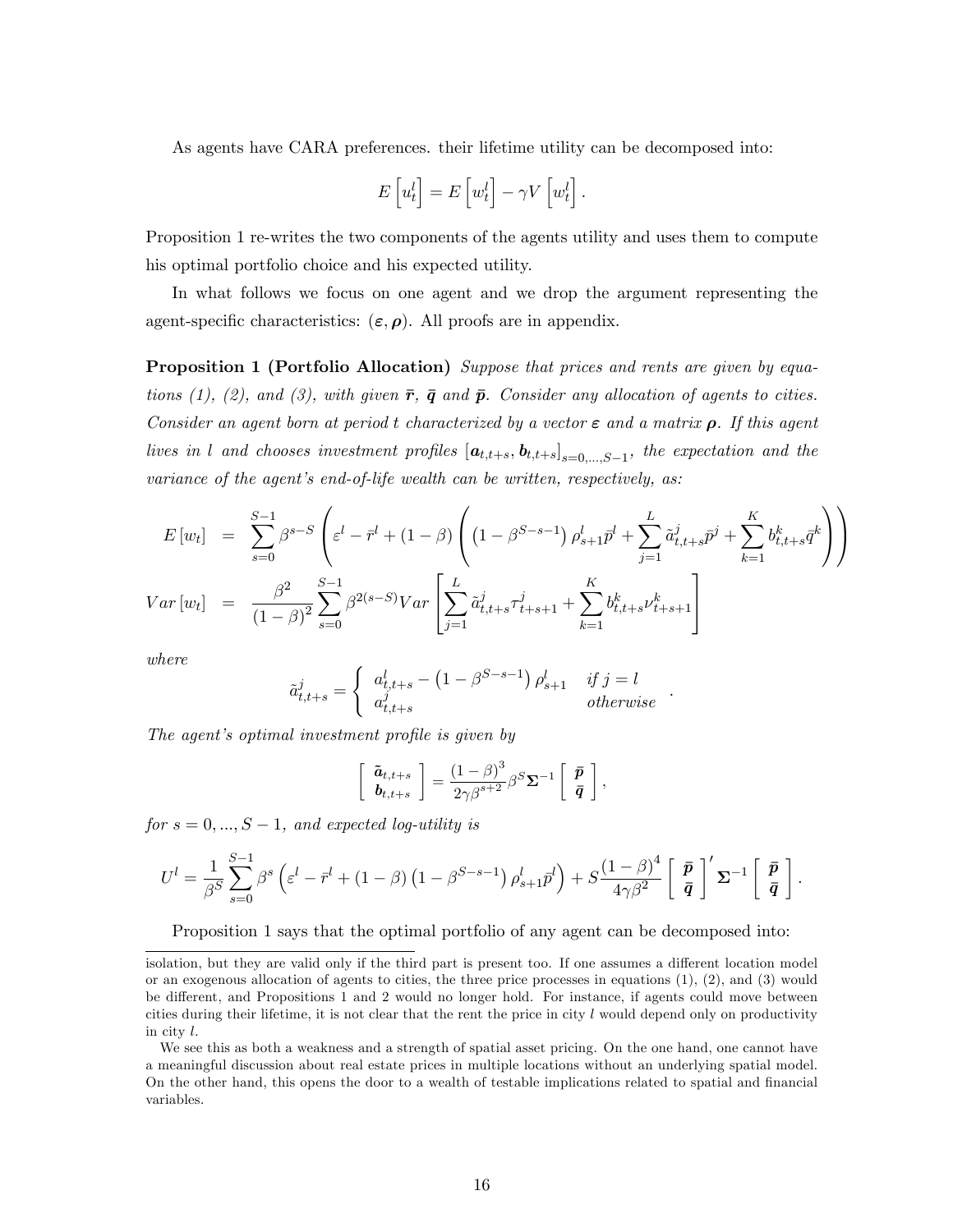As agents have CARA preferences. their lifetime utility can be decomposed into:

$$
E\left[u_t^l\right] = E\left[w_t^l\right] - \gamma V\left[w_t^l\right].
$$

Proposition 1 re-writes the two components of the agents utility and uses them to compute his optimal portfolio choice and his expected utility.

In what follows we focus on one agent and we drop the argument representing the agent-specific characteristics:  $(\epsilon, \rho)$ . All proofs are in appendix.

**Proposition 1 (Portfolio Allocation)** Suppose that prices and rents are given by equations (1), (2), and (3), with given  $\bar{r}$ ,  $\bar{q}$  and  $\bar{p}$ . Consider any allocation of agents to cities. Consider an agent born at period t characterized by a vector  $\varepsilon$  and a matrix  $\rho$ . If this agent lives in l and chooses investment profiles  $[a_{t,t+s}, b_{t,t+s}]_{s=0,\dots,S-1}$ , the expectation and the variance of the agent's end-of-life wealth can be written, respectively, as:

$$
E\left[w_{t}\right] = \sum_{s=0}^{S-1} \beta^{s-S} \left(\varepsilon^{l} - \bar{r}^{l} + (1-\beta) \left( \left(1 - \beta^{S-s-1}\right) \rho_{s+1}^{l} \bar{p}^{l} + \sum_{j=1}^{L} \tilde{a}_{t,t+s}^{j} \bar{p}^{j} + \sum_{k=1}^{K} b_{t,t+s}^{k} \bar{q}^{k} \right) \right)
$$
  
\n
$$
Var\left[w_{t}\right] = \frac{\beta^{2}}{(1-\beta)^{2}} \sum_{s=0}^{S-1} \beta^{2(s-S)} Var\left[\sum_{j=1}^{L} \tilde{a}_{t,t+s}^{j} \tau_{t+s+1}^{j} + \sum_{k=1}^{K} b_{t,t+s}^{k} \nu_{t+s+1}^{k}\right]
$$

where

$$
\tilde{a}_{t,t+s}^j = \begin{cases}\n a_{t,t+s}^l - \left(1 - \beta^{S-s-1}\right) \rho_{s+1}^l & \text{if } j = l \\
 a_{t,t+s}^j & \text{otherwise}\n\end{cases}.
$$

The agent's optimal investment profile is given by

$$
\left[\begin{array}{c} \tilde{a}_{t,t+s} \\ b_{t,t+s} \end{array}\right] = \frac{(1-\beta)^3}{2\gamma\beta^{s+2}}\beta^S\mathbf{\Sigma}^{-1}\left[\begin{array}{c} \bar{p} \\ \bar{q} \end{array}\right],
$$

for  $s = 0, ..., S - 1$ , and expected log-utility is

$$
U^{l} = \frac{1}{\beta^{S}} \sum_{s=0}^{S-1} \beta^{s} \left( \varepsilon^{l} - \bar{r}^{l} + (1-\beta) \left(1 - \beta^{S-s-1}\right) \rho_{s+1}^{l} \bar{p}^{l} \right) + S \frac{(1-\beta)^{4}}{4\gamma \beta^{2}} \left[ \frac{\bar{p}}{\bar{q}} \right] \sum_{s=0}^{I} \left[ \frac{\bar{p}}{\bar{q}} \right].
$$

Proposition 1 says that the optimal portfolio of any agent can be decomposed into:

isolation, but they are valid only if the third part is present too. If one assumes a different location model or an exogenous allocation of agents to cities, the three price processes in equations (1), (2), and (3) would be different, and Propositions 1 and 2 would no longer hold. For instance, if agents could move between cities during their lifetime, it is not clear that the rent the price in city  $l$  would depend only on productivity in city l.

We see this as both a weakness and a strength of spatial asset pricing. On the one hand, one cannot have a meaningful discussion about real estate prices in multiple locations without an underlying spatial model. On the other hand, this opens the door to a wealth of testable implications related to spatial and Önancial variables.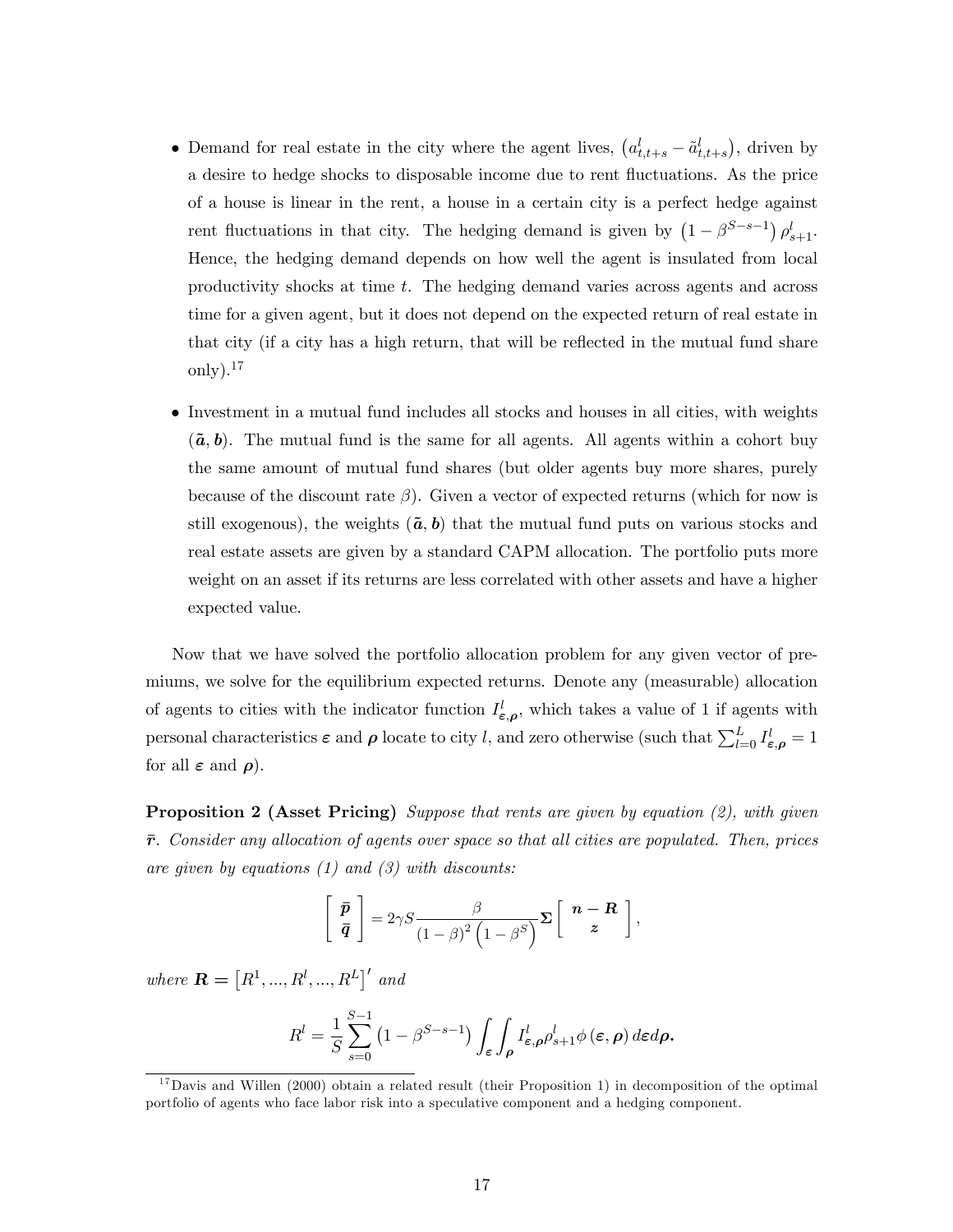- Demand for real estate in the city where the agent lives,  $(a_{t,t+s}^l \tilde{a}_{t,t+s}^l)$ , driven by a desire to hedge shocks to disposable income due to rent áuctuations. As the price of a house is linear in the rent, a house in a certain city is a perfect hedge against rent fluctuations in that city. The hedging demand is given by  $(1 - \beta^{S-s-1}) \rho_{s+1}^l$ . Hence, the hedging demand depends on how well the agent is insulated from local productivity shocks at time t. The hedging demand varies across agents and across time for a given agent, but it does not depend on the expected return of real estate in that city (if a city has a high return, that will be reflected in the mutual fund share only). $17$
- Investment in a mutual fund includes all stocks and houses in all cities, with weights  $(\tilde{a}, b)$ . The mutual fund is the same for all agents. All agents within a cohort buy the same amount of mutual fund shares (but older agents buy more shares, purely because of the discount rate  $\beta$ ). Given a vector of expected returns (which for now is still exogenous), the weights  $(\tilde{a}, b)$  that the mutual fund puts on various stocks and real estate assets are given by a standard CAPM allocation. The portfolio puts more weight on an asset if its returns are less correlated with other assets and have a higher expected value.

Now that we have solved the portfolio allocation problem for any given vector of premiums, we solve for the equilibrium expected returns. Denote any (measurable) allocation of agents to cities with the indicator function  $I_{\epsilon,\rho}^l$ , which takes a value of 1 if agents with personal characteristics  $\epsilon$  and  $\rho$  locate to city l, and zero otherwise (such that  $\sum_{l=0}^{L} I_{\epsilon,\rho}^{l} = 1$ for all  $\varepsilon$  and  $\rho$ ).

**Proposition 2 (Asset Pricing)** Suppose that rents are given by equation  $(2)$ , with given  $\bar{r}$ . Consider any allocation of agents over space so that all cities are populated. Then, prices are given by equations  $(1)$  and  $(3)$  with discounts:

$$
\begin{bmatrix} \bar{p} \\ \bar{q} \end{bmatrix} = 2\gamma S \frac{\beta}{(1-\beta)^2 (1-\beta^S)} \Sigma \begin{bmatrix} n - R \\ z \end{bmatrix},
$$

where  $\mathbf{R} = [R^1, ..., R^l, ..., R^L]'$  and

$$
R^{l} = \frac{1}{S} \sum_{s=0}^{S-1} (1 - \beta^{S-s-1}) \int_{\varepsilon} \int_{\rho} I_{\varepsilon,\rho}^{l} \rho_{s+1}^{l} \phi(\varepsilon,\rho) d\varepsilon d\rho.
$$

 $17$ Davis and Willen (2000) obtain a related result (their Proposition 1) in decomposition of the optimal portfolio of agents who face labor risk into a speculative component and a hedging component.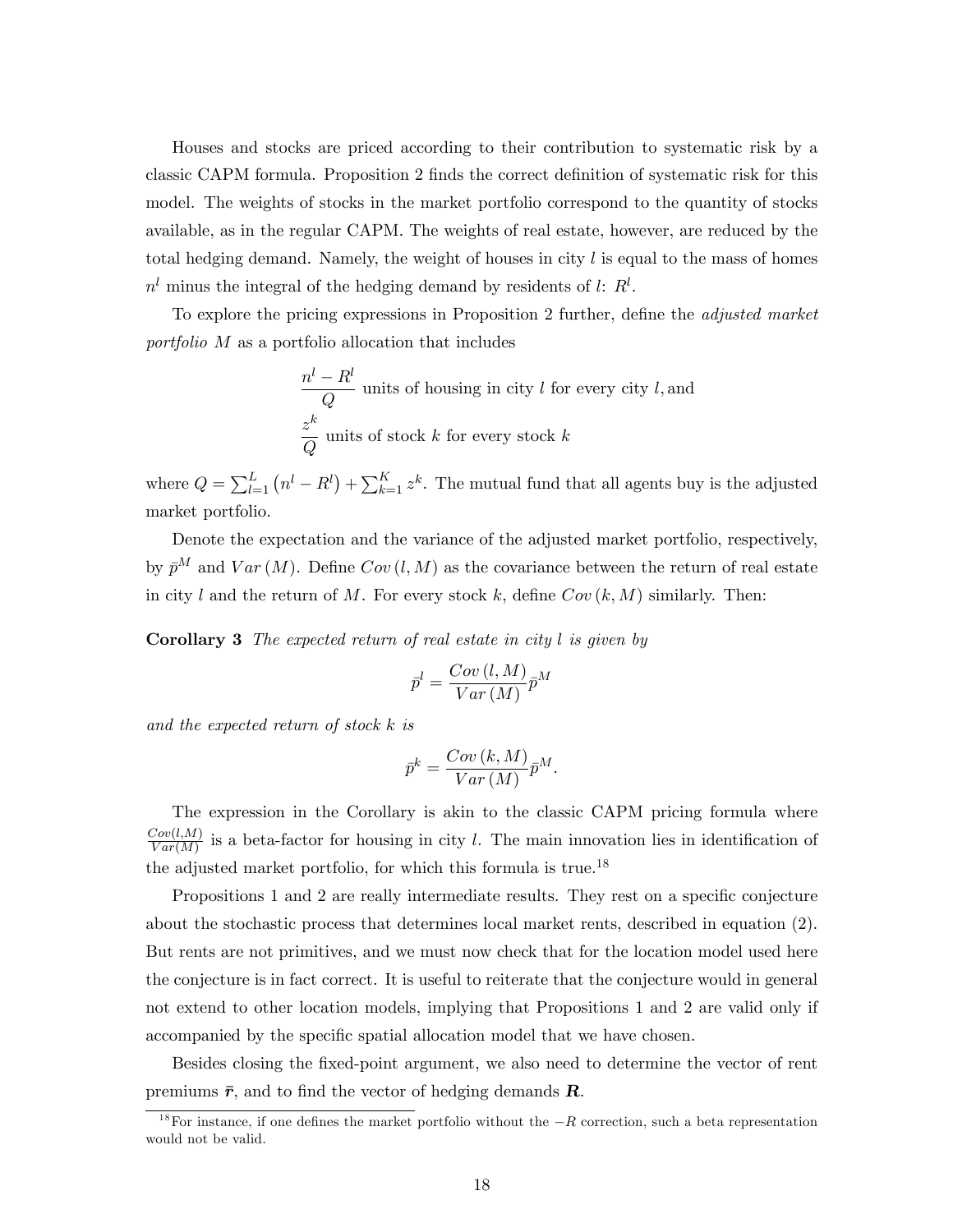Houses and stocks are priced according to their contribution to systematic risk by a classic CAPM formula. Proposition 2 finds the correct definition of systematic risk for this model. The weights of stocks in the market portfolio correspond to the quantity of stocks available, as in the regular CAPM. The weights of real estate, however, are reduced by the total hedging demand. Namely, the weight of houses in city l is equal to the mass of homes  $n^{l}$  minus the integral of the hedging demand by residents of l:  $R^{l}$ .

To explore the pricing expressions in Proposition 2 further, define the *adjusted market* portfolio M as a portfolio allocation that includes

$$
\frac{n^{l} - R^{l}}{Q}
$$
 units of housing in city *l* for every city *l*, and 
$$
\frac{z^{k}}{Q}
$$
 units of stock *k* for every stock *k*

where  $Q = \sum_{l=1}^{L} (n^{l} - R^{l}) + \sum_{k=1}^{K} z^{k}$ . The mutual fund that all agents buy is the adjusted market portfolio.

Denote the expectation and the variance of the adjusted market portfolio, respectively, by  $\bar{p}^M$  and  $Var(M)$ . Define  $Cov(l, M)$  as the covariance between the return of real estate in city l and the return of M. For every stock k, define  $Cov(k, M)$  similarly. Then:

**Corollary 3** The expected return of real estate in city  $l$  is given by

$$
\bar{p}^{l}=\frac{Cov\left(l,M\right)}{Var\left(M\right)}\bar{p}^{M}
$$

and the expected return of stock k is

$$
\bar{p}^k = \frac{Cov(k,M)}{Var(M)} \bar{p}^M.
$$

The expression in the Corollary is akin to the classic CAPM pricing formula where  $Cov(l,M)$  $\frac{\partial v(t,M)}{\partial \alpha r(M)}$  is a beta-factor for housing in city l. The main innovation lies in identification of the adjusted market portfolio, for which this formula is true.<sup>18</sup>

Propositions 1 and 2 are really intermediate results. They rest on a specific conjecture about the stochastic process that determines local market rents, described in equation (2). But rents are not primitives, and we must now check that for the location model used here the conjecture is in fact correct. It is useful to reiterate that the conjecture would in general not extend to other location models, implying that Propositions 1 and 2 are valid only if accompanied by the specific spatial allocation model that we have chosen.

Besides closing the Öxed-point argument, we also need to determine the vector of rent premiums  $\bar{r}$ , and to find the vector of hedging demands **R**.

<sup>&</sup>lt;sup>18</sup>For instance, if one defines the market portfolio without the  $-R$  correction, such a beta representation would not be valid.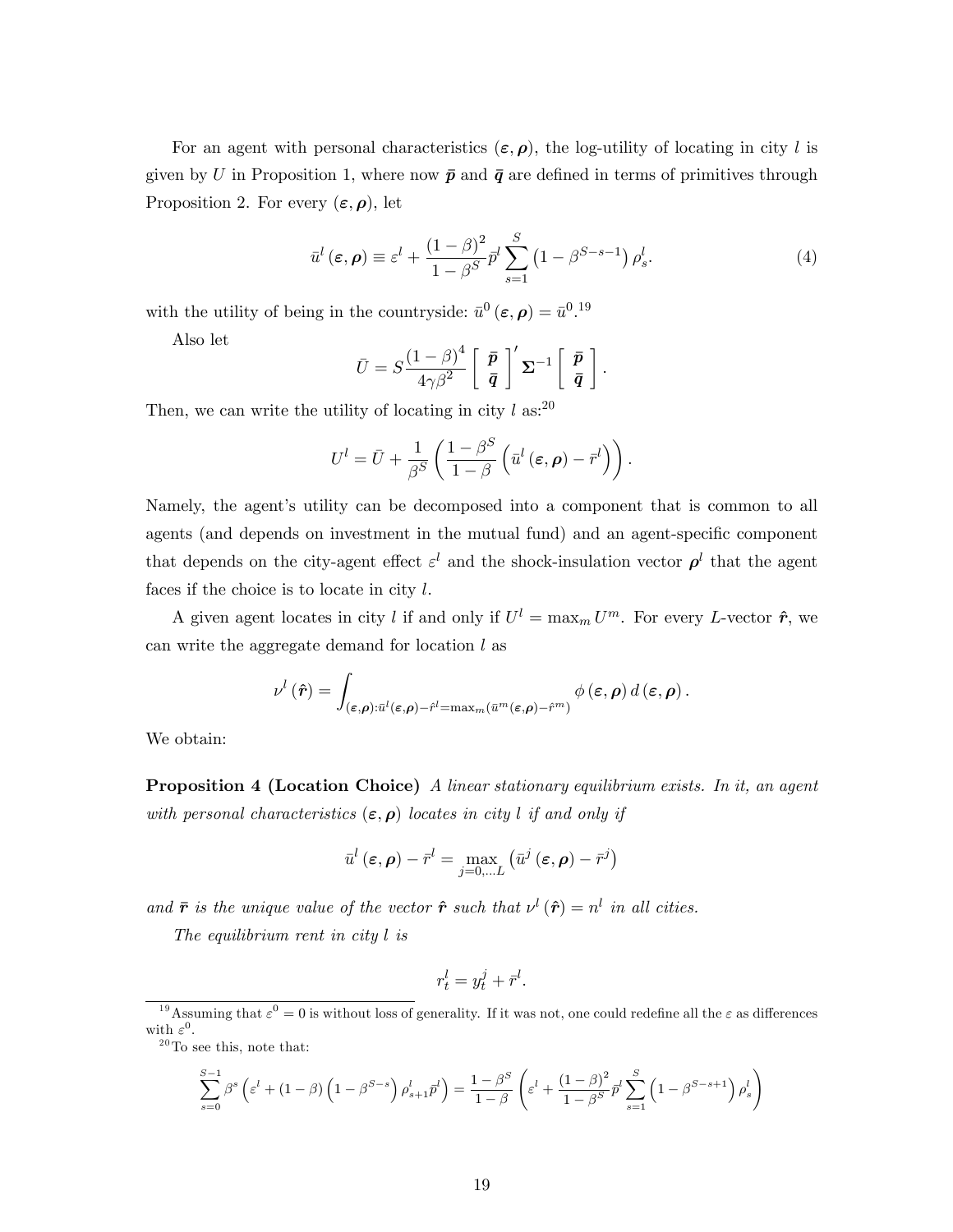For an agent with personal characteristics  $(\epsilon, \rho)$ , the log-utility of locating in city l is given by U in Proposition 1, where now  $\bar{p}$  and  $\bar{q}$  are defined in terms of primitives through Proposition 2. For every  $(\varepsilon, \rho)$ , let

$$
\bar{u}^{l}(\varepsilon,\rho) \equiv \varepsilon^{l} + \frac{(1-\beta)^{2}}{1-\beta^{S}} \bar{p}^{l} \sum_{s=1}^{S} (1-\beta^{S-s-1}) \rho_{s}^{l}.
$$
\n(4)

with the utility of being in the countryside:  $\bar{u}^0(\epsilon,\rho) = \bar{u}^{0.19}$ 

Also let

$$
\bar{U} = S \frac{(1-\beta)^4}{4\gamma \beta^2} \left[ \begin{array}{c} \bar{p} \\ \bar{q} \end{array} \right]' \Sigma^{-1} \left[ \begin{array}{c} \bar{p} \\ \bar{q} \end{array} \right].
$$

Then, we can write the utility of locating in city  $l$  as:  $2^{0}$ 

$$
U^{l} = \bar{U} + \frac{1}{\beta^{S}} \left( \frac{1 - \beta^{S}}{1 - \beta} \left( \bar{u}^{l} \left( \boldsymbol{\varepsilon}, \boldsymbol{\rho} \right) - \bar{r}^{l} \right) \right).
$$

Namely, the agent's utility can be decomposed into a component that is common to all agents (and depends on investment in the mutual fund) and an agent-specific component that depends on the city-agent effect  $\varepsilon^l$  and the shock-insulation vector  $\rho^l$  that the agent faces if the choice is to locate in city  $l$ .

A given agent locates in city l if and only if  $U^l = \max_m U^m$ . For every L-vector  $\hat{r}$ , we can write the aggregate demand for location  $l$  as

$$
\nu^{l}(\hat{\boldsymbol{r}})=\int_{(\boldsymbol{\varepsilon},\boldsymbol{\rho}):\bar{u}^{l}(\boldsymbol{\varepsilon},\boldsymbol{\rho})-\hat{r}^{l}=\max_{m}(\bar{u}^{m}(\boldsymbol{\varepsilon},\boldsymbol{\rho})-\hat{r}^{m})}\phi\left(\boldsymbol{\varepsilon},\boldsymbol{\rho}\right)d\left(\boldsymbol{\varepsilon},\boldsymbol{\rho}\right).
$$

We obtain:

**Proposition 4 (Location Choice)** A linear stationary equilibrium exists. In it, an agent with personal characteristics  $(\epsilon, \rho)$  locates in city l if and only if

$$
\bar{\boldsymbol{u}}^{l}\left(\boldsymbol{\varepsilon},\boldsymbol{\rho}\right)-\bar{r}^{l}=\max_{j=0,...L}\left(\bar{\boldsymbol{u}}^{j}\left(\boldsymbol{\varepsilon},\boldsymbol{\rho}\right)-\bar{r}^{j}\right)
$$

and  $\bar{r}$  is the unique value of the vector  $\hat{r}$  such that  $\nu^l(\hat{r}) = n^l$  in all cities.

The equilibrium rent in city l is

$$
r^l_t = y^j_t + \bar{r}^l.
$$

 $\rm ^{20}To$  see this, note that:

$$
\sum_{s=0}^{S-1} \beta^s \left( \varepsilon^l + (1-\beta) \left( 1 - \beta^{S-s} \right) \rho_{s+1}^l \bar{p}^l \right) = \frac{1-\beta^S}{1-\beta} \left( \varepsilon^l + \frac{(1-\beta)^2}{1-\beta^S} \bar{p}^l \sum_{s=1}^S \left( 1 - \beta^{S-s+1} \right) \rho_s^l \right)
$$

<sup>&</sup>lt;sup>19</sup>Assuming that  $\varepsilon^0 = 0$  is without loss of generality. If it was not, one could redefine all the  $\varepsilon$  as differences with  $\varepsilon^0$ .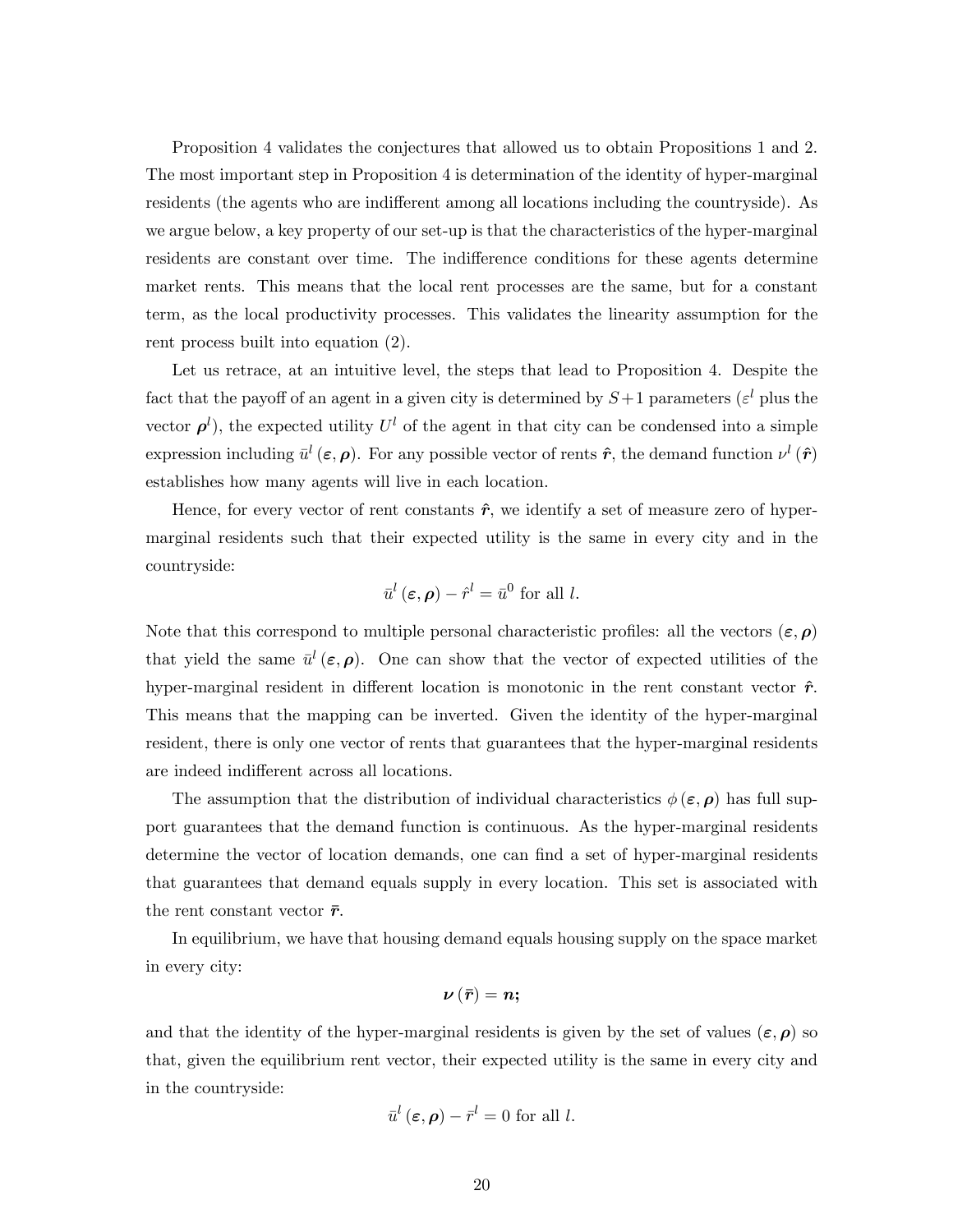Proposition 4 validates the conjectures that allowed us to obtain Propositions 1 and 2. The most important step in Proposition 4 is determination of the identity of hyper-marginal residents (the agents who are indifferent among all locations including the countryside). As we argue below, a key property of our set-up is that the characteristics of the hyper-marginal residents are constant over time. The indifference conditions for these agents determine market rents. This means that the local rent processes are the same, but for a constant term, as the local productivity processes. This validates the linearity assumption for the rent process built into equation (2).

Let us retrace, at an intuitive level, the steps that lead to Proposition 4. Despite the fact that the payoff of an agent in a given city is determined by  $S+1$  parameters ( $\varepsilon^l$  plus the vector  $\rho^l$ ), the expected utility  $U^l$  of the agent in that city can be condensed into a simple expression including  $\bar{u}^l(\epsilon,\rho)$ . For any possible vector of rents  $\hat{r}$ , the demand function  $\nu^l(\hat{r})$ establishes how many agents will live in each location.

Hence, for every vector of rent constants  $\hat{r}$ , we identify a set of measure zero of hypermarginal residents such that their expected utility is the same in every city and in the countryside:

$$
\bar{u}^l\left(\boldsymbol{\varepsilon},\boldsymbol{\rho}\right)-\hat{r}^l=\bar{u}^0 \text{ for all } l.
$$

Note that this correspond to multiple personal characteristic profiles: all the vectors  $(\epsilon, \rho)$ that yield the same  $\bar{u}^l(\epsilon,\rho)$ . One can show that the vector of expected utilities of the hyper-marginal resident in different location is monotonic in the rent constant vector  $\hat{r}$ . This means that the mapping can be inverted. Given the identity of the hyper-marginal resident, there is only one vector of rents that guarantees that the hyper-marginal residents are indeed indifferent across all locations.

The assumption that the distribution of individual characteristics  $\phi(\varepsilon, \rho)$  has full support guarantees that the demand function is continuous. As the hyper-marginal residents determine the vector of location demands, one can find a set of hyper-marginal residents that guarantees that demand equals supply in every location. This set is associated with the rent constant vector  $\bar{r}$ .

In equilibrium, we have that housing demand equals housing supply on the space market in every city:

$$
\boldsymbol{\nu}\left( \boldsymbol{\bar{r}}\right) =\boldsymbol{n};
$$

and that the identity of the hyper-marginal residents is given by the set of values  $(\epsilon, \rho)$  so that, given the equilibrium rent vector, their expected utility is the same in every city and in the countryside:

$$
\bar{u}^l\left(\boldsymbol{\varepsilon},\boldsymbol{\rho}\right)-\bar{r}^l=0\;\mathrm{for}\;\mathrm{all}\;l.
$$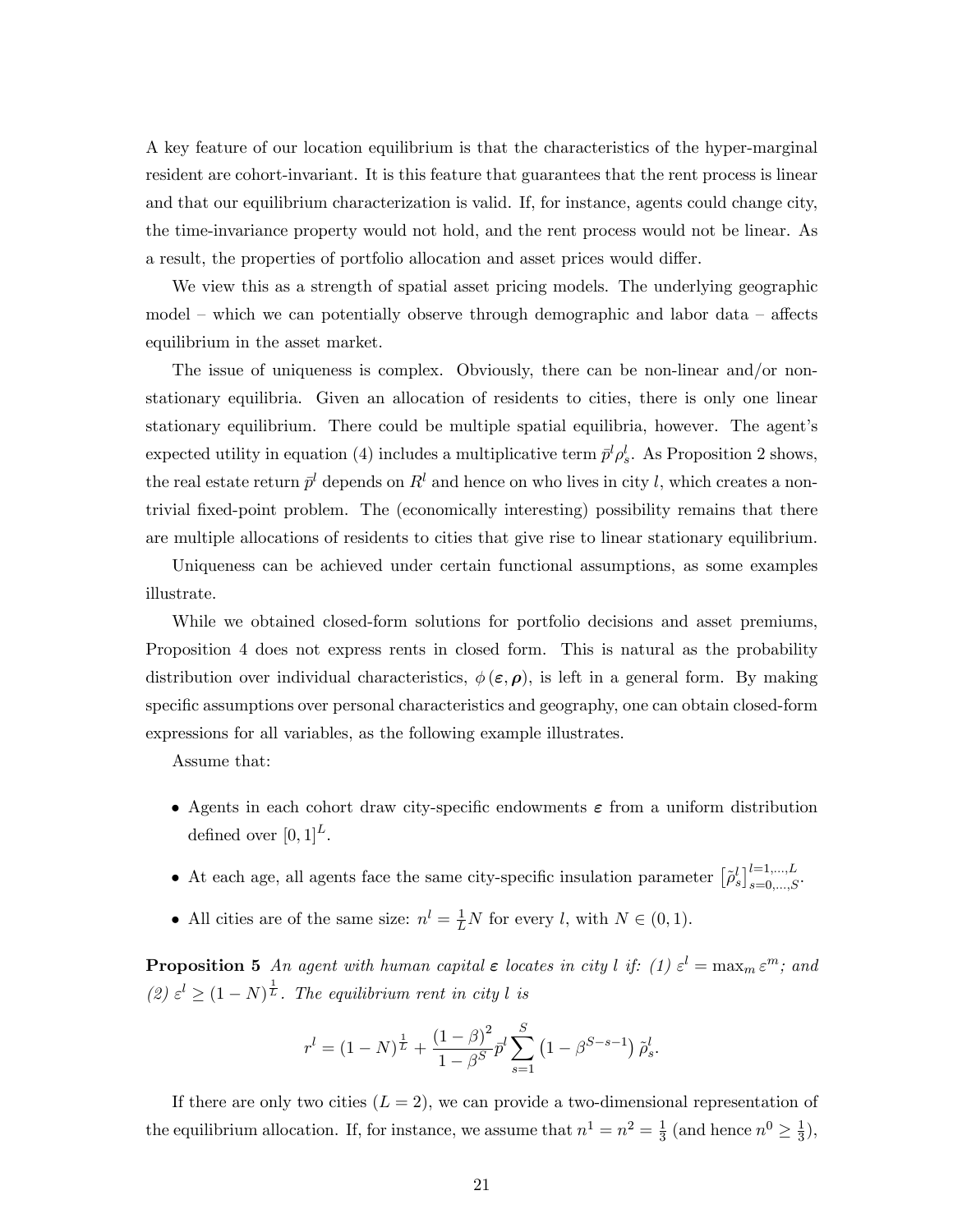A key feature of our location equilibrium is that the characteristics of the hyper-marginal resident are cohort-invariant. It is this feature that guarantees that the rent process is linear and that our equilibrium characterization is valid. If, for instance, agents could change city, the time-invariance property would not hold, and the rent process would not be linear. As a result, the properties of portfolio allocation and asset prices would differ.

We view this as a strength of spatial asset pricing models. The underlying geographic model  $\sim$  which we can potentially observe through demographic and labor data  $\sim$  affects equilibrium in the asset market.

The issue of uniqueness is complex. Obviously, there can be non-linear and/or nonstationary equilibria. Given an allocation of residents to cities, there is only one linear stationary equilibrium. There could be multiple spatial equilibria, however. The agent's expected utility in equation (4) includes a multiplicative term  $\bar{p}^l \rho_s^l$ . As Proposition 2 shows, the real estate return  $\bar{p}^l$  depends on  $R^l$  and hence on who lives in city l, which creates a nontrivial Öxed-point problem. The (economically interesting) possibility remains that there are multiple allocations of residents to cities that give rise to linear stationary equilibrium.

Uniqueness can be achieved under certain functional assumptions, as some examples illustrate.

While we obtained closed-form solutions for portfolio decisions and asset premiums, Proposition 4 does not express rents in closed form. This is natural as the probability distribution over individual characteristics,  $\phi(\varepsilon, \rho)$ , is left in a general form. By making specific assumptions over personal characteristics and geography, one can obtain closed-form expressions for all variables, as the following example illustrates.

Assume that:

- Agents in each cohort draw city-specific endowments  $\varepsilon$  from a uniform distribution defined over  $[0,1]^L$ .
- At each age, all agents face the same city-specific insulation parameter  $[\tilde{\rho}_s^l]_{s=0,\dots,S}^{l=1,\dots,L}$ .
- All cities are of the same size:  $n^l = \frac{1}{L}N$  for every l, with  $N \in (0, 1)$ .

**Proposition 5** An agent with human capital  $\boldsymbol{\varepsilon}$  locates in city l if: (1)  $\varepsilon^l = \max_m \varepsilon^m$ ; and (2)  $\varepsilon^l \ge (1-N)^{\frac{1}{L}}$ . The equilibrium rent in city l is

$$
r^{l} = (1 - N)^{\frac{1}{L}} + \frac{(1 - \beta)^{2}}{1 - \beta^{S}} p^{l} \sum_{s=1}^{S} (1 - \beta^{S - s - 1}) \tilde{\rho}_{s}^{l}.
$$

If there are only two cities  $(L = 2)$ , we can provide a two-dimensional representation of the equilibrium allocation. If, for instance, we assume that  $n^1 = n^2 = \frac{1}{3}$  $\frac{1}{3}$  (and hence  $n^0 \geq \frac{1}{3}$  $(\frac{1}{3}),$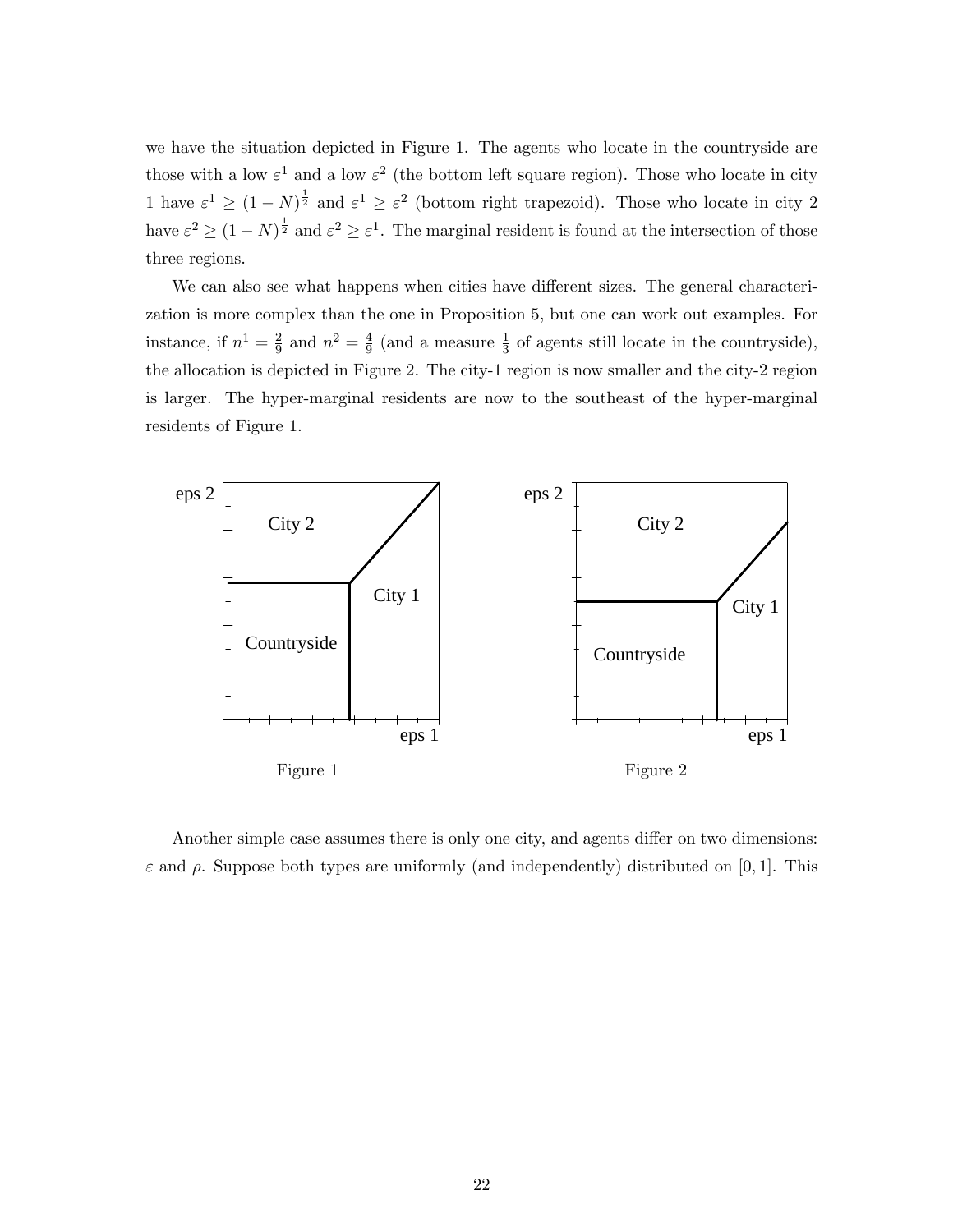we have the situation depicted in Figure 1. The agents who locate in the countryside are those with a low  $\varepsilon^1$  and a low  $\varepsilon^2$  (the bottom left square region). Those who locate in city 1 have  $\varepsilon^1 \ge (1-N)^{\frac{1}{2}}$  and  $\varepsilon^1 \ge \varepsilon^2$  (bottom right trapezoid). Those who locate in city 2 have  $\varepsilon^2 \ge (1-N)^{\frac{1}{2}}$  and  $\varepsilon^2 \ge \varepsilon^1$ . The marginal resident is found at the intersection of those three regions.

We can also see what happens when cities have different sizes. The general characterization is more complex than the one in Proposition 5, but one can work out examples. For instance, if  $n^1 = \frac{2}{9}$  $rac{2}{9}$  and  $n^2 = \frac{4}{9}$  $\frac{4}{9}$  (and a measure  $\frac{1}{3}$  of agents still locate in the countryside), the allocation is depicted in Figure 2. The city-1 region is now smaller and the city-2 region is larger. The hyper-marginal residents are now to the southeast of the hyper-marginal residents of Figure 1.



Another simple case assumes there is only one city, and agents differ on two dimensions:  $\varepsilon$  and  $\rho$ . Suppose both types are uniformly (and independently) distributed on [0,1]. This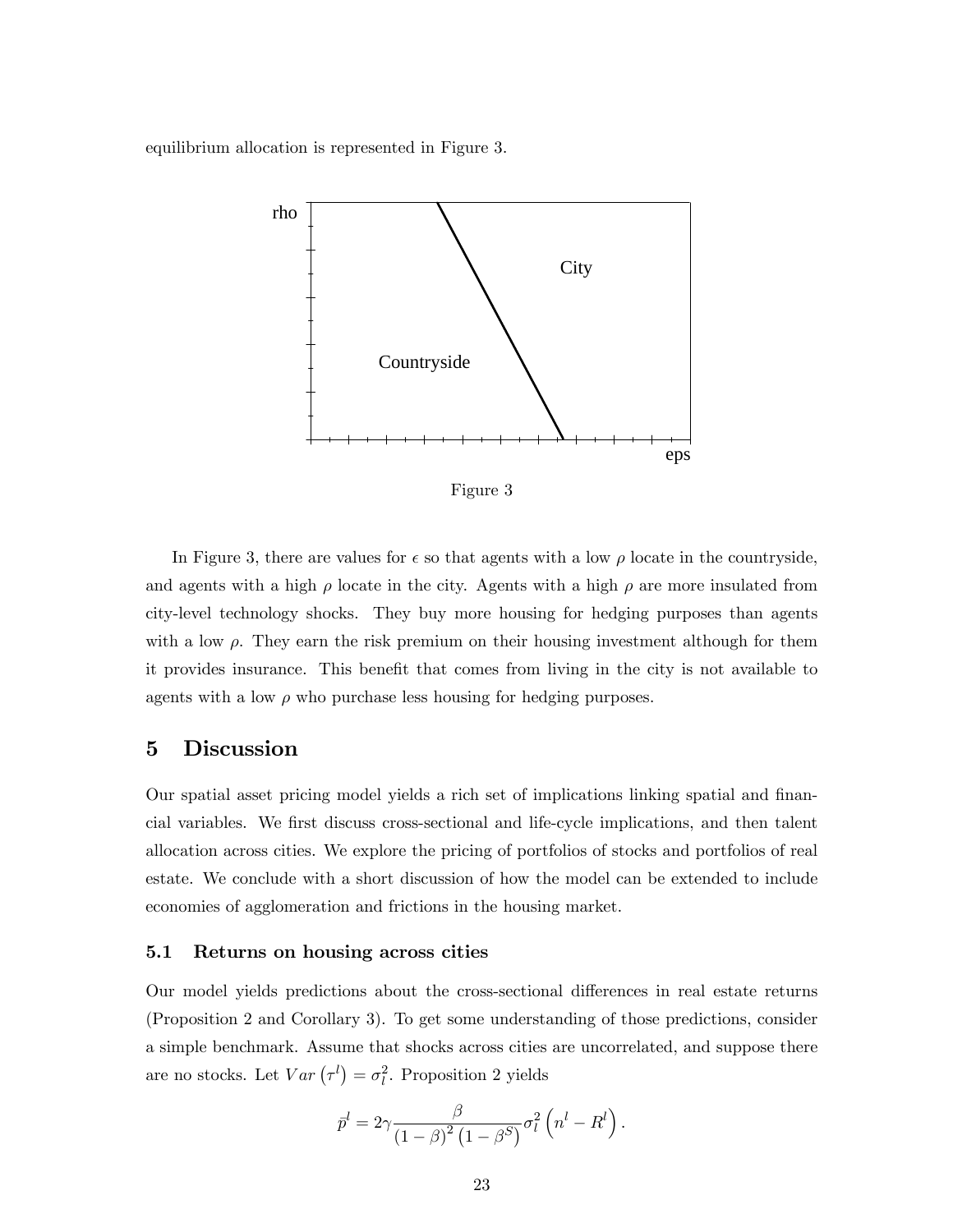equilibrium allocation is represented in Figure 3.



Figure 3

In Figure 3, there are values for  $\epsilon$  so that agents with a low  $\rho$  locate in the countryside, and agents with a high  $\rho$  locate in the city. Agents with a high  $\rho$  are more insulated from city-level technology shocks. They buy more housing for hedging purposes than agents with a low  $\rho$ . They earn the risk premium on their housing investment although for them it provides insurance. This benefit that comes from living in the city is not available to agents with a low  $\rho$  who purchase less housing for hedging purposes.

### 5 Discussion

Our spatial asset pricing model yields a rich set of implications linking spatial and financial variables. We first discuss cross-sectional and life-cycle implications, and then talent allocation across cities. We explore the pricing of portfolios of stocks and portfolios of real estate. We conclude with a short discussion of how the model can be extended to include economies of agglomeration and frictions in the housing market.

#### 5.1 Returns on housing across cities

Our model yields predictions about the cross-sectional differences in real estate returns (Proposition 2 and Corollary 3). To get some understanding of those predictions, consider a simple benchmark. Assume that shocks across cities are uncorrelated, and suppose there are no stocks. Let  $Var(r^l) = \sigma_l^2$ . Proposition 2 yields

$$
\bar{p}^l = 2\gamma \frac{\beta}{\left(1 - \beta\right)^2 \left(1 - \beta^S\right)} \sigma_l^2 \left(n^l - R^l\right).
$$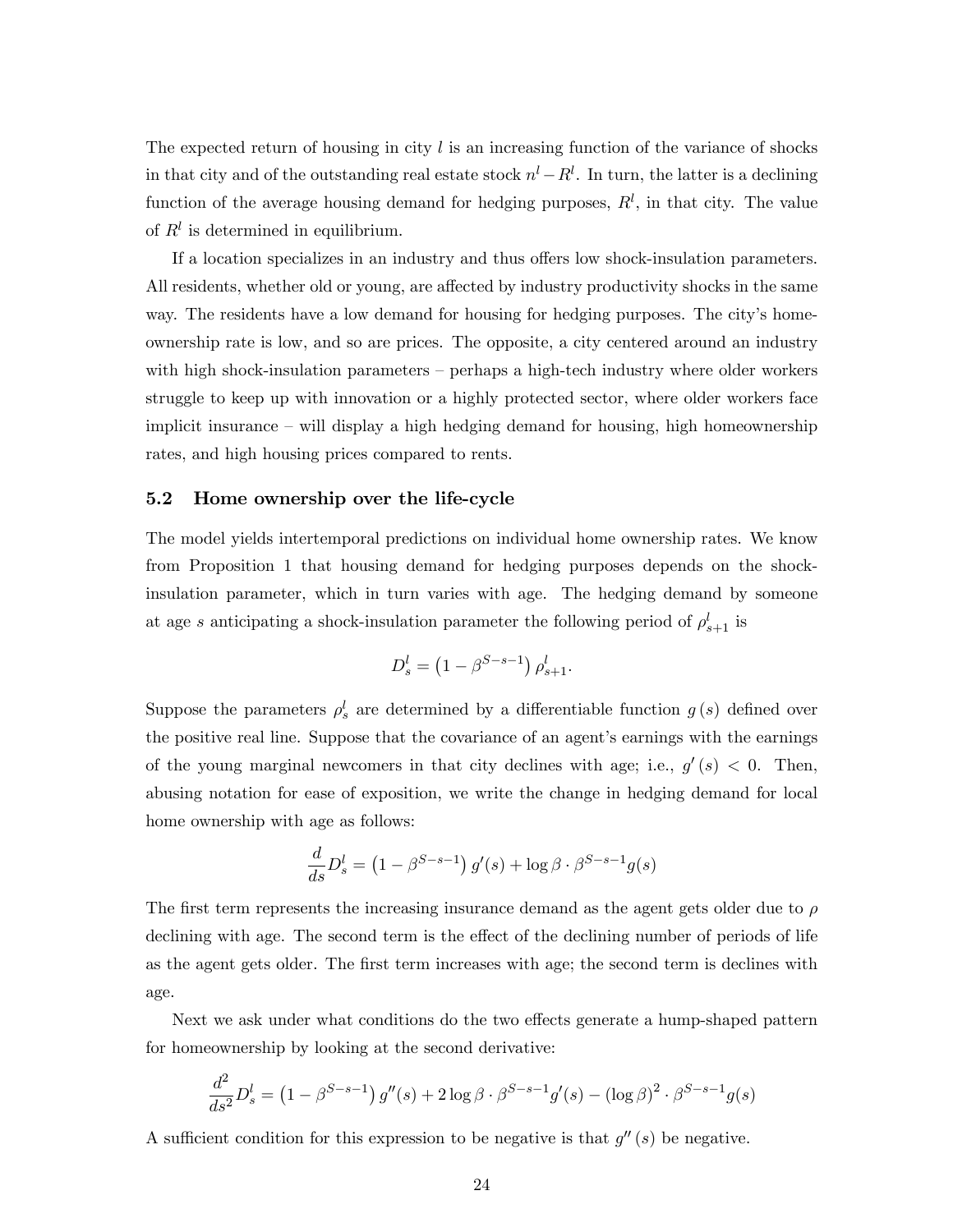The expected return of housing in city  $l$  is an increasing function of the variance of shocks in that city and of the outstanding real estate stock  $n^{l} - R^{l}$ . In turn, the latter is a declining function of the average housing demand for hedging purposes,  $R<sup>l</sup>$ , in that city. The value of  $R<sup>l</sup>$  is determined in equilibrium.

If a location specializes in an industry and thus offers low shock-insulation parameters. All residents, whether old or young, are affected by industry productivity shocks in the same way. The residents have a low demand for housing for hedging purposes. The city's homeownership rate is low, and so are prices. The opposite, a city centered around an industry with high shock-insulation parameters  $-\rho$ erhaps a high-tech industry where older workers struggle to keep up with innovation or a highly protected sector, where older workers face implicit insurance – will display a high hedging demand for housing, high homeownership rates, and high housing prices compared to rents.

#### 5.2 Home ownership over the life-cycle

The model yields intertemporal predictions on individual home ownership rates. We know from Proposition 1 that housing demand for hedging purposes depends on the shockinsulation parameter, which in turn varies with age. The hedging demand by someone at age s anticipating a shock-insulation parameter the following period of  $\rho_{s+1}^l$  is

$$
D_s^l = (1 - \beta^{S - s - 1}) \rho_{s+1}^l.
$$

Suppose the parameters  $\rho_s^l$  are determined by a differentiable function  $g(s)$  defined over the positive real line. Suppose that the covariance of an agent's earnings with the earnings of the young marginal newcomers in that city declines with age; i.e.,  $g'(s) < 0$ . Then, abusing notation for ease of exposition, we write the change in hedging demand for local home ownership with age as follows:

$$
\frac{d}{ds}D_s^l = \left(1 - \beta^{S-s-1}\right)g'(s) + \log \beta \cdot \beta^{S-s-1}g(s)
$$

The first term represents the increasing insurance demand as the agent gets older due to  $\rho$ declining with age. The second term is the effect of the declining number of periods of life as the agent gets older. The first term increases with age; the second term is declines with age.

Next we ask under what conditions do the two effects generate a hump-shaped pattern for homeownership by looking at the second derivative:

$$
\frac{d^2}{ds^2} D_s^l = (1 - \beta^{S-s-1}) g''(s) + 2 \log \beta \cdot \beta^{S-s-1} g'(s) - (\log \beta)^2 \cdot \beta^{S-s-1} g(s)
$$

A sufficient condition for this expression to be negative is that  $g''(s)$  be negative.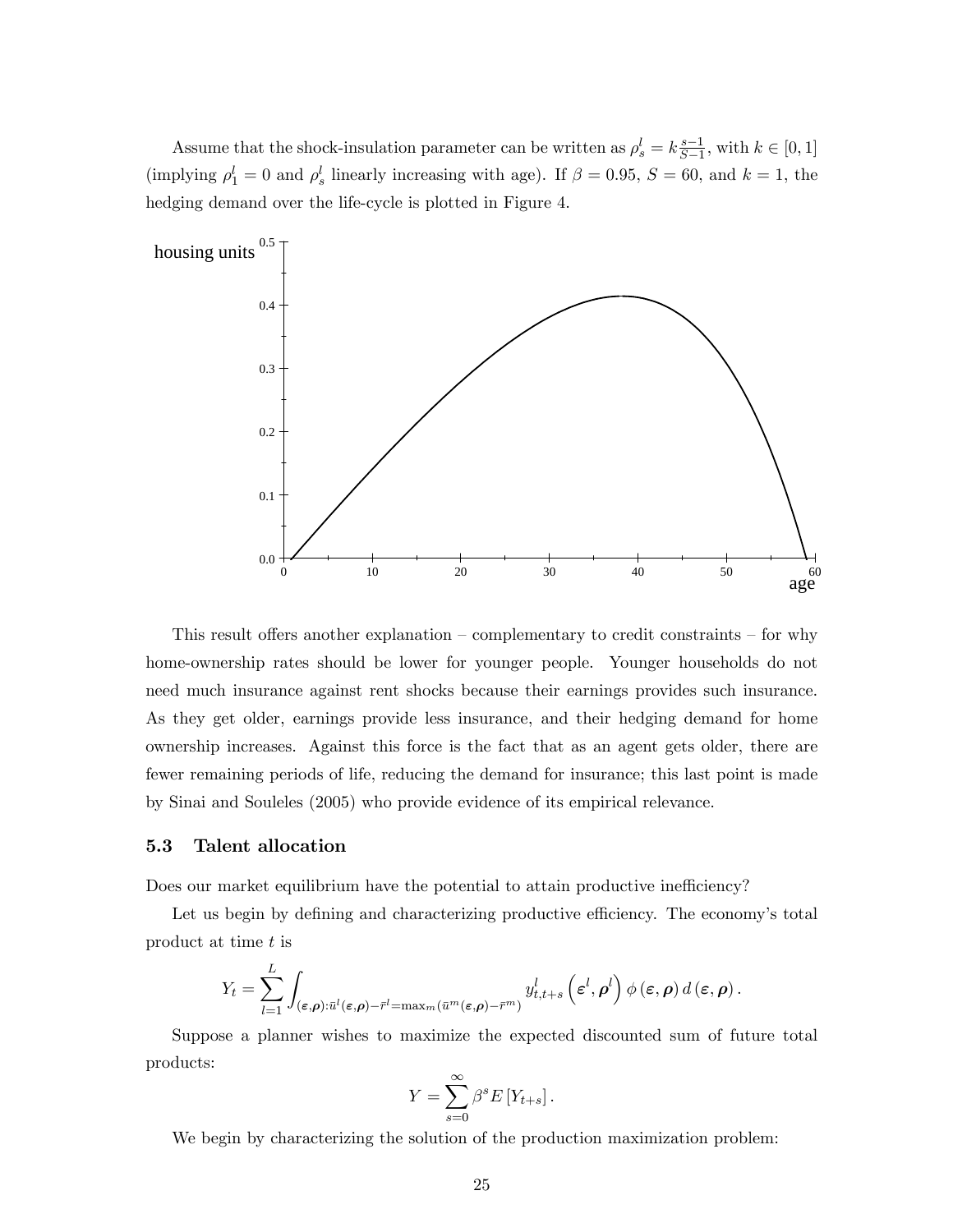Assume that the shock-insulation parameter can be written as  $\rho_s^l = k \frac{s-1}{S-1}$  $\frac{s-1}{S-1}$ , with  $k \in [0, 1]$ (implying  $\rho_1^l = 0$  and  $\rho_s^l$  linearly increasing with age). If  $\beta = 0.95$ ,  $S = 60$ , and  $k = 1$ , the hedging demand over the life-cycle is plotted in Figure 4.



This result offers another explanation  $\sim$  complementary to credit constraints  $\sim$  for why home-ownership rates should be lower for younger people. Younger households do not need much insurance against rent shocks because their earnings provides such insurance. As they get older, earnings provide less insurance, and their hedging demand for home ownership increases. Against this force is the fact that as an agent gets older, there are fewer remaining periods of life, reducing the demand for insurance; this last point is made by Sinai and Souleles (2005) who provide evidence of its empirical relevance.

### 5.3 Talent allocation

Does our market equilibrium have the potential to attain productive inefficiency?

Let us begin by defining and characterizing productive efficiency. The economy's total product at time t is

$$
Y_t = \sum_{l=1}^L \int_{(\boldsymbol{\varepsilon}, \boldsymbol{\rho}): \bar{u}^l(\boldsymbol{\varepsilon}, \boldsymbol{\rho}) - \bar{r}^l = \max_m(\bar{u}^m(\boldsymbol{\varepsilon}, \boldsymbol{\rho}) - \bar{r}^m)} y_{t,t+s}^l(\boldsymbol{\varepsilon}^l, \boldsymbol{\rho}^l) \phi(\boldsymbol{\varepsilon}, \boldsymbol{\rho}) d(\boldsymbol{\varepsilon}, \boldsymbol{\rho}).
$$

Suppose a planner wishes to maximize the expected discounted sum of future total products:

$$
Y = \sum_{s=0}^{\infty} \beta^s E\left[Y_{t+s}\right].
$$

We begin by characterizing the solution of the production maximization problem: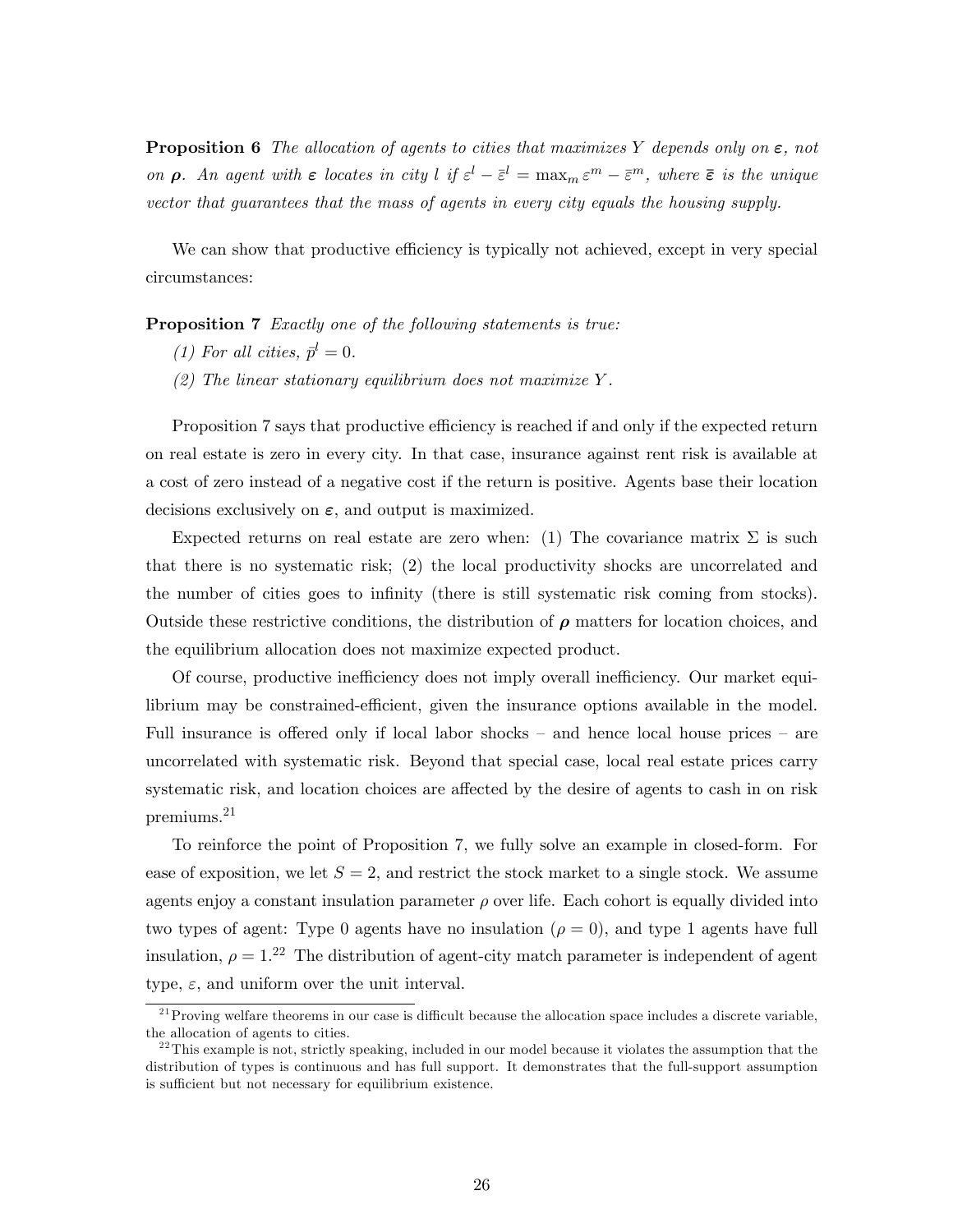**Proposition 6** The allocation of agents to cities that maximizes Y depends only on  $\varepsilon$ , not on  $\rho$ . An agent with  $\varepsilon$  locates in city l if  $\varepsilon^l - \bar{\varepsilon}^l = \max_m \varepsilon^m - \bar{\varepsilon}^m$ , where  $\bar{\varepsilon}$  is the unique vector that guarantees that the mass of agents in every city equals the housing supply.

We can show that productive efficiency is typically not achieved, except in very special circumstances:

Proposition 7 Exactly one of the following statements is true:

- (1) For all cities,  $\bar{p}^l = 0$ .
- (2) The linear stationary equilibrium does not maximize Y.

Proposition 7 says that productive efficiency is reached if and only if the expected return on real estate is zero in every city. In that case, insurance against rent risk is available at a cost of zero instead of a negative cost if the return is positive. Agents base their location decisions exclusively on  $\varepsilon$ , and output is maximized.

Expected returns on real estate are zero when: (1) The covariance matrix  $\Sigma$  is such that there is no systematic risk; (2) the local productivity shocks are uncorrelated and the number of cities goes to infinity (there is still systematic risk coming from stocks). Outside these restrictive conditions, the distribution of  $\rho$  matters for location choices, and the equilibrium allocation does not maximize expected product.

Of course, productive inefficiency does not imply overall inefficiency. Our market equilibrium may be constrained-efficient, given the insurance options available in the model. Full insurance is offered only if local labor shocks  $-$  and hence local house prices  $-$  are uncorrelated with systematic risk. Beyond that special case, local real estate prices carry systematic risk, and location choices are affected by the desire of agents to cash in on risk premiums.<sup>21</sup>

To reinforce the point of Proposition 7, we fully solve an example in closed-form. For ease of exposition, we let  $S = 2$ , and restrict the stock market to a single stock. We assume agents enjoy a constant insulation parameter  $\rho$  over life. Each cohort is equally divided into two types of agent: Type 0 agents have no insulation  $(\rho = 0)$ , and type 1 agents have full insulation,  $\rho = 1.22$  The distribution of agent-city match parameter is independent of agent type,  $\varepsilon$ , and uniform over the unit interval.

 $21$ Proving welfare theorems in our case is difficult because the allocation space includes a discrete variable, the allocation of agents to cities.

 $^{22}$ This example is not, strictly speaking, included in our model because it violates the assumption that the distribution of types is continuous and has full support. It demonstrates that the full-support assumption is sufficient but not necessary for equilibrium existence.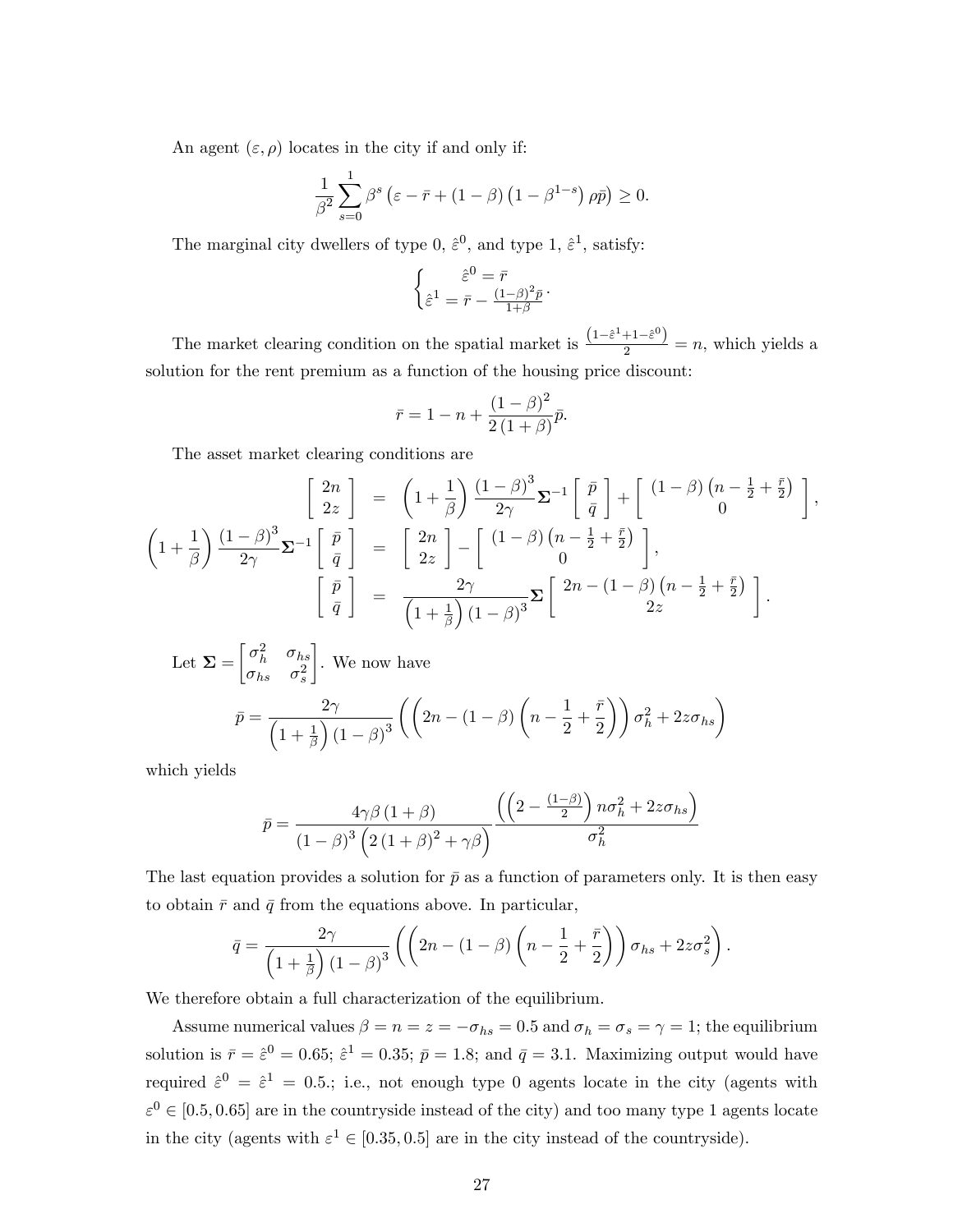An agent  $(\varepsilon, \rho)$  locates in the city if and only if:

$$
\frac{1}{\beta^2} \sum_{s=0}^{1} \beta^s \left( \varepsilon - \bar{r} + (1 - \beta) \left( 1 - \beta^{1-s} \right) \rho \bar{p} \right) \ge 0.
$$

The marginal city dwellers of type 0,  $\hat{\varepsilon}^0$ , and type 1,  $\hat{\varepsilon}^1$ , satisfy:

$$
\begin{cases} \hat{\varepsilon}^0 = \bar{r} \\ \hat{\varepsilon}^1 = \bar{r} - \frac{(1-\beta)^2 \bar{p}}{1+\beta} \end{cases}.
$$

The market clearing condition on the spatial market is  $\frac{(1-\hat{\varepsilon}^1+1-\hat{\varepsilon}^0)}{2} = n$ , which yields a solution for the rent premium as a function of the housing price discount:

$$
\bar{r} = 1 - n + \frac{(1 - \beta)^2}{2(1 + \beta)}\bar{p}.
$$

The asset market clearing conditions are

$$
\begin{bmatrix} 2n \\ 2z \end{bmatrix} = \left(1 + \frac{1}{\beta}\right) \frac{(1-\beta)^3}{2\gamma} \Sigma^{-1} \left[\begin{array}{c} \bar{p} \\ \bar{q} \end{array}\right] + \left[\begin{array}{c} (1-\beta)\left(n - \frac{1}{2} + \frac{\bar{r}}{2}\right) \\ 0 \end{array}\right],
$$

$$
\left(1 + \frac{1}{\beta}\right) \frac{(1-\beta)^3}{2\gamma} \Sigma^{-1} \left[\begin{array}{c} \bar{p} \\ \bar{q} \end{array}\right] = \left[\begin{array}{c} 2n \\ 2z \end{array}\right] - \left[\begin{array}{c} (1-\beta)\left(n - \frac{1}{2} + \frac{\bar{r}}{2}\right) \\ 0 \end{array}\right],
$$

$$
\left[\begin{array}{c} \bar{p} \\ \bar{q} \end{array}\right] = \frac{2\gamma}{\left(1 + \frac{1}{\beta}\right)\left(1 - \beta\right)^3} \Sigma \left[\begin{array}{cc} 2n - (1-\beta)\left(n - \frac{1}{2} + \frac{\bar{r}}{2}\right) \\ 2z \end{array}\right].
$$

Let 
$$
\Sigma = \begin{bmatrix} \sigma_h^2 & \sigma_{hs} \\ \sigma_{hs} & \sigma_s^2 \end{bmatrix}
$$
. We now have  
\n
$$
\bar{p} = \frac{2\gamma}{\left(1 + \frac{1}{\beta}\right)\left(1 - \beta\right)^3} \left( \left(2n - (1 - \beta)\left(n - \frac{1}{2} + \frac{\bar{r}}{2}\right)\right) \sigma_h^2 + 2z\sigma_{hs} \right)
$$

which yields

$$
\bar{p} = \frac{4\gamma\beta\left(1+\beta\right)}{\left(1-\beta\right)^3\left(2\left(1+\beta\right)^2 + \gamma\beta\right)} \frac{\left(\left(2 - \frac{(1-\beta)}{2}\right)n\sigma_h^2 + 2z\sigma_{hs}\right)}{\sigma_h^2}
$$

The last equation provides a solution for  $\bar{p}$  as a function of parameters only. It is then easy to obtain  $\bar{r}$  and  $\bar{q}$  from the equations above. In particular,

$$
\bar{q} = \frac{2\gamma}{\left(1 + \frac{1}{\beta}\right)\left(1 - \beta\right)^3} \left( \left(2n - \left(1 - \beta\right)\left(n - \frac{1}{2} + \frac{\bar{r}}{2}\right)\right) \sigma_{hs} + 2z\sigma_s^2 \right).
$$

We therefore obtain a full characterization of the equilibrium.

Assume numerical values  $\beta = n = z = -\sigma_{hs} = 0.5$  and  $\sigma_h = \sigma_s = \gamma = 1$ ; the equilibrium solution is  $\bar{r} = \hat{\varepsilon}^0 = 0.65$ ;  $\hat{\varepsilon}^1 = 0.35$ ;  $\bar{p} = 1.8$ ; and  $\bar{q} = 3.1$ . Maximizing output would have required  $\hat{\epsilon}^0 = \hat{\epsilon}^1 = 0.5$ ; i.e., not enough type 0 agents locate in the city (agents with  $\varepsilon^0 \in [0.5, 0.65]$  are in the countryside instead of the city) and too many type 1 agents locate in the city (agents with  $\varepsilon^1 \in [0.35, 0.5]$  are in the city instead of the countryside).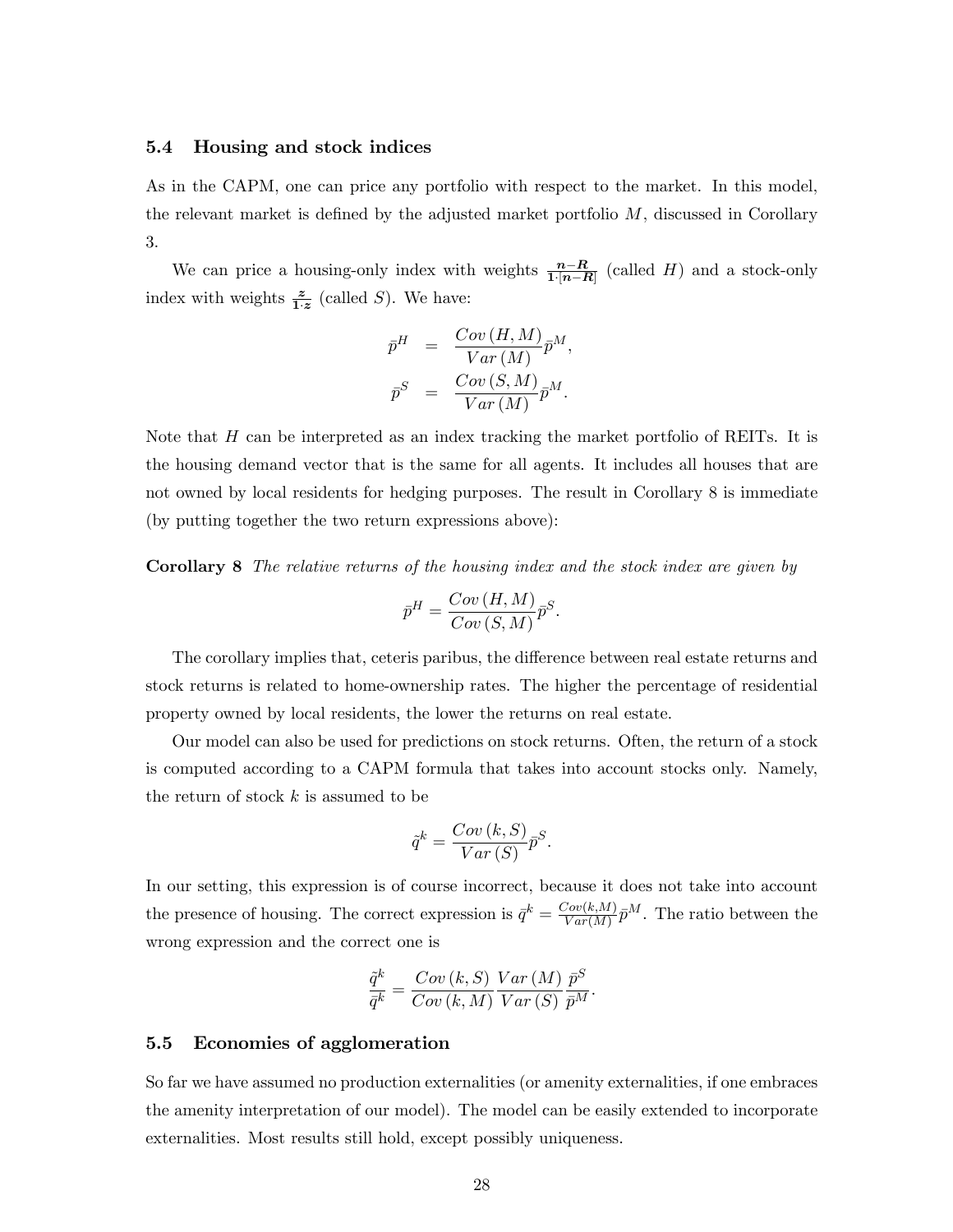#### 5.4 Housing and stock indices

As in the CAPM, one can price any portfolio with respect to the market. In this model, the relevant market is defined by the adjusted market portfolio  $M$ , discussed in Corollary 3.

We can price a housing-only index with weights  $\frac{n-R}{1\cdot[n-R]}$  (called H) and a stock-only index with weights  $\frac{z}{1-z}$  (called S). We have:

$$
\begin{array}{rcl} \bar{p}^H & = & \displaystyle \frac{Cov\left(H,M\right)}{Var\left(M\right)}\bar{p}^M, \\ \bar{p}^S & = & \displaystyle \frac{Cov\left(S,M\right)}{Var\left(M\right)}\bar{p}^M. \end{array}
$$

Note that  $H$  can be interpreted as an index tracking the market portfolio of REITs. It is the housing demand vector that is the same for all agents. It includes all houses that are not owned by local residents for hedging purposes. The result in Corollary 8 is immediate (by putting together the two return expressions above):

Corollary 8 The relative returns of the housing index and the stock index are given by

$$
\bar{p}^H = \frac{Cov(H, M)}{Cov(S, M)} \bar{p}^S.
$$

The corollary implies that, ceteris paribus, the difference between real estate returns and stock returns is related to home-ownership rates. The higher the percentage of residential property owned by local residents, the lower the returns on real estate.

Our model can also be used for predictions on stock returns. Often, the return of a stock is computed according to a CAPM formula that takes into account stocks only. Namely, the return of stock  $k$  is assumed to be

$$
\tilde{q}^k = \frac{Cov(k, S)}{Var(S)} \bar{p}^S.
$$

In our setting, this expression is of course incorrect, because it does not take into account the presence of housing. The correct expression is  $\bar{q}^k = \frac{Cov(k,M)}{Var(M)}$  $\frac{Cov(k,M)}{Var(M)} \bar{p}^M$ . The ratio between the wrong expression and the correct one is

$$
\frac{\tilde{q}^k}{\bar{q}^k} = \frac{Cov(k, S)}{Cov(k, M)} \frac{Var(M)}{Var(S)} \frac{\bar{p}^S}{\bar{p}^M}
$$

:

### 5.5 Economies of agglomeration

So far we have assumed no production externalities (or amenity externalities, if one embraces the amenity interpretation of our model). The model can be easily extended to incorporate externalities. Most results still hold, except possibly uniqueness.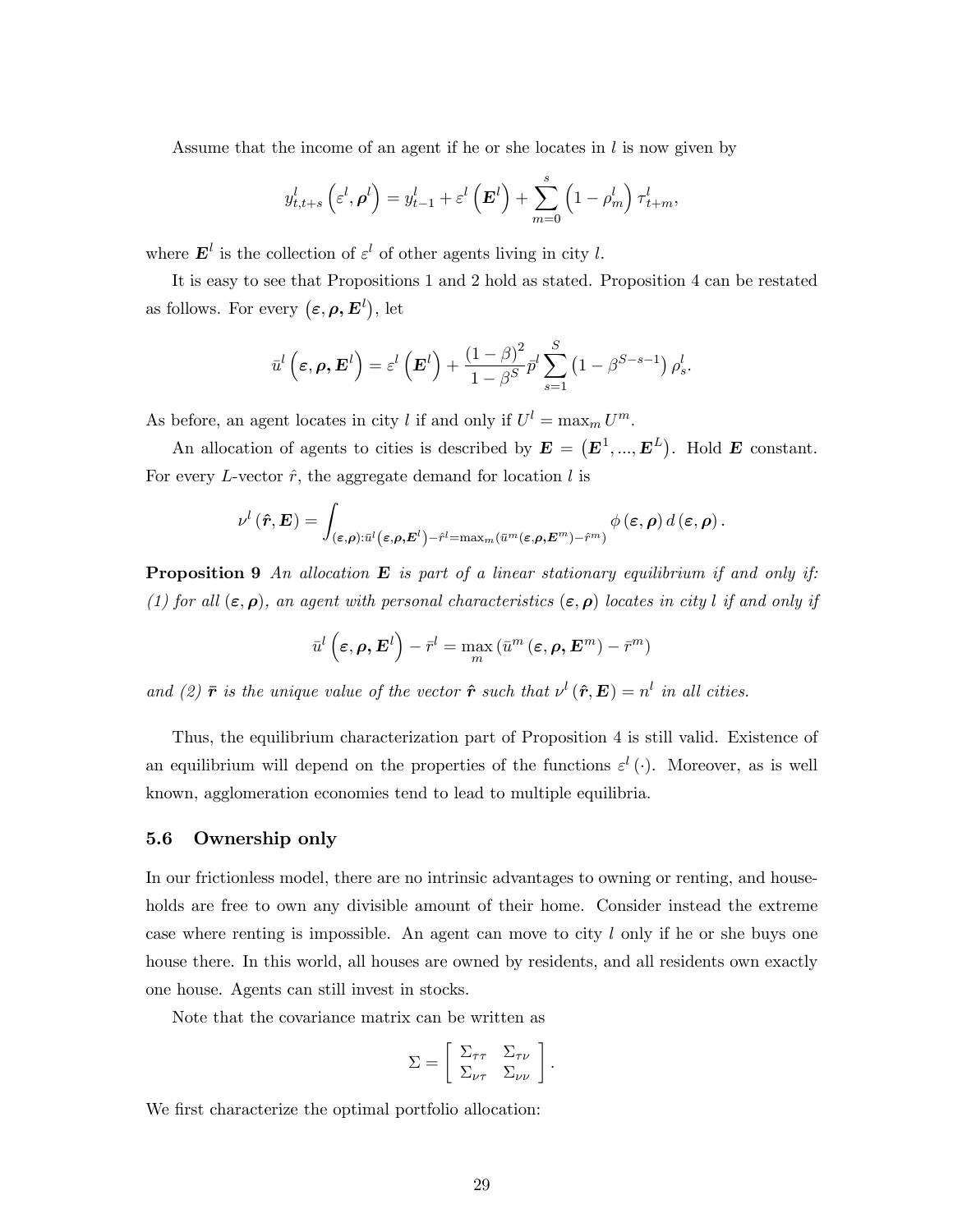Assume that the income of an agent if he or she locates in  $l$  is now given by

$$
y_{t,t+s}^l\left(\varepsilon^l,\boldsymbol{\rho}^l\right)=y_{t-1}^l+\varepsilon^l\left(\boldsymbol{E}^l\right)+\sum_{m=0}^s\left(1-\rho_m^l\right)\tau_{t+m}^l,
$$

where  $\mathbf{E}^{l}$  is the collection of  $\varepsilon^{l}$  of other agents living in city l.

It is easy to see that Propositions 1 and 2 hold as stated. Proposition 4 can be restated as follows. For every  $(\boldsymbol{\varepsilon}, \boldsymbol{\rho}, \boldsymbol{E}^l)$ , let

$$
\bar{u}^{l}\left(\boldsymbol{\varepsilon},\boldsymbol{\rho},\boldsymbol{E}^{l}\right)=\varepsilon^{l}\left(\boldsymbol{E}^{l}\right)+\frac{\left(1-\beta\right)^{2}}{1-\beta^{S}}\bar{p}^{l}\sum_{s=1}^{S}\left(1-\beta^{S-s-1}\right)\rho_{s}^{l}.
$$

As before, an agent locates in city l if and only if  $U^l = \max_m U^m$ .

An allocation of agents to cities is described by  $\mathbf{E} = (\mathbf{E}^1, ..., \mathbf{E}^L)$ . Hold  $\mathbf{E}$  constant. For every L-vector  $\hat{r}$ , the aggregate demand for location l is

$$
\nu^l\left(\hat{\bm{r}}, \bm{E}\right) = \int_{(\bm{\varepsilon},\bm{\rho}): \bar{u}^l\left(\bm{\varepsilon},\bm{\rho},\bm{E}^l\right) - \hat{r}^l = \max_{m}\left(\bar{u}^m(\bm{\varepsilon},\bm{\rho},\bm{E}^m)-\hat{r}^m\right)} \phi\left(\bm{\varepsilon},\bm{\rho}\right) d\left(\bm{\varepsilon},\bm{\rho}\right).
$$

**Proposition 9** An allocation **E** is part of a linear stationary equilibrium if and only if: (1) for all  $(\epsilon, \rho)$ , an agent with personal characteristics  $(\epsilon, \rho)$  locates in city l if and only if

$$
\bar{\boldsymbol{u}}^{l}\left(\boldsymbol{\varepsilon},\boldsymbol{\rho},\boldsymbol{E}^{l}\right)-\bar{r}^{l}=\max _{m}\left(\bar{\boldsymbol{u}}^{m}\left(\boldsymbol{\varepsilon},\boldsymbol{\rho},\boldsymbol{E}^{m}\right)-\bar{r}^{m}\right)
$$

and (2)  $\bar{r}$  is the unique value of the vector  $\hat{r}$  such that  $\nu^l(\hat{r}, E) = n^l$  in all cities.

Thus, the equilibrium characterization part of Proposition 4 is still valid. Existence of an equilibrium will depend on the properties of the functions  $\varepsilon^l(\cdot)$ . Moreover, as is well known, agglomeration economies tend to lead to multiple equilibria.

### 5.6 Ownership only

In our frictionless model, there are no intrinsic advantages to owning or renting, and households are free to own any divisible amount of their home. Consider instead the extreme case where renting is impossible. An agent can move to city  $l$  only if he or she buys one house there. In this world, all houses are owned by residents, and all residents own exactly one house. Agents can still invest in stocks.

Note that the covariance matrix can be written as

$$
\Sigma = \left[ \begin{array}{cc} \Sigma_{\tau\tau} & \Sigma_{\tau\nu} \\ \Sigma_{\nu\tau} & \Sigma_{\nu\nu} \end{array} \right].
$$

We first characterize the optimal portfolio allocation: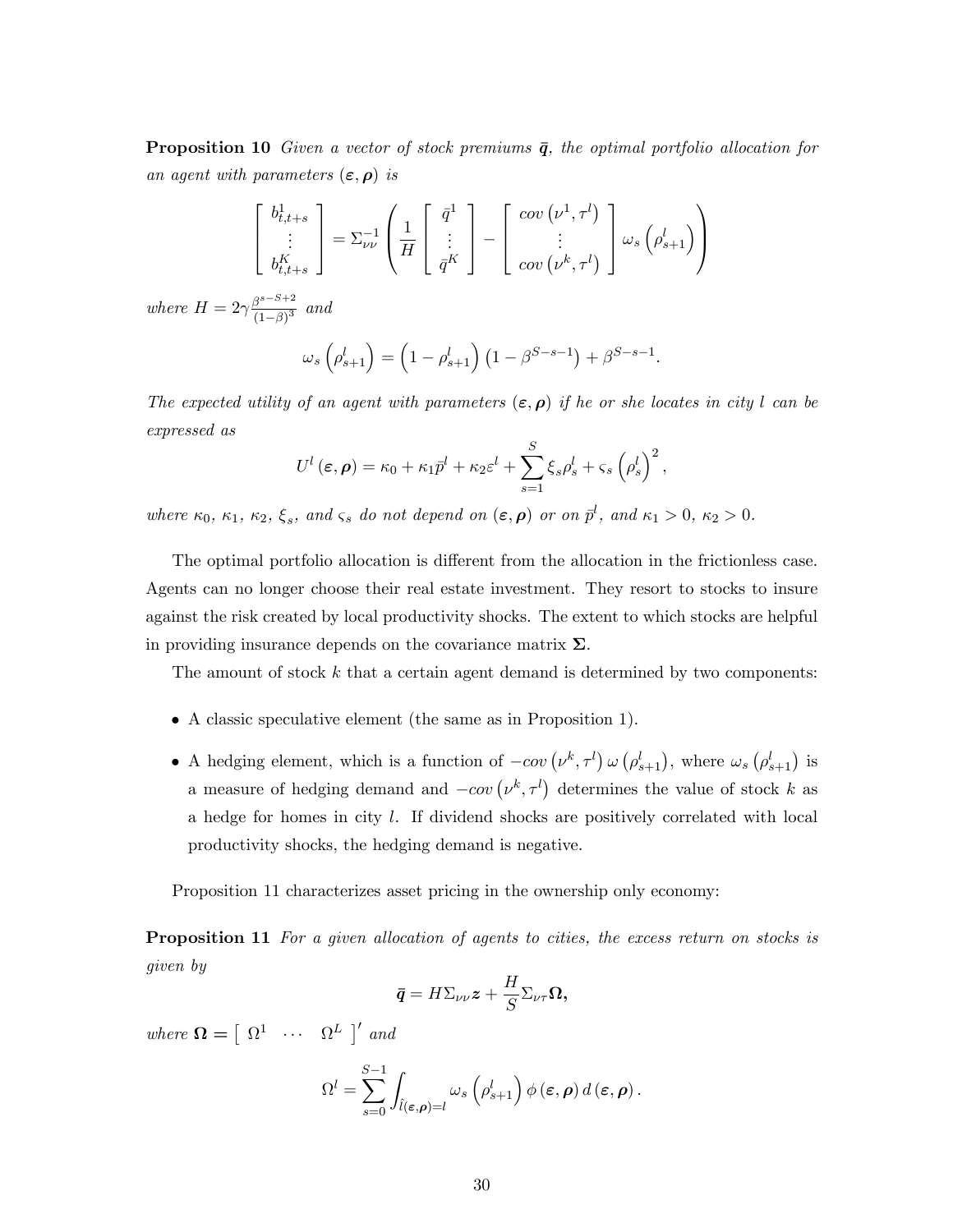**Proposition 10** Given a vector of stock premiums  $\bar{q}$ , the optimal portfolio allocation for an agent with parameters  $(\epsilon, \rho)$  is

$$
\begin{bmatrix} b_{t,t+s}^1 \\ \vdots \\ b_{t,t+s}^K \end{bmatrix} = \Sigma_{\nu\nu}^{-1} \left( \frac{1}{H} \begin{bmatrix} \bar{q}^1 \\ \vdots \\ \bar{q}^K \end{bmatrix} - \begin{bmatrix} cov(\nu^1, \tau^l) \\ \vdots \\ cov(\nu^k, \tau^l) \end{bmatrix} \omega_s \left( \rho_{s+1}^l \right) \right)
$$

where  $H = 2\gamma \frac{\beta^{s-S+2}}{(1-\beta)^3}$  $\frac{6^{2}}{(1-\beta)^{3}}$  and

$$
\omega_s \left( \rho_{s+1}^l \right) = \left( 1 - \rho_{s+1}^l \right) \left( 1 - \beta^{S-s-1} \right) + \beta^{S-s-1}.
$$

The expected utility of an agent with parameters  $(\epsilon, \rho)$  if he or she locates in city l can be expressed as

$$
U^{l}(\boldsymbol{\varepsilon},\boldsymbol{\rho})=\kappa_0+\kappa_1\bar{p}^{l}+\kappa_2\varepsilon^{l}+\sum_{s=1}^{S}\xi_s\rho_s^{l}+\zeta_s\left(\rho_s^{l}\right)^2,
$$

where  $\kappa_0$ ,  $\kappa_1$ ,  $\kappa_2$ ,  $\xi_s$ , and  $\zeta_s$  do not depend on  $(\epsilon, \rho)$  or on  $\bar{p}^l$ , and  $\kappa_1 > 0$ ,  $\kappa_2 > 0$ .

The optimal portfolio allocation is different from the allocation in the frictionless case. Agents can no longer choose their real estate investment. They resort to stocks to insure against the risk created by local productivity shocks. The extent to which stocks are helpful in providing insurance depends on the covariance matrix  $\Sigma$ .

The amount of stock  $k$  that a certain agent demand is determined by two components:

- A classic speculative element (the same as in Proposition 1).
- A hedging element, which is a function of  $-cov(\nu^k, \tau^l) \omega(\rho_{s+1}^l)$ , where  $\omega_s(\rho_{s+1}^l)$  is a measure of hedging demand and  $-cov(\nu^k, \tau^l)$  determines the value of stock k as a hedge for homes in city l. If dividend shocks are positively correlated with local productivity shocks, the hedging demand is negative.

Proposition 11 characterizes asset pricing in the ownership only economy:

**Proposition 11** For a given allocation of agents to cities, the excess return on stocks is given by

$$
\bar{\boldsymbol{q}} = H\Sigma_{\nu\nu}\boldsymbol{z} + \frac{H}{S}\Sigma_{\nu\tau}\boldsymbol{\Omega},
$$

where  $\mathbf{\Omega} = \begin{bmatrix} \Omega^1 & \cdots & \Omega^L \end{bmatrix}^T$  and

$$
\Omega^l = \sum_{s=0}^{S-1} \int_{\hat{l}(\boldsymbol{\varepsilon},\boldsymbol{\rho})=l} \omega_s\left(\rho_{s+1}^l\right) \phi\left(\boldsymbol{\varepsilon},\boldsymbol{\rho}\right) d\left(\boldsymbol{\varepsilon},\boldsymbol{\rho}\right).
$$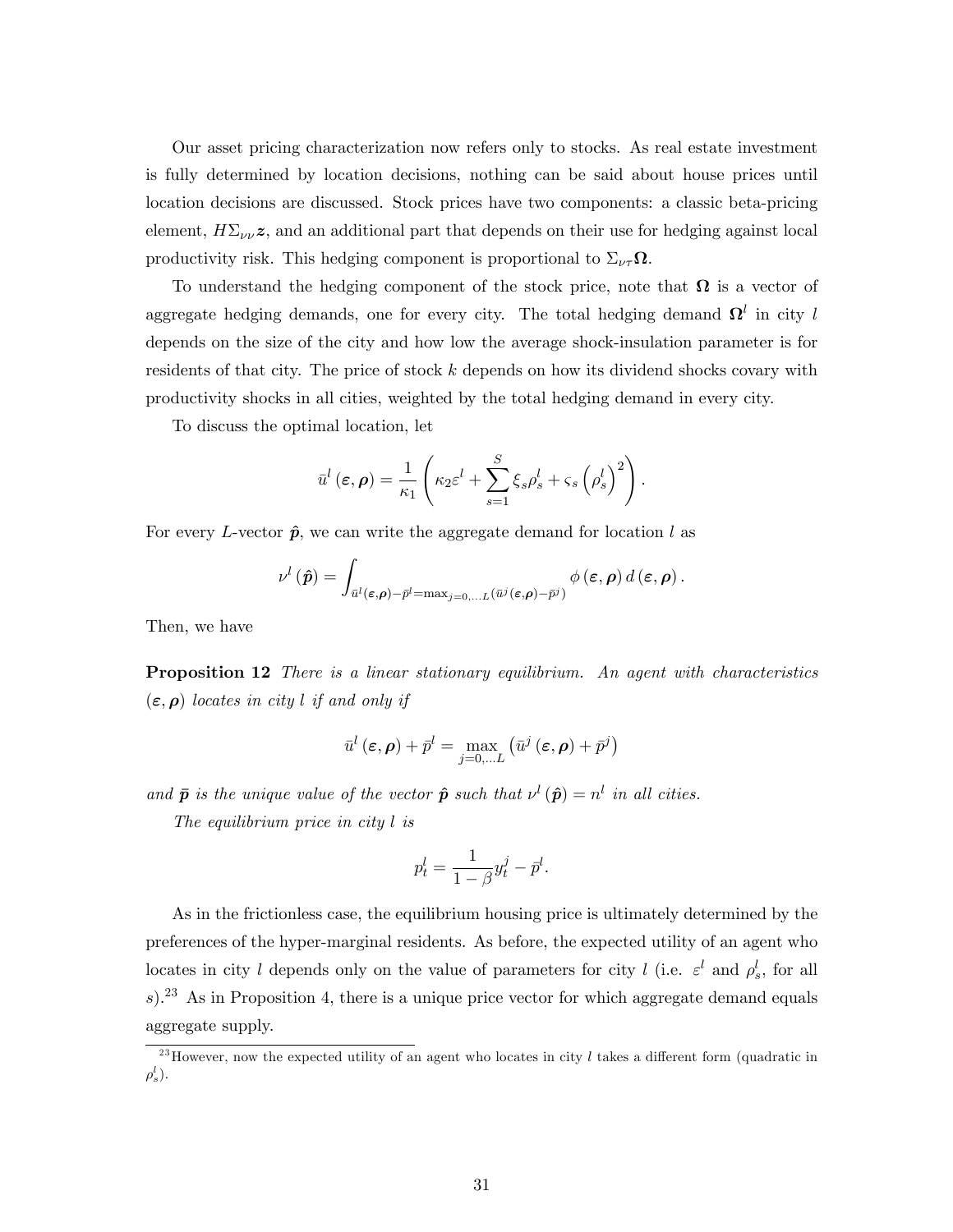Our asset pricing characterization now refers only to stocks. As real estate investment is fully determined by location decisions, nothing can be said about house prices until location decisions are discussed. Stock prices have two components: a classic beta-pricing element,  $H\Sigma_{\nu\nu}z$ , and an additional part that depends on their use for hedging against local productivity risk. This hedging component is proportional to  $\Sigma_{\nu\tau}\Omega$ .

To understand the hedging component of the stock price, note that  $\Omega$  is a vector of aggregate hedging demands, one for every city. The total hedging demand  $\Omega^l$  in city l depends on the size of the city and how low the average shock-insulation parameter is for residents of that city. The price of stock k depends on how its dividend shocks covary with productivity shocks in all cities, weighted by the total hedging demand in every city.

To discuss the optimal location, let

$$
\bar{u}^{l}(\boldsymbol{\varepsilon},\boldsymbol{\rho})=\frac{1}{\kappa_{1}}\left(\kappa_{2}\varepsilon^{l}+\sum_{s=1}^{S}\xi_{s}\rho_{s}^{l}+\zeta_{s}\left(\rho_{s}^{l}\right)^{2}\right).
$$

For every L-vector  $\hat{p}$ , we can write the aggregate demand for location l as

$$
\nu^l\left(\hat{\bm{p}}\right) = \int_{\bar{u}^l\left(\bm{\varepsilon},\bm{\rho}\right) - \bar{p}^l = \max_{j=0,...L} (\bar{u}^j\left(\bm{\varepsilon},\bm{\rho}\right) - \bar{p}^j)} \phi\left(\bm{\varepsilon},\bm{\rho}\right) d\left(\bm{\varepsilon},\bm{\rho}\right).
$$

Then, we have

**Proposition 12** There is a linear stationary equilibrium. An agent with characteristics  $(\epsilon, \rho)$  locates in city l if and only if

$$
\bar{u}^{l}\left(\boldsymbol{\varepsilon},\boldsymbol{\rho}\right)+\bar{p}^{l}=\max_{j=0,...L}\left(\bar{u}^{j}\left(\boldsymbol{\varepsilon},\boldsymbol{\rho}\right)+\bar{p}^{j}\right)
$$

and  $\bar{p}$  is the unique value of the vector  $\hat{p}$  such that  $\nu^l(\hat{p}) = n^l$  in all cities.

The equilibrium price in city l is

$$
p_t^l = \frac{1}{1-\beta}y_t^j - \bar{p}^l.
$$

As in the frictionless case, the equilibrium housing price is ultimately determined by the preferences of the hyper-marginal residents. As before, the expected utility of an agent who locates in city l depends only on the value of parameters for city l (i.e.  $\varepsilon^l$  and  $\rho_s^l$ , for all s).<sup>23</sup> As in Proposition 4, there is a unique price vector for which aggregate demand equals aggregate supply.

<sup>&</sup>lt;sup>23</sup>However, now the expected utility of an agent who locates in city l takes a different form (quadratic in  $\rho_s^l$ .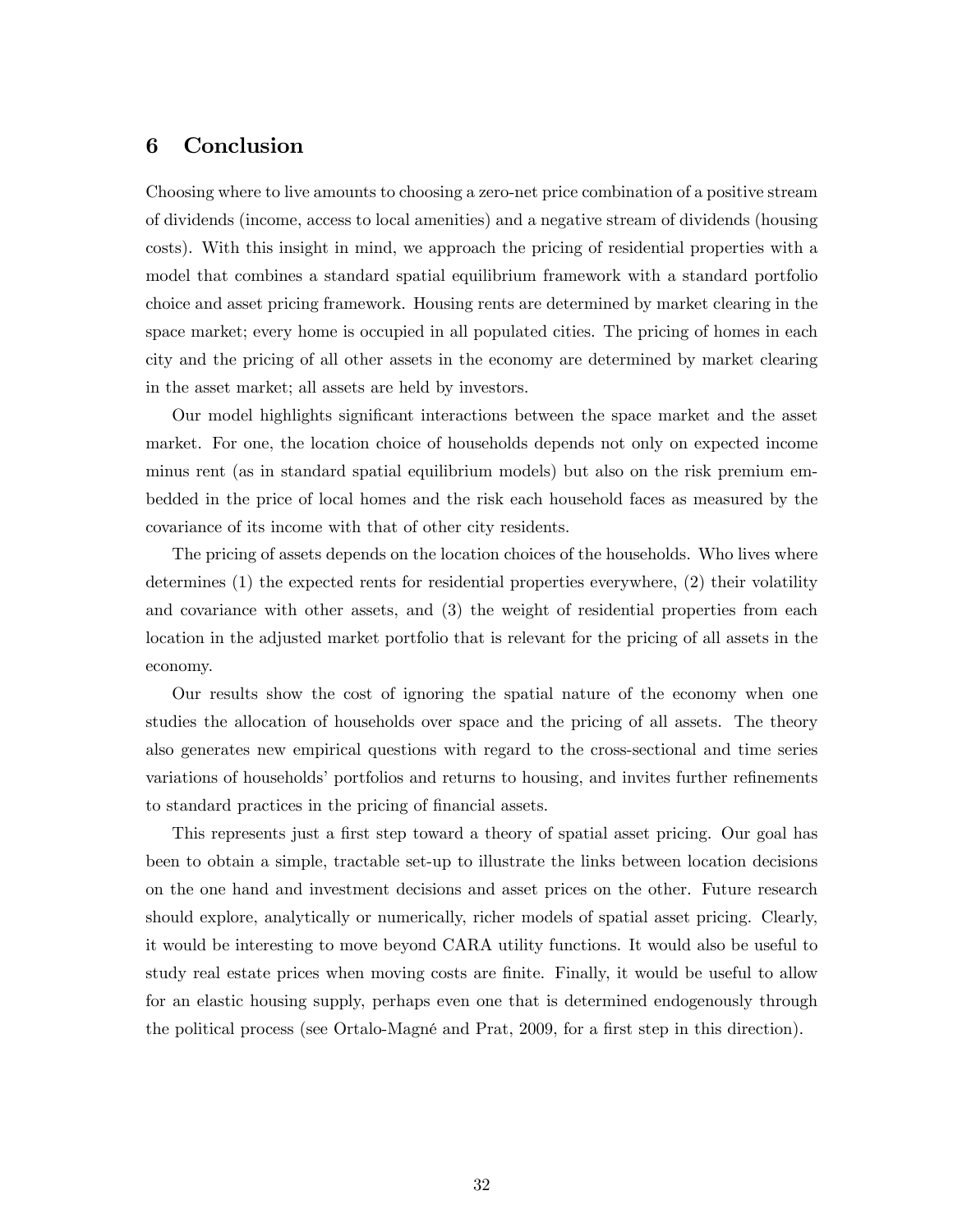# 6 Conclusion

Choosing where to live amounts to choosing a zero-net price combination of a positive stream of dividends (income, access to local amenities) and a negative stream of dividends (housing costs). With this insight in mind, we approach the pricing of residential properties with a model that combines a standard spatial equilibrium framework with a standard portfolio choice and asset pricing framework. Housing rents are determined by market clearing in the space market; every home is occupied in all populated cities. The pricing of homes in each city and the pricing of all other assets in the economy are determined by market clearing in the asset market; all assets are held by investors.

Our model highlights signiÖcant interactions between the space market and the asset market. For one, the location choice of households depends not only on expected income minus rent (as in standard spatial equilibrium models) but also on the risk premium embedded in the price of local homes and the risk each household faces as measured by the covariance of its income with that of other city residents.

The pricing of assets depends on the location choices of the households. Who lives where determines (1) the expected rents for residential properties everywhere, (2) their volatility and covariance with other assets, and (3) the weight of residential properties from each location in the adjusted market portfolio that is relevant for the pricing of all assets in the economy.

Our results show the cost of ignoring the spatial nature of the economy when one studies the allocation of households over space and the pricing of all assets. The theory also generates new empirical questions with regard to the cross-sectional and time series variations of households' portfolios and returns to housing, and invites further refinements to standard practices in the pricing of financial assets.

This represents just a first step toward a theory of spatial asset pricing. Our goal has been to obtain a simple, tractable set-up to illustrate the links between location decisions on the one hand and investment decisions and asset prices on the other. Future research should explore, analytically or numerically, richer models of spatial asset pricing. Clearly, it would be interesting to move beyond CARA utility functions. It would also be useful to study real estate prices when moving costs are finite. Finally, it would be useful to allow for an elastic housing supply, perhaps even one that is determined endogenously through the political process (see Ortalo-Magné and Prat, 2009, for a first step in this direction).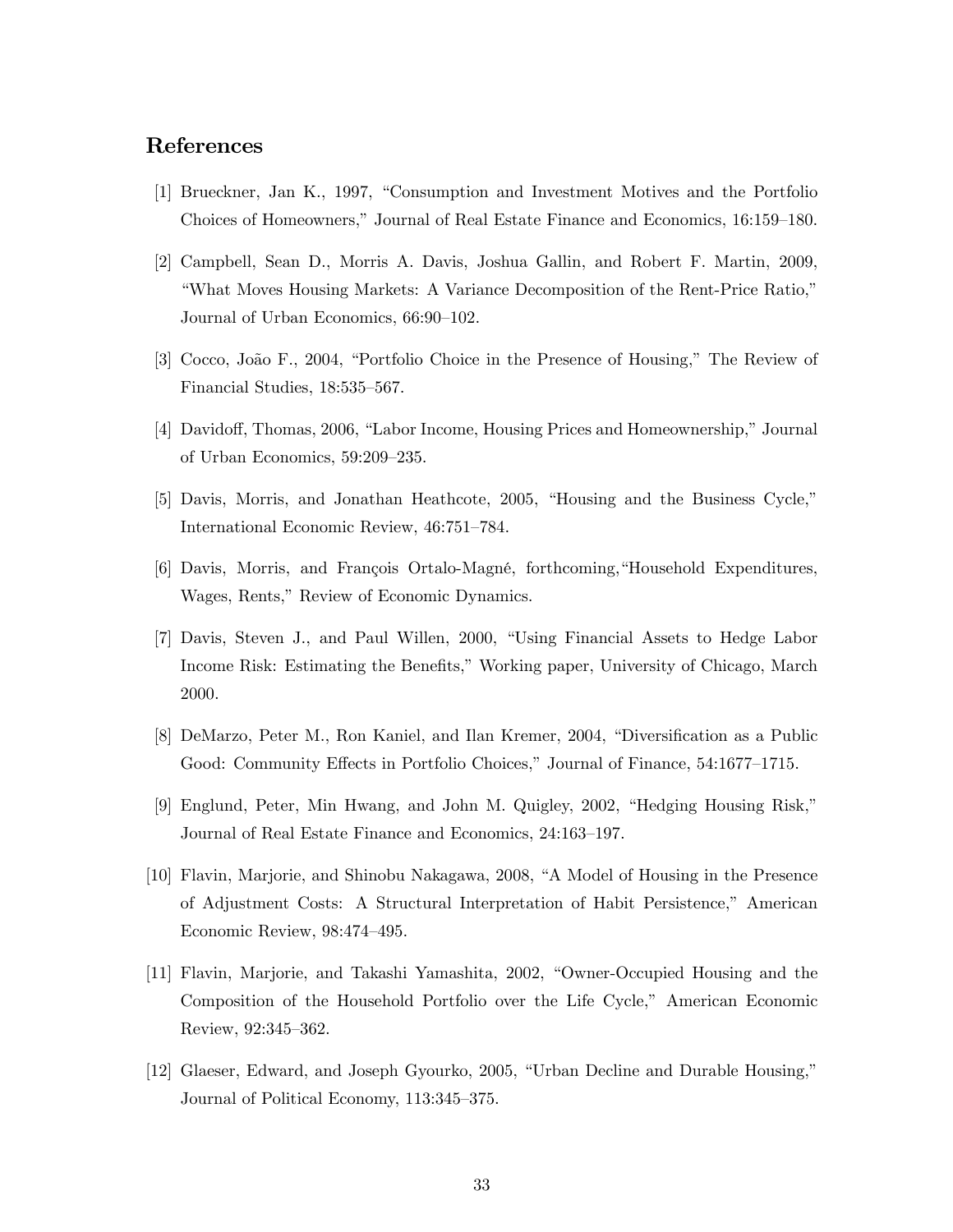# References

- [1] Brueckner, Jan K., 1997, "Consumption and Investment Motives and the Portfolio Choices of Homeowners," Journal of Real Estate Finance and Economics, 16:159–180.
- [2] Campbell, Sean D., Morris A. Davis, Joshua Gallin, and Robert F. Martin, 2009, "What Moves Housing Markets: A Variance Decomposition of the Rent-Price Ratio," Journal of Urban Economics, 66:90–102.
- [3] Cocco, João F., 2004, "Portfolio Choice in the Presence of Housing," The Review of Financial Studies, 18:535–567.
- [4] Davidoff, Thomas, 2006, "Labor Income, Housing Prices and Homeownership," Journal of Urban Economics,  $59:209-235$ .
- [5] Davis, Morris, and Jonathan Heathcote, 2005, "Housing and the Business Cycle," International Economic Review, 46:751-784.
- [6] Davis, Morris, and François Ortalo-Magné, forthcoming,"Household Expenditures, Wages, Rents," Review of Economic Dynamics.
- [7] Davis, Steven J., and Paul Willen, 2000, "Using Financial Assets to Hedge Labor Income Risk: Estimating the Benefits," Working paper, University of Chicago, March 2000.
- [8] DeMarzo, Peter M., Ron Kaniel, and Ilan Kremer, 2004, "Diversification as a Public Good: Community Effects in Portfolio Choices," Journal of Finance, 54:1677–1715.
- [9] Englund, Peter, Min Hwang, and John M. Quigley, 2002, "Hedging Housing Risk," Journal of Real Estate Finance and Economics, 24:163–197.
- [10] Flavin, Marjorie, and Shinobu Nakagawa, 2008, "A Model of Housing in the Presence of Adjustment Costs: A Structural Interpretation of Habit Persistence," American Economic Review,  $98:474-495$ .
- [11] Flavin, Marjorie, and Takashi Yamashita, 2002, "Owner-Occupied Housing and the Composition of the Household Portfolio over the Life Cycle," American Economic Review, 92:345–362.
- [12] Glaeser, Edward, and Joseph Gyourko, 2005, "Urban Decline and Durable Housing," Journal of Political Economy, 113:345–375.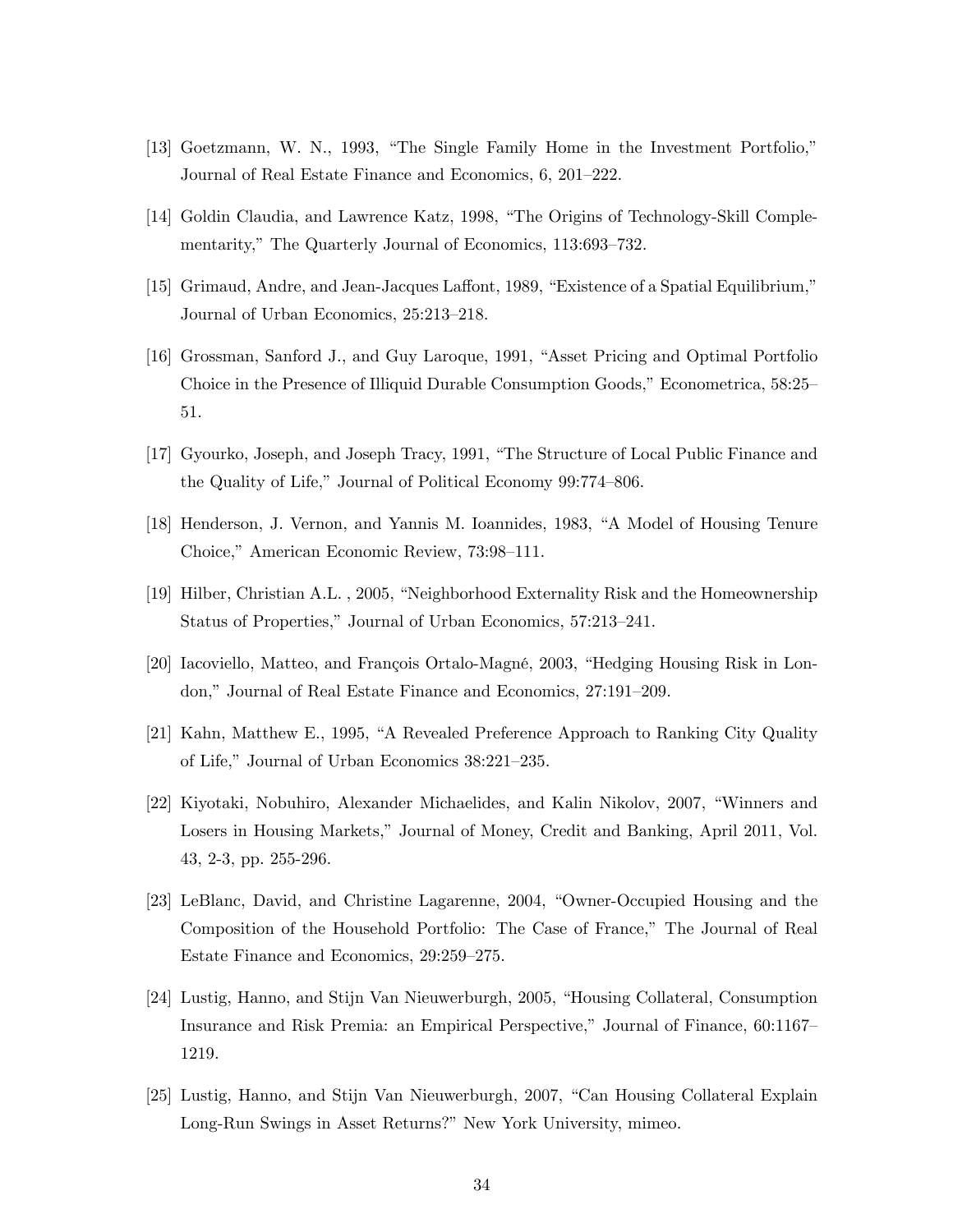- [13] Goetzmann, W. N., 1993, "The Single Family Home in the Investment Portfolio," Journal of Real Estate Finance and Economics, 6, 201–222.
- [14] Goldin Claudia, and Lawrence Katz, 1998, "The Origins of Technology-Skill Complementarity," The Quarterly Journal of Economics, 113:693–732.
- [15] Grimaud, Andre, and Jean-Jacques Laffont, 1989, "Existence of a Spatial Equilibrium," Journal of Urban Economics, 25:213-218.
- [16] Grossman, Sanford J., and Guy Laroque, 1991, "Asset Pricing and Optimal Portfolio Choice in the Presence of Illiquid Durable Consumption Goods," Econometrica, 58:25 51.
- [17] Gyourko, Joseph, and Joseph Tracy, 1991, "The Structure of Local Public Finance and the Quality of Life," Journal of Political Economy 99:774–806.
- [18] Henderson, J. Vernon, and Yannis M. Ioannides, 1983, "A Model of Housing Tenure Choice," American Economic Review, 73:98–111.
- [19] Hilber, Christian A.L., 2005, "Neighborhood Externality Risk and the Homeownership Status of Properties," Journal of Urban Economics, 57:213-241.
- [20] Iacoviello, Matteo, and François Ortalo-Magné, 2003, "Hedging Housing Risk in London," Journal of Real Estate Finance and Economics, 27:191-209.
- [21] Kahn, Matthew E., 1995, "A Revealed Preference Approach to Ranking City Quality of Life," Journal of Urban Economics 38:221-235.
- [22] Kiyotaki, Nobuhiro, Alexander Michaelides, and Kalin Nikolov, 2007, "Winners and Losers in Housing Markets," Journal of Money, Credit and Banking, April 2011, Vol. 43, 2-3, pp. 255-296.
- [23] LeBlanc, David, and Christine Lagarenne, 2004, "Owner-Occupied Housing and the Composition of the Household Portfolio: The Case of France," The Journal of Real Estate Finance and Economics, 29:259–275.
- [24] Lustig, Hanno, and Stijn Van Nieuwerburgh, 2005, "Housing Collateral, Consumption Insurance and Risk Premia: an Empirical Perspective," Journal of Finance, 60:1167– 1219.
- [25] Lustig, Hanno, and Stijn Van Nieuwerburgh, 2007, "Can Housing Collateral Explain Long-Run Swings in Asset Returns?" New York University, mimeo.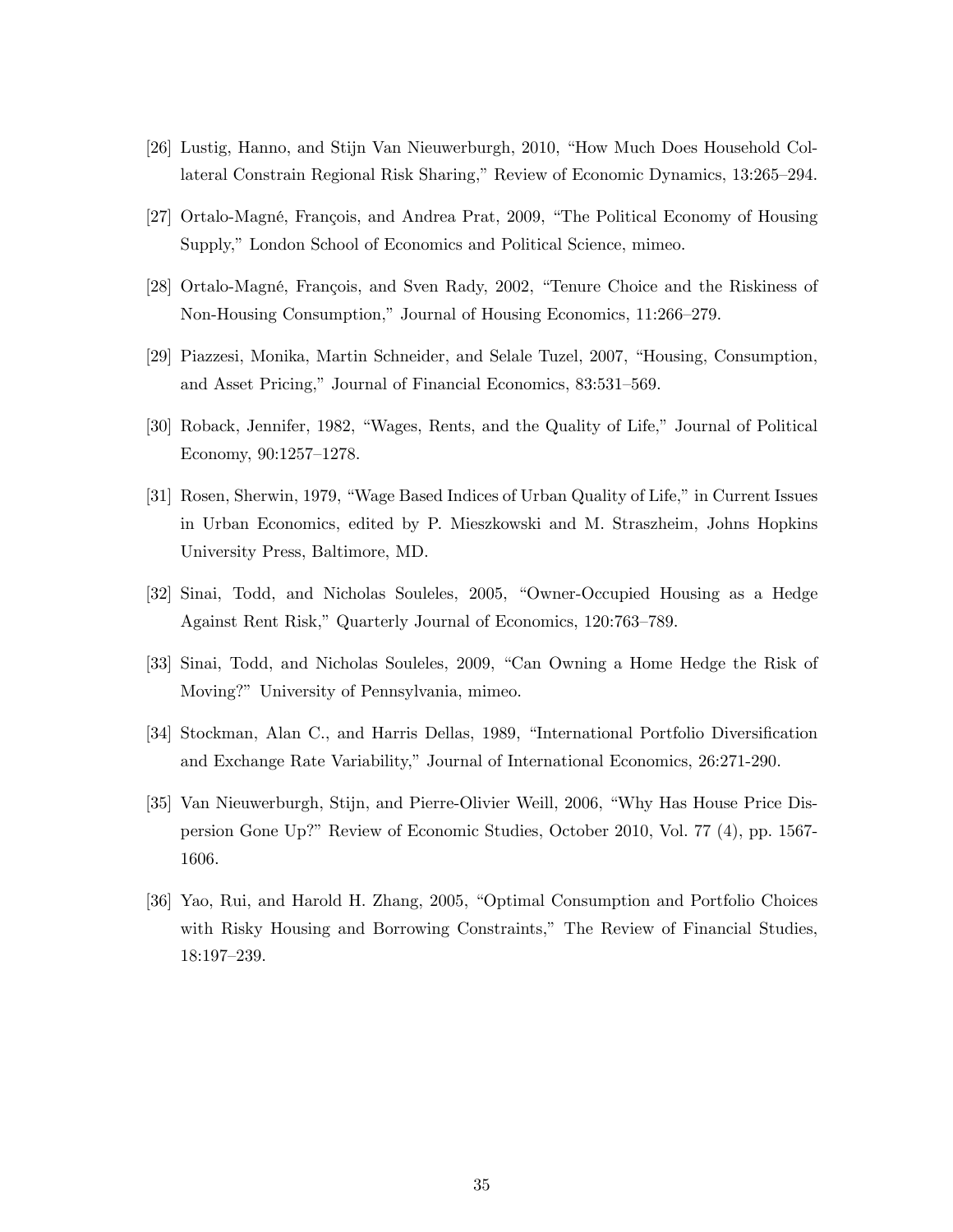- [26] Lustig, Hanno, and Stijn Van Nieuwerburgh, 2010, "How Much Does Household Collateral Constrain Regional Risk Sharing," Review of Economic Dynamics, 13:265–294.
- [27] Ortalo-Magné, François, and Andrea Prat, 2009, "The Political Economy of Housing Supply," London School of Economics and Political Science, mimeo.
- [28] Ortalo-Magné, François, and Sven Rady, 2002, "Tenure Choice and the Riskiness of Non-Housing Consumption," Journal of Housing Economics, 11:266–279.
- [29] Piazzesi, Monika, Martin Schneider, and Selale Tuzel, 2007, "Housing, Consumption, and Asset Pricing," Journal of Financial Economics, 83:531–569.
- [30] Roback, Jennifer, 1982, "Wages, Rents, and the Quality of Life," Journal of Political Economy,  $90:1257-1278$ .
- [31] Rosen, Sherwin, 1979, "Wage Based Indices of Urban Quality of Life," in Current Issues in Urban Economics, edited by P. Mieszkowski and M. Straszheim, Johns Hopkins University Press, Baltimore, MD.
- [32] Sinai, Todd, and Nicholas Souleles, 2005, "Owner-Occupied Housing as a Hedge Against Rent Risk," Quarterly Journal of Economics, 120:763–789.
- [33] Sinai, Todd, and Nicholas Souleles, 2009, "Can Owning a Home Hedge the Risk of Moving?" University of Pennsylvania, mimeo.
- [34] Stockman, Alan C., and Harris Dellas, 1989, "International Portfolio Diversification and Exchange Rate Variability," Journal of International Economics, 26:271-290.
- [35] Van Nieuwerburgh, Stijn, and Pierre-Olivier Weill, 2006, "Why Has House Price Dispersion Gone Up?" Review of Economic Studies, October 2010, Vol. 77 (4), pp. 1567-1606.
- [36] Yao, Rui, and Harold H. Zhang, 2005, "Optimal Consumption and Portfolio Choices with Risky Housing and Borrowing Constraints," The Review of Financial Studies, 18:197-239.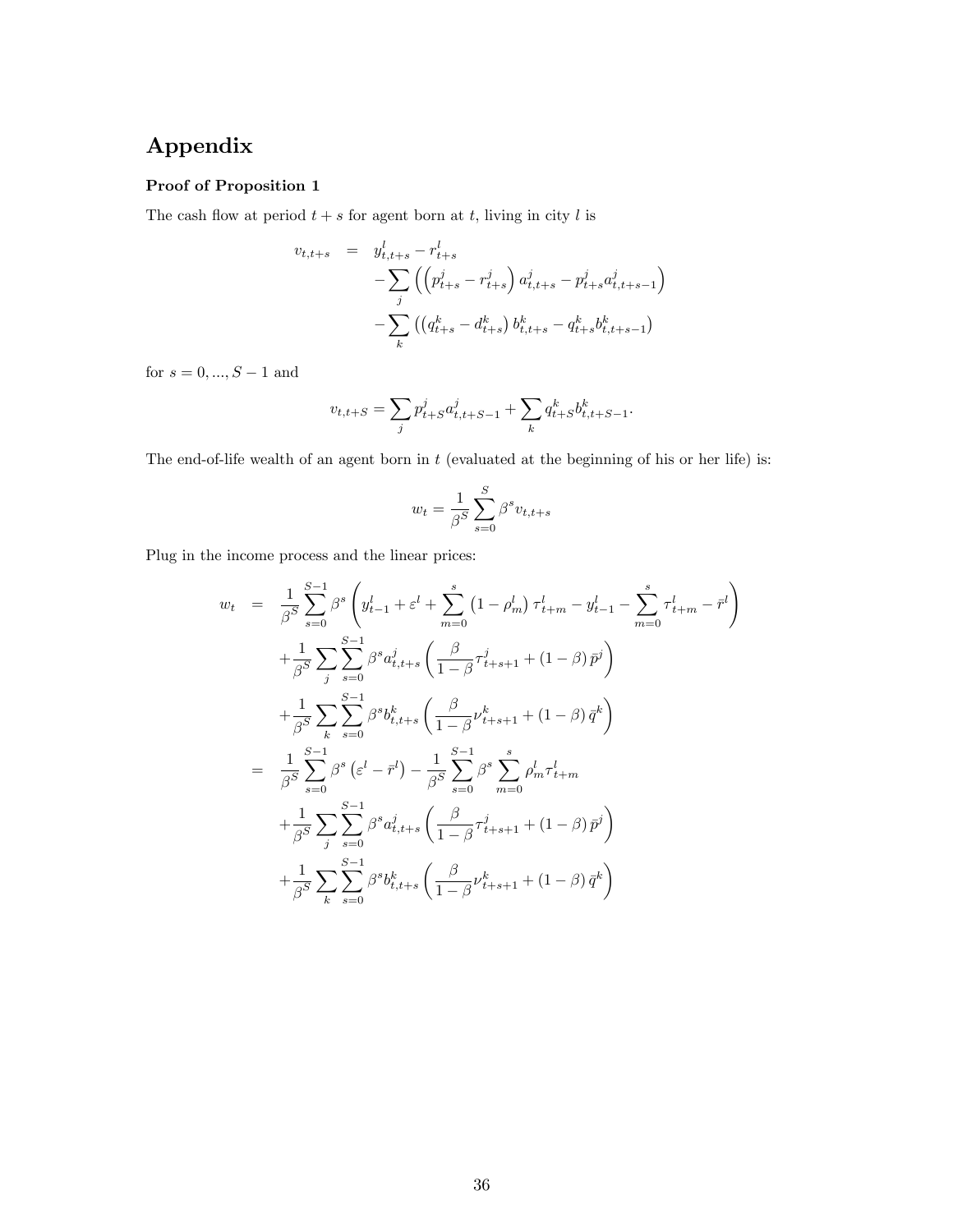# Appendix

### Proof of Proposition 1

The cash flow at period  $t + s$  for agent born at t, living in city l is

$$
v_{t,t+s} = y_{t,t+s}^l - r_{t+s}^l
$$
  
-
$$
\sum_{j} \left( \left( p_{t+s}^j - r_{t+s}^j \right) a_{t,t+s}^j - p_{t+s}^j a_{t,t+s-1}^j \right)
$$
  
-
$$
\sum_{k} \left( \left( q_{t+s}^k - d_{t+s}^k \right) b_{t,t+s}^k - q_{t+s}^k b_{t,t+s-1}^k \right)
$$

for  $s = 0, ..., S - 1$  and

$$
v_{t,t+S} = \sum_{j} p_{t+S}^j a_{t,t+S-1}^j + \sum_{k} q_{t+S}^k b_{t,t+S-1}^k.
$$

The end-of-life wealth of an agent born in  $t$  (evaluated at the beginning of his or her life) is:

$$
w_t = \frac{1}{\beta^S} \sum_{s=0}^{S} \beta^s v_{t,t+s}
$$

Plug in the income process and the linear prices:

$$
w_{t} = \frac{1}{\beta^{S}} \sum_{s=0}^{S-1} \beta^{s} \left( y_{t-1}^{l} + \varepsilon^{l} + \sum_{m=0}^{s} (1 - \rho_{m}^{l}) \tau_{t+m}^{l} - y_{t-1}^{l} - \sum_{m=0}^{s} \tau_{t+m}^{l} - \bar{r}^{l} \right)
$$
  
+ 
$$
\frac{1}{\beta^{S}} \sum_{j} \sum_{s=0}^{S-1} \beta^{s} a_{t,t+s}^{j} \left( \frac{\beta}{1 - \beta} \tau_{t+s+1}^{j} + (1 - \beta) \bar{p}^{j} \right)
$$
  
+ 
$$
\frac{1}{\beta^{S}} \sum_{k} \sum_{s=0}^{S-1} \beta^{s} b_{t,t+s}^{k} \left( \frac{\beta}{1 - \beta} \nu_{t+s+1}^{k} + (1 - \beta) \bar{q}^{k} \right)
$$
  
= 
$$
\frac{1}{\beta^{S}} \sum_{s=0}^{S-1} \beta^{s} \left( \varepsilon^{l} - \bar{r}^{l} \right) - \frac{1}{\beta^{S}} \sum_{s=0}^{S-1} \beta^{s} \sum_{m=0}^{s} \rho_{m}^{l} \tau_{t+m}^{l}
$$
  
+ 
$$
\frac{1}{\beta^{S}} \sum_{j} \sum_{s=0}^{S-1} \beta^{s} a_{t,t+s}^{j} \left( \frac{\beta}{1 - \beta} \tau_{t+s+1}^{j} + (1 - \beta) \bar{p}^{j} \right)
$$
  
+ 
$$
\frac{1}{\beta^{S}} \sum_{k} \sum_{s=0}^{S-1} \beta^{s} b_{t,t+s}^{k} \left( \frac{\beta}{1 - \beta} \nu_{t+s+1}^{k} + (1 - \beta) \bar{q}^{k} \right)
$$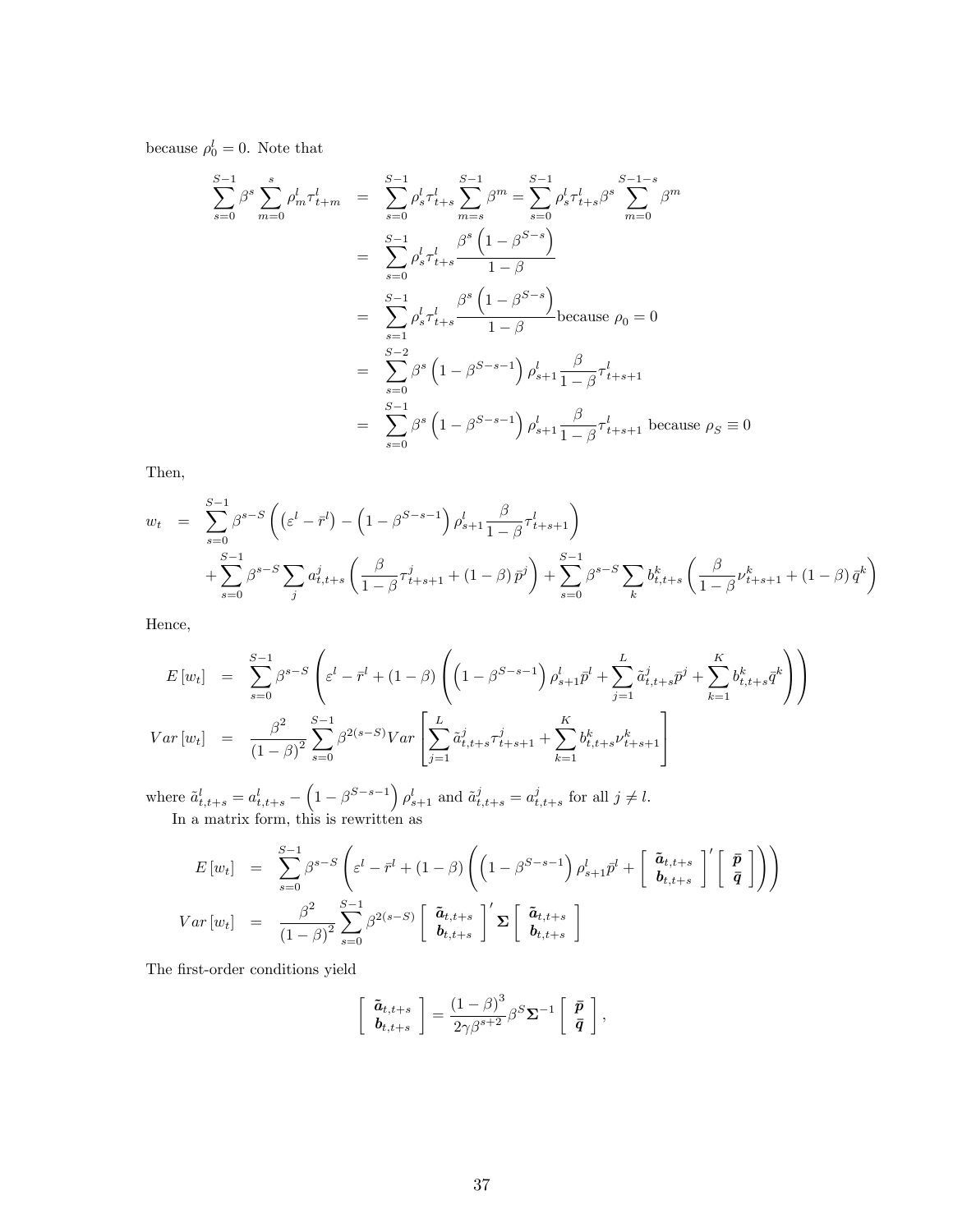because  $\rho_0^l = 0$ . Note that

$$
\sum_{s=0}^{S-1} \beta^s \sum_{m=0}^{s} \rho_m^l \tau_{t+m}^l = \sum_{s=0}^{S-1} \rho_s^l \tau_{t+s}^l \sum_{m=s}^{S-1} \beta^m = \sum_{s=0}^{S-1} \rho_s^l \tau_{t+s}^l \beta^s \sum_{m=0}^{S-1-s} \beta^m
$$
  
\n
$$
= \sum_{s=0}^{S-1} \rho_s^l \tau_{t+s}^l \frac{\beta^s (1-\beta^{S-s})}{1-\beta}
$$
  
\n
$$
= \sum_{s=1}^{S-1} \rho_s^l \tau_{t+s}^l \frac{\beta^s (1-\beta^{S-s})}{1-\beta} \text{ because } \rho_0 = 0
$$
  
\n
$$
= \sum_{s=0}^{S-2} \beta^s (1-\beta^{S-s-1}) \rho_{s+1}^l \frac{\beta}{1-\beta} \tau_{t+s+1}^l
$$
  
\n
$$
= \sum_{s=0}^{S-1} \beta^s (1-\beta^{S-s-1}) \rho_{s+1}^l \frac{\beta}{1-\beta} \tau_{t+s+1}^l \text{ because } \rho_S \equiv 0
$$

Then,

$$
w_{t} = \sum_{s=0}^{S-1} \beta^{s-S} \left( \left( \varepsilon^{l} - \bar{r}^{l} \right) - \left( 1 - \beta^{S-s-1} \right) \rho_{s+1}^{l} \frac{\beta}{1-\beta} \tau_{t+s+1}^{l} \right) + \sum_{s=0}^{S-1} \beta^{s-S} \sum_{j} a_{t,t+s}^{j} \left( \frac{\beta}{1-\beta} \tau_{t+s+1}^{j} + (1-\beta) \bar{p}^{j} \right) + \sum_{s=0}^{S-1} \beta^{s-S} \sum_{k} b_{t,t+s}^{k} \left( \frac{\beta}{1-\beta} \nu_{t+s+1}^{k} + (1-\beta) \bar{q}^{k} \right)
$$

Hence,

$$
E\left[w_{t}\right] = \sum_{s=0}^{S-1} \beta^{s-S} \left(\varepsilon^{l} - \bar{r}^{l} + (1-\beta) \left( \left( 1 - \beta^{S-s-1} \right) \rho_{s+1}^{l} \bar{p}^{l} + \sum_{j=1}^{L} \tilde{a}_{t,t+s}^{j} \bar{p}^{j} + \sum_{k=1}^{K} b_{t,t+s}^{k} \bar{q}^{k} \right) \right)
$$
  
\n
$$
Var\left[w_{t}\right] = \frac{\beta^{2}}{(1-\beta)^{2}} \sum_{s=0}^{S-1} \beta^{2(s-S)} Var\left[\sum_{j=1}^{L} \tilde{a}_{t,t+s}^{j} \tau_{t+s+1}^{j} + \sum_{k=1}^{K} b_{t,t+s}^{k} \nu_{t+s+1}^{k}\right]
$$

where  $\tilde{a}^l_{t,t+s} = a^l_{t,t+s}$  –  $\left(1 - \beta^{S-s-1}\right) \rho_{s+1}^l$  and  $\tilde{a}_{t,t+s}^j = a_{t,t+s}^j$  for all  $j \neq l$ . In a matrix form, this is rewritten as

$$
E\left[w_{t}\right] = \sum_{s=0}^{S-1} \beta^{s-S} \left(\varepsilon^{l} - \bar{r}^{l} + (1-\beta) \left( \left(1 - \beta^{S-s-1}\right) \rho_{s+1}^{l} \bar{p}^{l} + \left[\begin{array}{c} \tilde{a}_{t,t+s} \\ b_{t,t+s} \end{array}\right]'\left[\begin{array}{c} \bar{p} \\ \bar{q} \end{array}\right] \right) \right)
$$
  
\n
$$
Var\left[w_{t}\right] = \frac{\beta^{2}}{(1-\beta)^{2}} \sum_{s=0}^{S-1} \beta^{2(s-S)} \left[\begin{array}{c} \tilde{a}_{t,t+s} \\ b_{t,t+s} \end{array}\right]'\Sigma\left[\begin{array}{c} \tilde{a}_{t,t+s} \\ b_{t,t+s} \end{array}\right]
$$

The first-order conditions yield

$$
\left[\begin{array}{c} \tilde{a}_{t,t+s} \\ b_{t,t+s} \end{array}\right] = \frac{\left(1-\beta\right)^3}{2\gamma\beta^{s+2}}\beta^S\mathbf{\Sigma}^{-1}\left[\begin{array}{c} \bar{p} \\ \bar{q} \end{array}\right],
$$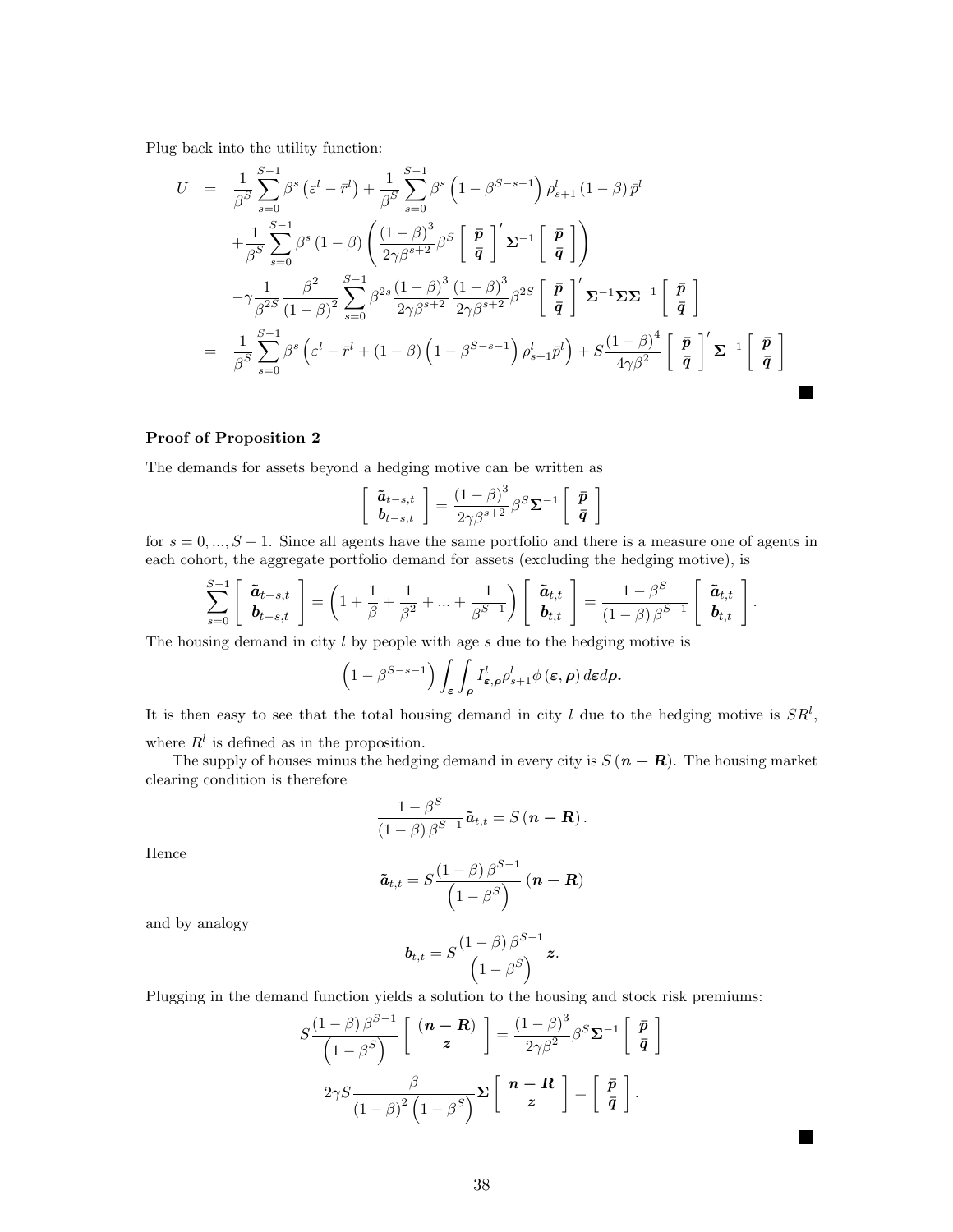Plug back into the utility function:

$$
U = \frac{1}{\beta^{S}} \sum_{s=0}^{S-1} \beta^{s} (\varepsilon^{l} - \bar{r}^{l}) + \frac{1}{\beta^{S}} \sum_{s=0}^{S-1} \beta^{s} (1 - \beta^{S-s-1}) \rho_{s+1}^{l} (1 - \beta) \bar{p}^{l} + \frac{1}{\beta^{S}} \sum_{s=0}^{S-1} \beta^{s} (1 - \beta) \left( \frac{(1 - \beta)^{3}}{2\gamma\beta^{s+2}} \beta^{S} \left[ \frac{\bar{p}}{\bar{q}} \right] \sum_{s=1}^{S-1} \left[ \frac{\bar{p}}{\bar{q}} \right] \right) - \gamma \frac{1}{\beta^{2S}} \frac{\beta^{2}}{(1 - \beta)^{2}} \sum_{s=0}^{S-1} \beta^{2s} \frac{(1 - \beta)^{3}}{2\gamma\beta^{s+2}} \frac{(1 - \beta)^{3}}{2\gamma\beta^{s+2}} \beta^{2S} \left[ \frac{\bar{p}}{\bar{q}} \right] \sum_{s=1}^{S-1} \sum_{s=1}^{S-1} \left[ \frac{\bar{p}}{\bar{q}} \right] = \frac{1}{\beta^{S}} \sum_{s=0}^{S-1} \beta^{s} (\varepsilon^{l} - \bar{r}^{l} + (1 - \beta) (1 - \beta^{S-s-1}) \rho_{s+1}^{l} \bar{p}^{l}) + S \frac{(1 - \beta)^{4}}{4\gamma\beta^{2}} \left[ \frac{\bar{p}}{\bar{q}} \right] \sum_{s=1}^{S-1} \left[ \frac{\bar{p}}{\bar{q}} \right]
$$

 $\blacksquare$ 

П

#### Proof of Proposition 2

The demands for assets beyond a hedging motive can be written as

$$
\begin{bmatrix}\n\tilde{a}_{t-s,t} \\
b_{t-s,t}\n\end{bmatrix} = \frac{(1-\beta)^3}{2\gamma\beta^{s+2}} \beta^S \Sigma^{-1} \begin{bmatrix}\n\bar{p} \\
\bar{q}\n\end{bmatrix}
$$

for  $s = 0, ..., S - 1$ . Since all agents have the same portfolio and there is a measure one of agents in each cohort, the aggregate portfolio demand for assets (excluding the hedging motive), is

$$
\sum_{s=0}^{S-1} \left[ \begin{array}{c} \tilde{a}_{t-s,t} \\ \tilde{b}_{t-s,t} \end{array} \right] = \left( 1 + \frac{1}{\beta} + \frac{1}{\beta^2} + \ldots + \frac{1}{\beta^{S-1}} \right) \left[ \begin{array}{c} \tilde{a}_{t,t} \\ \tilde{b}_{t,t} \end{array} \right] = \frac{1-\beta^S}{(1-\beta)\beta^{S-1}} \left[ \begin{array}{c} \tilde{a}_{t,t} \\ \tilde{b}_{t,t} \end{array} \right].
$$

The housing demand in city  $l$  by people with age  $s$  due to the hedging motive is

$$
\left(1-\beta^{S-s-1}\right)\int_{\varepsilon}\int_{\rho}I^l_{\varepsilon,\rho}\rho^l_{s+1}\phi\left(\varepsilon,\rho\right)d\varepsilon d\rho.
$$

It is then easy to see that the total housing demand in city l due to the hedging motive is  $SR<sup>l</sup>$ , where  $R^l$  is defined as in the proposition.

The supply of houses minus the hedging demand in every city is  $S(n - R)$ . The housing market clearing condition is therefore

$$
\frac{1-\beta^{S}}{(1-\beta)\beta^{S-1}}\mathbf{\tilde{a}}_{t,t}=S(\mathbf{n}-\mathbf{R}).
$$

Hence

$$
\mathbf{\tilde{a}}_{t,t} = S \frac{\left(1 - \beta\right) \beta^{S-1}}{\left(1 - \beta^S\right)} \left(\mathbf{n} - \mathbf{R}\right)
$$

and by analogy

$$
\boldsymbol{b}_{t,t} = S \frac{\left(1 - \beta\right) \beta^{S-1}}{\left(1 - \beta^S\right)} \boldsymbol{z}.
$$

Plugging in the demand function yields a solution to the housing and stock risk premiums:

$$
S\frac{(1-\beta)\beta^{S-1}}{(1-\beta^S)}\left[\begin{array}{c} (n-\mathbf{R}) \\ z \end{array}\right] = \frac{(1-\beta)^3}{2\gamma\beta^2}\beta^S\Sigma^{-1}\left[\begin{array}{c} \bar{p} \\ \bar{q} \end{array}\right]
$$

$$
2\gamma S\frac{\beta}{(1-\beta)^2(1-\beta^S)}\Sigma\left[\begin{array}{c} n-\mathbf{R} \\ z \end{array}\right] = \left[\begin{array}{c} \bar{p} \\ \bar{q} \end{array}\right].
$$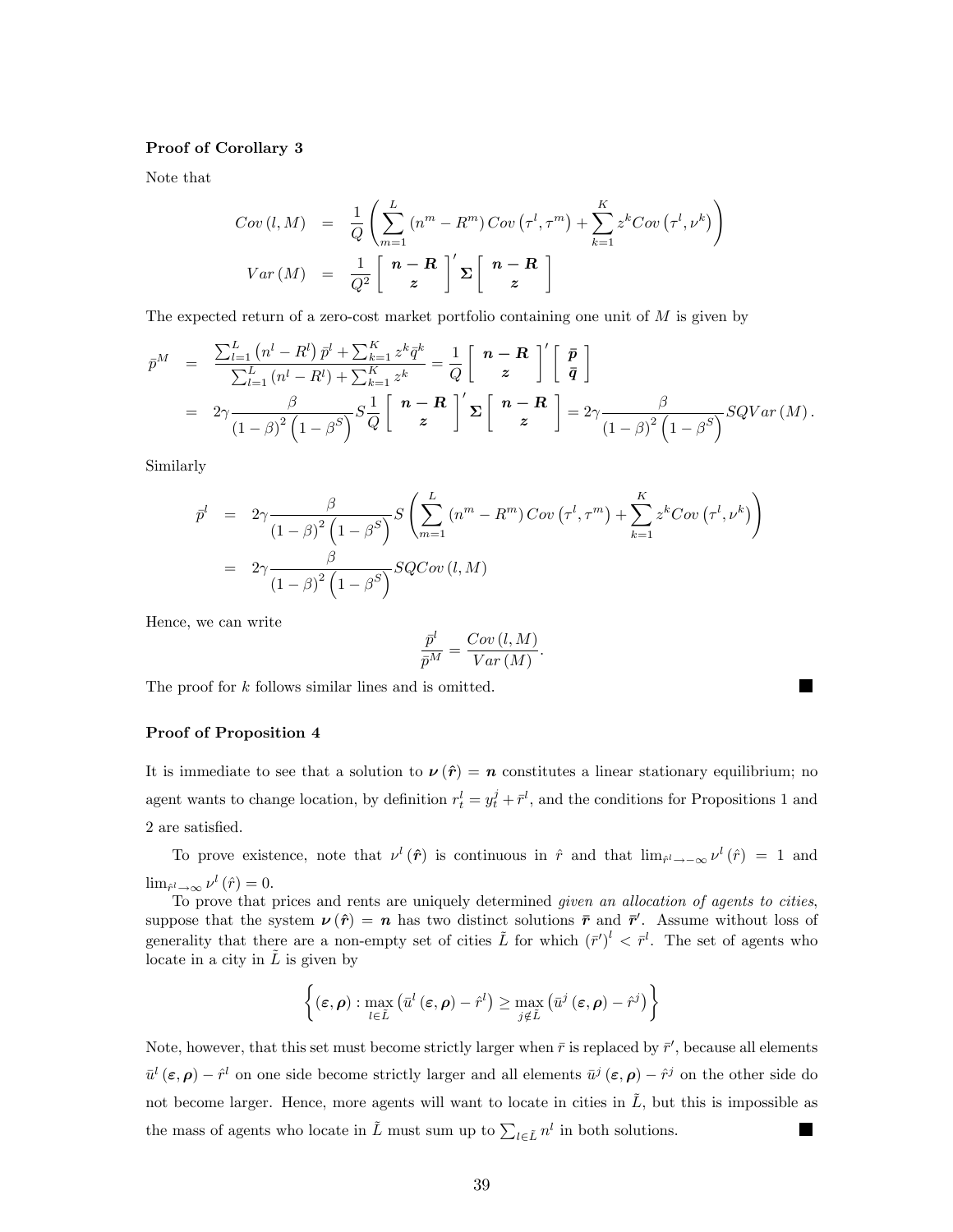#### Proof of Corollary 3

Note that

$$
Cov(l, M) = \frac{1}{Q} \left( \sum_{m=1}^{L} (nm - Rm) Cov(rl, \taum) + \sum_{k=1}^{K} zk Cov(rl, \nuk) \right)
$$
  
Var(M) =  $\frac{1}{Q^2} \begin{bmatrix} n - R \\ z \end{bmatrix}' \Sigma \begin{bmatrix} n - R \\ z \end{bmatrix}$ 

The expected return of a zero-cost market portfolio containing one unit of  $M$  is given by

$$
\bar{p}^M = \frac{\sum_{l=1}^L (n^l - R^l) \bar{p}^l + \sum_{k=1}^K z^k \bar{q}^k}{\sum_{l=1}^L (n^l - R^l) + \sum_{k=1}^K z^k} = \frac{1}{Q} \left[ \begin{array}{c} \boldsymbol{n} - \boldsymbol{R} \\ \boldsymbol{z} \end{array} \right]^\prime \left[ \begin{array}{c} \bar{\boldsymbol{p}} \\ \bar{\boldsymbol{q}} \end{array} \right]
$$
\n
$$
= 2\gamma \frac{\beta}{(1-\beta)^2 \left(1-\beta^S\right)} S \frac{1}{Q} \left[ \begin{array}{c} \boldsymbol{n} - \boldsymbol{R} \\ \boldsymbol{z} \end{array} \right]^\prime \boldsymbol{\Sigma} \left[ \begin{array}{c} \boldsymbol{n} - \boldsymbol{R} \\ \boldsymbol{z} \end{array} \right] = 2\gamma \frac{\beta}{(1-\beta)^2 \left(1-\beta^S\right)} SQVar(M).
$$

Similarly

$$
\begin{array}{rcl}\n\bar{p}^l & = & 2\gamma \frac{\beta}{\left(1-\beta\right)^2 \left(1-\beta^S\right)} S\left(\sum_{m=1}^L \left(n^m - R^m\right) Cov\left(\tau^l, \tau^m\right) + \sum_{k=1}^K z^k Cov\left(\tau^l, \nu^k\right)\right) \\
& = & 2\gamma \frac{\beta}{\left(1-\beta\right)^2 \left(1-\beta^S\right)} SQCov\left(l, M\right)\n\end{array}
$$

Hence, we can write

$$
\frac{\bar{p}^l}{\bar{p}^M} = \frac{Cov(l, M)}{Var(M)}.
$$

Ш

The proof for k follows similar lines and is omitted.

#### Proof of Proposition 4

It is immediate to see that a solution to  $\nu(\hat{r}) = n$  constitutes a linear stationary equilibrium; no agent wants to change location, by definition  $r_t^l = y_t^j + \bar{r}^l$ , and the conditions for Propositions 1 and 2 are satisfied.

To prove existence, note that  $\nu^l(\hat{\mathbf{r}})$  is continuous in  $\hat{r}$  and that  $\lim_{\hat{r}^l \to \infty} \nu^l(\hat{r}) = 1$  and  $\lim_{\hat{r}^l \to \infty} \nu^l \left( \hat{r} \right) = 0.$ 

To prove that prices and rents are uniquely determined given an allocation of agents to cities, suppose that the system  $\nu(\hat{r}) = n$  has two distinct solutions  $\bar{r}$  and  $\bar{r}'$ . Assume without loss of generality that there are a non-empty set of cities  $\tilde{L}$  for which  $(\bar{r}')^l < \bar{r}^l$ . The set of agents who locate in a city in  $L$  is given by

$$
\left\{(\varepsilon,\rho):\max_{l\in\tilde{L}}\left(\bar{u}^l\left(\varepsilon,\rho\right)-\hat{r}^l\right)\geq\max_{j\notin\tilde{L}}\left(\bar{u}^j\left(\varepsilon,\rho\right)-\hat{r}^j\right)\right\}
$$

Note, however, that this set must become strictly larger when  $\bar{r}$  is replaced by  $\bar{r}'$ , because all elements  $\bar{u}^l(\epsilon,\rho) - \hat{r}^l$  on one side become strictly larger and all elements  $\bar{u}^j(\epsilon,\rho) - \hat{r}^j$  on the other side do not become larger. Hence, more agents will want to locate in cities in  $\tilde{L}$ , but this is impossible as the mass of agents who locate in  $\tilde{L}$  must sum up to  $\sum_{l\in\tilde{L}} n^l$  in both solutions. H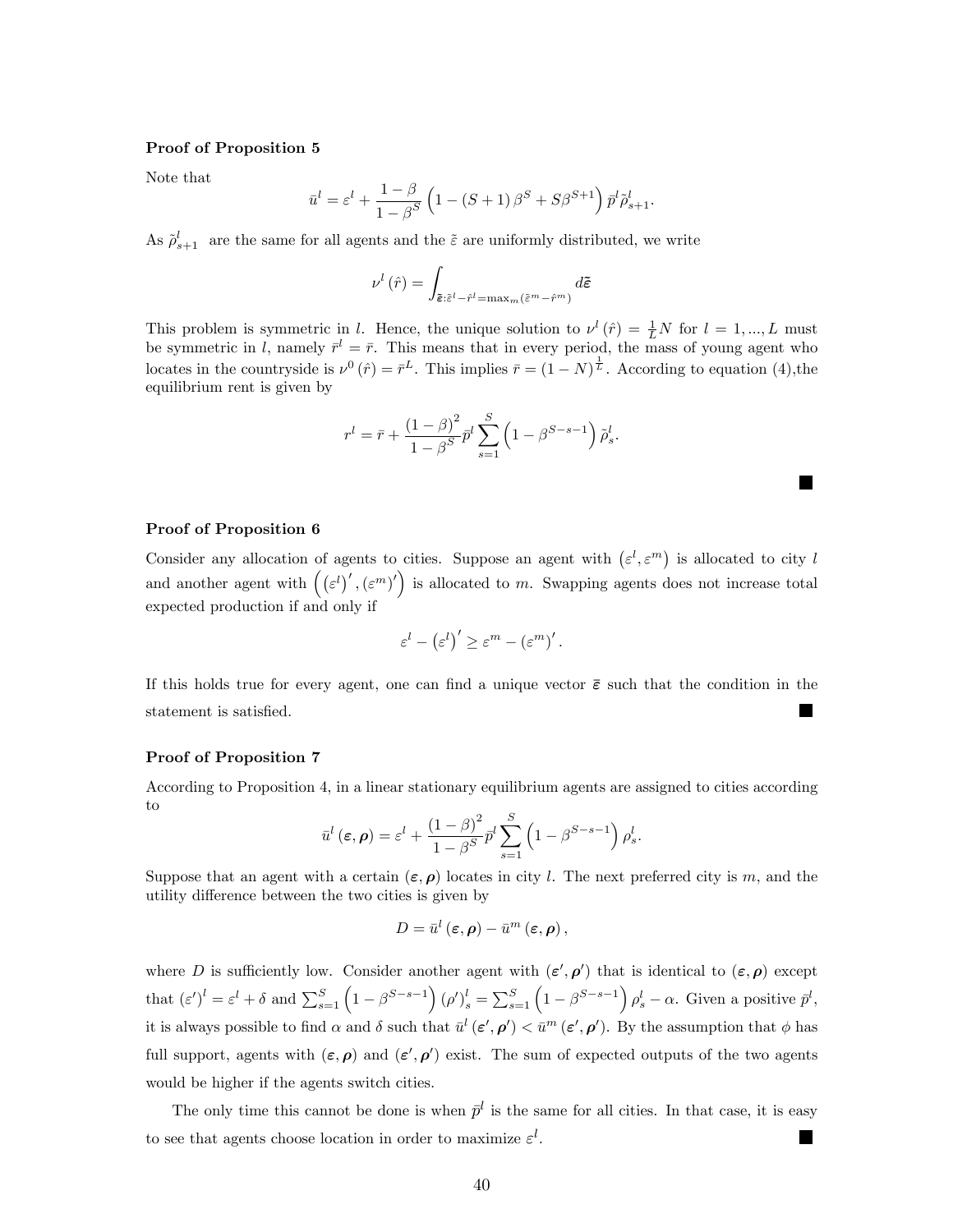#### Proof of Proposition 5

Note that

$$
\bar{u}^l = \varepsilon^l + \frac{1-\beta}{1-\beta^S} \left( 1 - (S+1)\beta^S + S\beta^{S+1} \right) \bar{p}^l \tilde{\rho}_{s+1}^l.
$$

As  $\tilde{\rho}_{s+1}^l$  are the same for all agents and the  $\tilde{\varepsilon}$  are uniformly distributed, we write

$$
\nu^l\left(\hat{r}\right)=\int_{\tilde{\pmb{\varepsilon}}:\tilde{\pmb{\varepsilon}}^l-\hat{r}^l=\max_{m}\left(\tilde{\pmb{\varepsilon}}^m-\hat{r}^m\right)}d\tilde{\pmb{\varepsilon}}
$$

This problem is symmetric in l. Hence, the unique solution to  $\nu^l(\hat{r}) = \frac{1}{L}N$  for  $l = 1, ..., L$  must be symmetric in l, namely  $\bar{r}^l = \bar{r}$ . This means that in every period, the mass of young agent who locates in the countryside is  $\nu^0(\hat{r}) = \bar{r}^L$ . This implies  $\bar{r} = (1 - N)^{\frac{1}{L}}$ . According to equation (4),the equilibrium rent is given by

$$
r^{l} = \bar{r} + \frac{\left(1 - \beta\right)^{2}}{1 - \beta^{S}} \bar{p}^{l} \sum_{s=1}^{S} \left(1 - \beta^{S-s-1}\right) \tilde{\rho}_{s}^{l}.
$$

#### Proof of Proposition 6

Consider any allocation of agents to cities. Suppose an agent with  $(\varepsilon^l, \varepsilon^m)$  is allocated to city l and another agent with  $((\varepsilon^{l})', (\varepsilon^{m})')$  is allocated to m. Swapping agents does not increase total expected production if and only if

$$
\varepsilon^{l} - (\varepsilon^{l})' \ge \varepsilon^{m} - (\varepsilon^{m})'.
$$

If this holds true for every agent, one can find a unique vector  $\bar{\epsilon}$  such that the condition in the statement is satisfied.

#### Proof of Proposition 7

According to Proposition 4, in a linear stationary equilibrium agents are assigned to cities according to

$$
\bar{u}^{l}(\boldsymbol{\varepsilon},\boldsymbol{\rho})=\varepsilon^{l}+\frac{\left(1-\beta\right)^{2}}{1-\beta^{S}}\bar{p}^{l}\sum_{s=1}^{S}\left(1-\beta^{S-s-1}\right)\rho_{s}^{l}.
$$

Suppose that an agent with a certain  $(\epsilon, \rho)$  locates in city l. The next preferred city is m, and the utility difference between the two cities is given by

$$
D=\bar{u}^{l}\left(\boldsymbol{\varepsilon},\boldsymbol{\rho}\right)-\bar{u}^{m}\left(\boldsymbol{\varepsilon},\boldsymbol{\rho}\right),\,
$$

where D is sufficiently low. Consider another agent with  $(\epsilon', \rho')$  that is identical to  $(\epsilon, \rho)$  except that  $(\varepsilon')^l = \varepsilon^l + \delta$  and  $\sum_{s=1}^S \left(1 - \beta^{S-s-1}\right) (\rho')_s^l = \sum_{s=1}^S \left(1 - \beta^{S-s-1}\right) \rho_s^l - \alpha$ . Given a positive  $\bar{p}^l$ , it is always possible to find  $\alpha$  and  $\delta$  such that  $\bar{u}^l(\epsilon', \rho') < \bar{u}^m(\epsilon', \rho')$ . By the assumption that  $\phi$  has full support, agents with  $(\epsilon, \rho)$  and  $(\epsilon', \rho')$  exist. The sum of expected outputs of the two agents would be higher if the agents switch cities.

The only time this cannot be done is when  $\bar{p}^l$  is the same for all cities. In that case, it is easy to see that agents choose location in order to maximize  $\varepsilon^l$ . H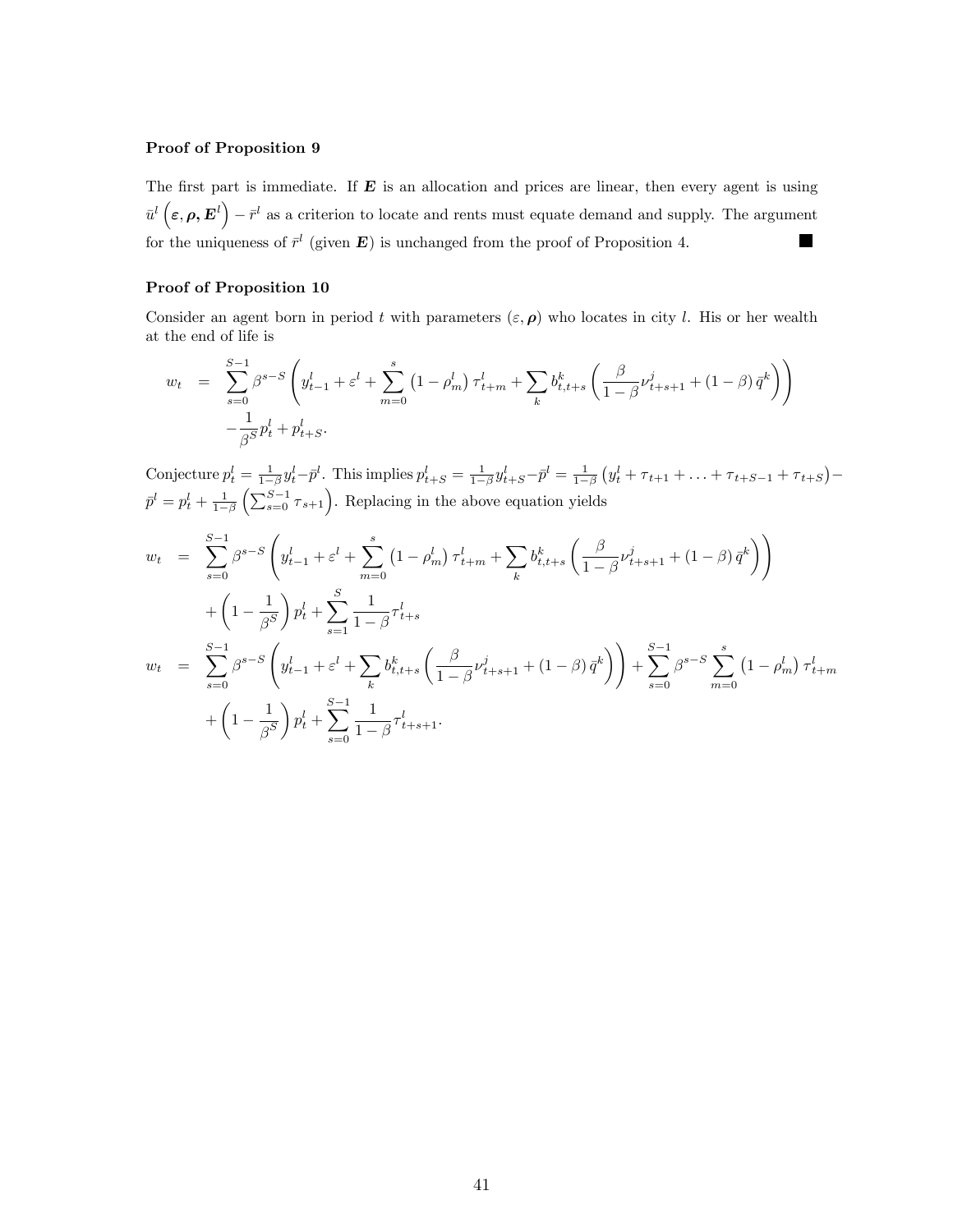#### Proof of Proposition 9

The first part is immediate. If  $E$  is an allocation and prices are linear, then every agent is using  $\bar{u}^l\left(\varepsilon,\rho,E^l\right)-\bar{r}^l$  as a criterion to locate and rents must equate demand and supply. The argument for the uniqueness of  $\bar{r}^l$  (given **E**) is unchanged from the proof of Proposition 4.  $\blacksquare$ 

#### Proof of Proposition 10

Consider an agent born in period t with parameters  $(\varepsilon, \rho)$  who locates in city l. His or her wealth at the end of life is

$$
w_{t} = \sum_{s=0}^{S-1} \beta^{s-S} \left( y_{t-1}^{l} + \varepsilon^{l} + \sum_{m=0}^{s} \left( 1 - \rho_{m}^{l} \right) \tau_{t+m}^{l} + \sum_{k} b_{t,t+s}^{k} \left( \frac{\beta}{1 - \beta} \nu_{t+s+1}^{j} + (1 - \beta) \bar{q}^{k} \right) \right) - \frac{1}{\beta^{S}} p_{t}^{l} + p_{t+S}^{l}.
$$

Conjecture  $p_t^l = \frac{1}{1-\beta}y_t^l - \bar{p}^l$ . This implies  $p_{t+S}^l = \frac{1}{1-\beta}y_{t+S}^l - \bar{p}^l = \frac{1}{1-\beta}(y_t^l + \tau_{t+1} + \ldots + \tau_{t+S-1} + \tau_{t+S}) \bar{p}^l = p_t^l + \frac{1}{1-\beta} \left( \sum_{s=0}^{S-1} \tau_{s+1} \right)$ . Replacing in the above equation yields

$$
w_{t} = \sum_{s=0}^{S-1} \beta^{s-S} \left( y_{t-1}^{l} + \varepsilon^{l} + \sum_{m=0}^{s} (1 - \rho_{m}^{l}) \tau_{t+m}^{l} + \sum_{k} b_{t,t+s}^{k} \left( \frac{\beta}{1 - \beta} \nu_{t+s+1}^{j} + (1 - \beta) \bar{q}^{k} \right) \right) + \left( 1 - \frac{1}{\beta^{S}} \right) p_{t}^{l} + \sum_{s=1}^{S} \frac{1}{1 - \beta} \tau_{t+s}^{l} w_{t} = \sum_{s=0}^{S-1} \beta^{s-S} \left( y_{t-1}^{l} + \varepsilon^{l} + \sum_{k} b_{t,t+s}^{k} \left( \frac{\beta}{1 - \beta} \nu_{t+s+1}^{j} + (1 - \beta) \bar{q}^{k} \right) \right) + \sum_{s=0}^{S-1} \beta^{s-S} \sum_{m=0}^{s} (1 - \rho_{m}^{l}) \tau_{t+m}^{l} + \left( 1 - \frac{1}{\beta^{S}} \right) p_{t}^{l} + \sum_{s=0}^{S-1} \frac{1}{1 - \beta} \tau_{t+s+1}^{l}.
$$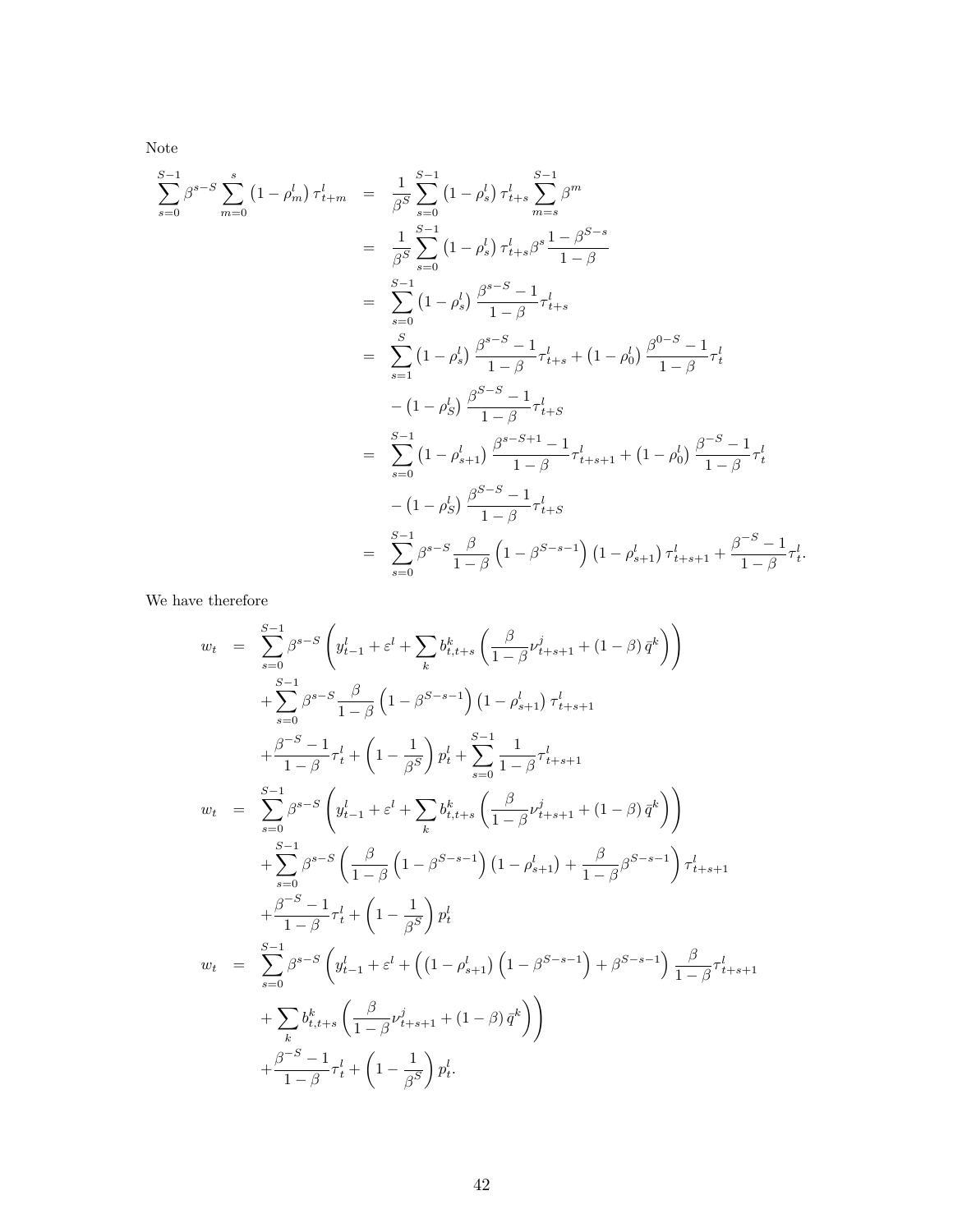Note

$$
\sum_{s=0}^{S-1} \beta^{s-S} \sum_{m=0}^{s} (1 - \rho_m^l) \tau_{t+m}^l = \frac{1}{\beta^S} \sum_{s=0}^{S-1} (1 - \rho_s^l) \tau_{t+s}^l \sum_{m=s}^{S-1} \beta^m
$$
  
\n
$$
= \frac{1}{\beta^S} \sum_{s=0}^{S-1} (1 - \rho_s^l) \tau_{t+s}^l \beta^s \frac{1 - \beta^{S-s}}{1 - \beta}
$$
  
\n
$$
= \sum_{s=0}^{S-1} (1 - \rho_s^l) \frac{\beta^{s-S} - 1}{1 - \beta} \tau_{t+s}^l
$$
  
\n
$$
= \sum_{s=1}^{S} (1 - \rho_s^l) \frac{\beta^{s-S} - 1}{1 - \beta} \tau_{t+s}^l + (1 - \rho_0^l) \frac{\beta^{0-S} - 1}{1 - \beta} \tau_t^l
$$
  
\n
$$
- (1 - \rho_S^l) \frac{\beta^{S-S} - 1}{1 - \beta} \tau_{t+s}^l
$$
  
\n
$$
= \sum_{s=0}^{S-1} (1 - \rho_{s+1}^l) \frac{\beta^{s-S+1} - 1}{1 - \beta} \tau_{t+s+1}^l + (1 - \rho_0^l) \frac{\beta^{-S} - 1}{1 - \beta} \tau_t^l
$$
  
\n
$$
- (1 - \rho_S^l) \frac{\beta^{S-S} - 1}{1 - \beta} \tau_{t+s}^l
$$
  
\n
$$
= \sum_{s=0}^{S-1} \beta^{s-S} \frac{\beta}{1 - \beta} (1 - \beta^{S-s-1}) (1 - \rho_{s+1}^l) \tau_{t+s+1}^l + \frac{\beta^{-S} - 1}{1 - \beta} \tau_t^l.
$$

We have therefore

$$
w_{t} = \sum_{s=0}^{S-1} \beta^{s-S} \left( y_{t-1}^{l} + \varepsilon^{l} + \sum_{k} b_{t,t+s}^{k} \left( \frac{\beta}{1-\beta} \nu_{t+s+1}^{j} + (1-\beta) \overline{q}^{k} \right) \right)
$$
  
+ 
$$
\sum_{s=0}^{S-1} \beta^{s-S} \frac{\beta}{1-\beta} \left( 1 - \beta^{S-s-1} \right) \left( 1 - \rho_{s+1}^{l} \right) \tau_{t+s+1}^{l}
$$
  
+ 
$$
\frac{\beta^{S-1}}{1-\beta} \tau_{t}^{l} + \left( 1 - \frac{1}{\beta^{S}} \right) p_{t}^{l} + \sum_{s=0}^{S-1} \frac{1}{1-\beta} \tau_{t+s+1}^{l}
$$
  

$$
w_{t} = \sum_{s=0}^{S-1} \beta^{s-S} \left( y_{t-1}^{l} + \varepsilon^{l} + \sum_{k} b_{t,t+s}^{k} \left( \frac{\beta}{1-\beta} \nu_{t+s+1}^{j} + (1-\beta) \overline{q}^{k} \right) \right)
$$
  
+ 
$$
\sum_{s=0}^{S-1} \beta^{s-S} \left( \frac{\beta}{1-\beta} \left( 1 - \beta^{S-s-1} \right) \left( 1 - \rho_{s+1}^{l} \right) + \frac{\beta}{1-\beta} \beta^{S-s-1} \right) \tau_{t+s+1}^{l}
$$
  
+ 
$$
\frac{\beta^{S-1}}{1-\beta} \tau_{t}^{l} + \left( 1 - \frac{1}{\beta^{S}} \right) p_{t}^{l}
$$
  

$$
w_{t} = \sum_{s=0}^{S-1} \beta^{s-S} \left( y_{t-1}^{l} + \varepsilon^{l} + \left( (1 - \rho_{s+1}^{l}) \left( 1 - \beta^{S-s-1} \right) + \beta^{S-s-1} \right) \frac{\beta}{1-\beta} \tau_{t+s+1}^{l}
$$
  
+ 
$$
\sum_{k} b_{t,t+s}^{k} \left( \frac{\beta}{1-\beta} \nu_{t+s+1}^{j} + (1-\beta) \overline{q}^{k} \right) \right)
$$
  
+ 
$$
\frac{\beta^{S-1}}{1-\beta
$$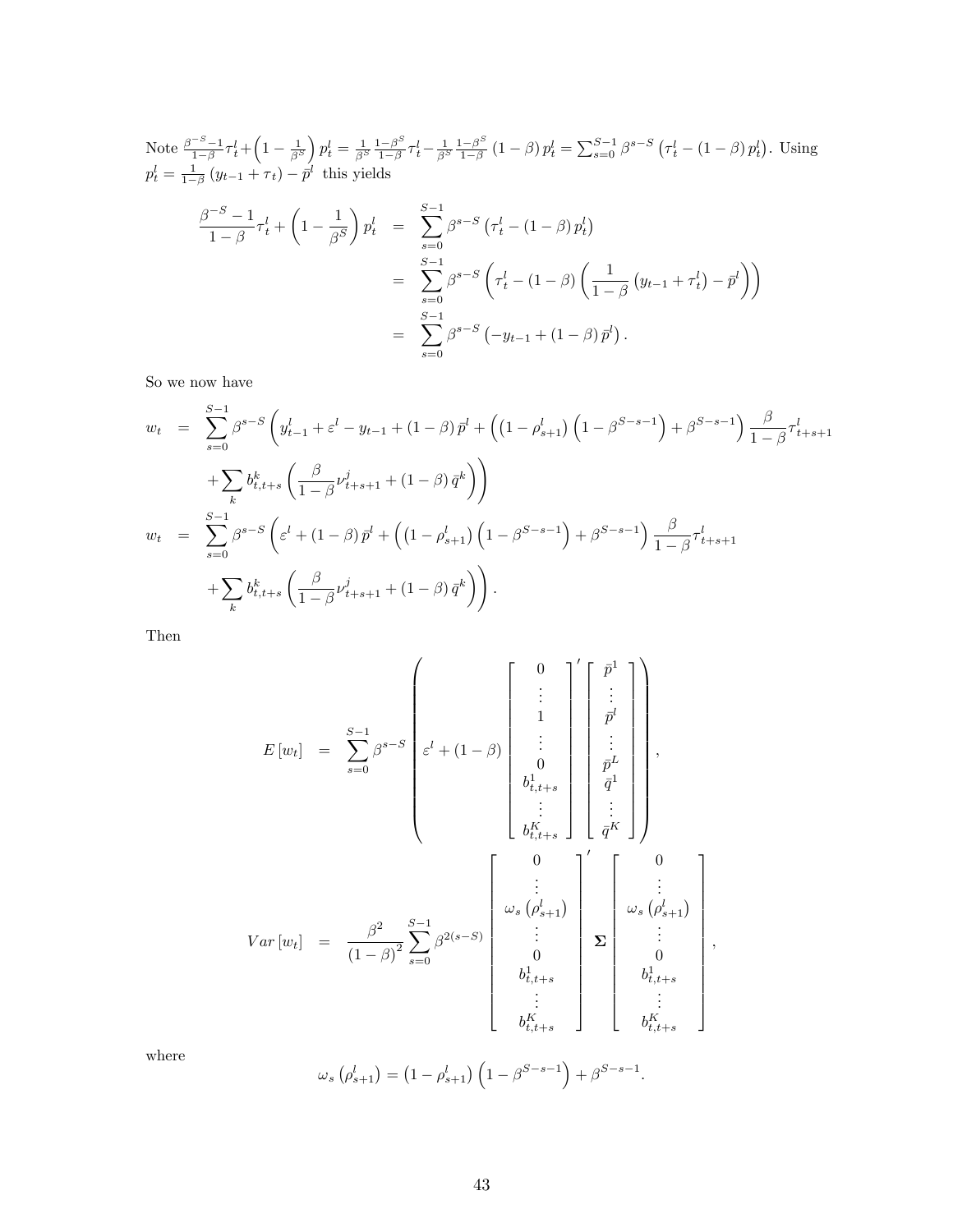Note 
$$
\frac{\beta^{-S}-1}{1-\beta}\tau_t^l + \left(1-\frac{1}{\beta^S}\right)p_t^l = \frac{1}{\beta^S}\frac{1-\beta^S}{1-\beta}\tau_t^l - \frac{1}{\beta^S}\frac{1-\beta^S}{1-\beta}\left(1-\beta\right)p_t^l = \sum_{s=0}^{S-1}\beta^{s-S}\left(\tau_t^l - (1-\beta)\,p_t^l\right).
$$
 Using 
$$
p_t^l = \frac{1}{1-\beta}\left(y_{t-1} + \tau_t\right) - \bar{p}^l \text{ this yields}
$$

$$
\frac{\beta^{-S}-1}{1-\beta}\tau_t^l + \left(1-\frac{1}{\beta^S}\right)p_t^l = \sum_{s=0}^{S-1}\beta^{s-S}\left(\tau_t^l - (1-\beta)\,p_t^l\right)
$$

$$
= \sum_{s=0}^{S-1}\beta^{s-S}\left(\tau_t^l - (1-\beta)\left(\frac{1}{1-\beta}\left(y_{t-1} + \tau_t^l\right) - \bar{p}^l\right)\right)
$$

$$
= \sum_{s=0}^{S-1}\beta^{s-S}\left(-y_{t-1} + (1-\beta)\,\bar{p}^l\right).
$$

So we now have

$$
w_{t} = \sum_{s=0}^{S-1} \beta^{s-S} \left( y_{t-1}^{l} + \varepsilon^{l} - y_{t-1} + (1-\beta) \bar{p}^{l} + \left( (1-\rho_{s+1}^{l}) \left( 1 - \beta^{S-s-1} \right) + \beta^{S-s-1} \right) \frac{\beta}{1-\beta} \tau_{t+s+1}^{l}
$$
  
+ 
$$
\sum_{k} b_{t,t+s}^{k} \left( \frac{\beta}{1-\beta} \nu_{t+s+1}^{j} + (1-\beta) \bar{q}^{k} \right) \right)
$$
  

$$
w_{t} = \sum_{s=0}^{S-1} \beta^{s-S} \left( \varepsilon^{l} + (1-\beta) \bar{p}^{l} + \left( (1-\rho_{s+1}^{l}) \left( 1 - \beta^{S-s-1} \right) + \beta^{S-s-1} \right) \frac{\beta}{1-\beta} \tau_{t+s+1}^{l}
$$
  
+ 
$$
\sum_{k} b_{t,t+s}^{k} \left( \frac{\beta}{1-\beta} \nu_{t+s+1}^{j} + (1-\beta) \bar{q}^{k} \right) \right).
$$

Then

E [wt] = S X1 s=0 sS 0 BBBBBBBBBBBBBB@ " <sup>l</sup> + (1 ) 2 6 6 6 6 6 6 6 6 6 6 6 6 6 4 0 . . . 1 . . . 0 b 1 t;t+s . . . b K t;t+s 3 7 7 7 7 7 7 7 7 7 7 7 7 7 5 <sup>0</sup> 2 6 6 6 6 6 6 6 6 6 6 6 6 6 4 p 1 . . . p l . . . p L q 1 . . . q K 3 7 7 7 7 7 7 7 7 7 7 7 7 7 5 1 CCCCCCCCCCCCCCA ; V ar [wt] =  2 (1 ) 2 S X1 s=0 2(sS) 2 6 6 6 6 6 6 6 6 6 6 6 6 6 4 0 . . . !s l s+1 . . . 0 b 1 t;t+s . . . b K t;t+s 3 7 7 7 7 7 7 7 7 7 7 7 7 7 5 0 2 6 6 6 6 6 6 6 6 6 6 6 6 6 4 0 . . . !s l s+1 . . . 0 b 1 t;t+s . . . b K t;t+s 3 7 7 7 7 7 7 7 7 ; 7 7 7 7 7 5

where

$$
\omega_s \left( \rho_{s+1}^l \right) = \left( 1 - \rho_{s+1}^l \right) \left( 1 - \beta^{S-s-1} \right) + \beta^{S-s-1}.
$$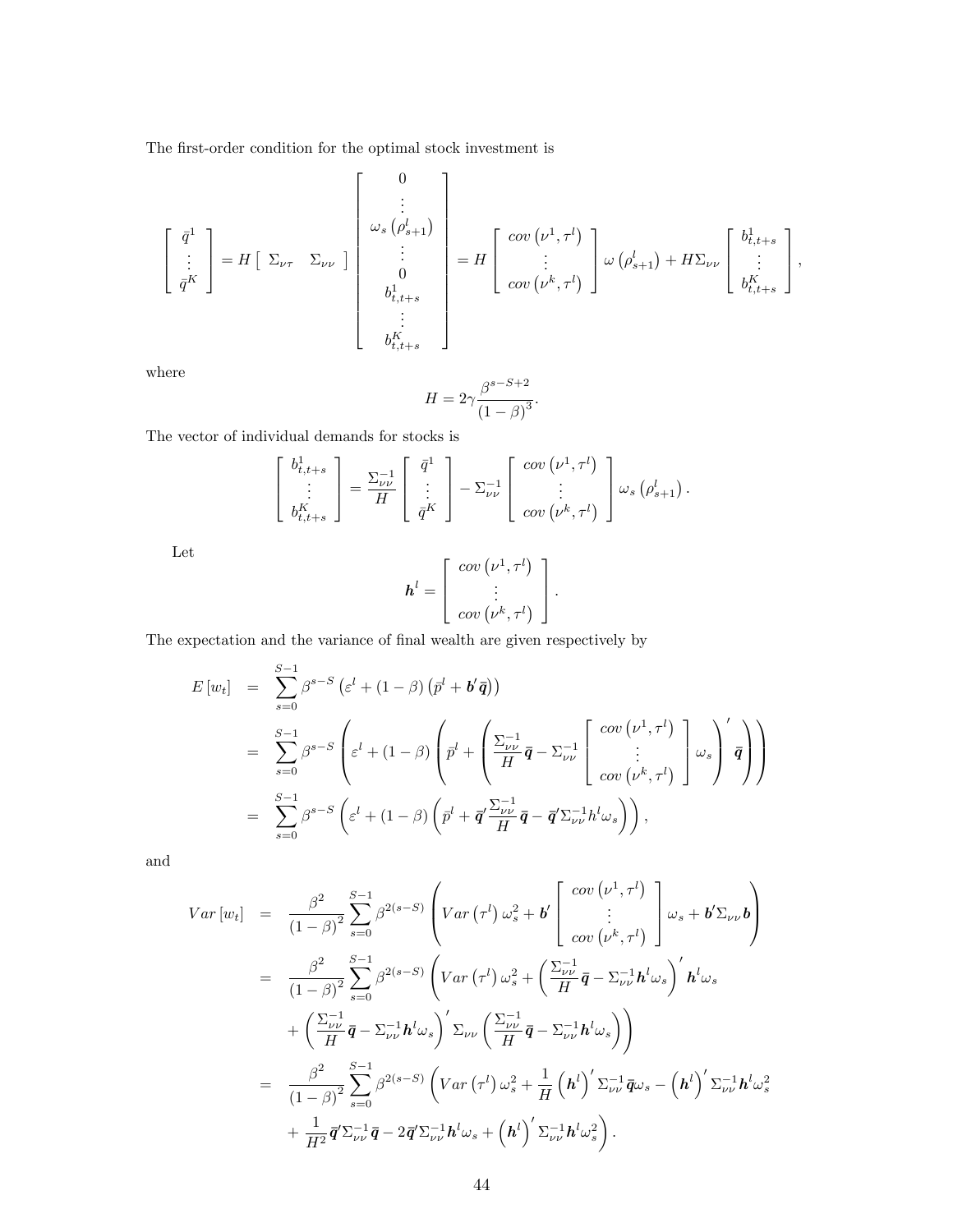The first-order condition for the optimal stock investment is  $% \mathcal{N}$ 

$$
\begin{bmatrix}\n\overline{q}^{1} \\
\vdots \\
\overline{q}^{K}\n\end{bmatrix} = H \begin{bmatrix}\n\Sigma_{\nu\tau} & \Sigma_{\nu\nu}\n\end{bmatrix}\n\begin{bmatrix}\n0 \\
\vdots \\
0 \\
b_{t,t+s}^{1} \\
\vdots \\
b_{t,t+s}^{K} \\
\vdots \\
b_{t,t+s}^{K}\n\end{bmatrix} = H \begin{bmatrix}\ncov(\nu^{1}, \tau^{l}) \\
\vdots \\
cov(\nu^{k}, \tau^{l})\n\end{bmatrix}\n\omega(\rho_{s+1}^{l}) + H \Sigma_{\nu\nu}\n\begin{bmatrix}\nb_{t,t+s}^{1} \\
\vdots \\
b_{t,t+s}^{K}\n\end{bmatrix},
$$

where

$$
H = 2\gamma \frac{\beta^{s-S+2}}{(1-\beta)^3}.
$$

The vector of individual demands for stocks is

$$
\begin{bmatrix} b_{t,t+s}^1 \\ \vdots \\ b_{t,t+s}^K \end{bmatrix} = \frac{\Sigma_{\nu\nu}^{-1}}{H} \begin{bmatrix} \bar{q}^1 \\ \vdots \\ \bar{q}^K \end{bmatrix} - \Sigma_{\nu\nu}^{-1} \begin{bmatrix} cov(\nu^1, \tau^l) \\ \vdots \\ cov(\nu^k, \tau^l) \end{bmatrix} \omega_s (\rho_{s+1}^l).
$$

Let

$$
\boldsymbol{h}^{l} = \left[ \begin{array}{c} cov(\nu^{1}, \tau^{l}) \\ \vdots \\ cov(\nu^{k}, \tau^{l}) \end{array} \right].
$$

The expectation and the variance of final wealth are given respectively by

$$
E\left[w_{t}\right] = \sum_{s=0}^{S-1} \beta^{s-S} \left(\varepsilon^{l} + (1-\beta) \left(\vec{p}^{l} + b^{\prime} \vec{q}\right)\right)
$$
  
\n
$$
= \sum_{s=0}^{S-1} \beta^{s-S} \left(\varepsilon^{l} + (1-\beta) \left(\vec{p}^{l} + \left(\frac{\Sigma_{\nu\nu}^{-1}}{H} \vec{q} - \Sigma_{\nu\nu}^{-1} \left[\begin{array}{c} cov(\nu^{1}, \tau^{l}) \\ \vdots \\ cov(\nu^{k}, \tau^{l}) \end{array}\right] \omega_{s}\right)^{\prime} \vec{q}\right)\right)
$$
  
\n
$$
= \sum_{s=0}^{S-1} \beta^{s-S} \left(\varepsilon^{l} + (1-\beta) \left(\vec{p}^{l} + \vec{q}^{\prime} \frac{\Sigma_{\nu\nu}^{-1}}{H} \vec{q} - \vec{q}^{\prime} \Sigma_{\nu\nu}^{-1} h^{l} \omega_{s}\right)\right),
$$

and

$$
Var\left[w_{t}\right] = \frac{\beta^{2}}{(1-\beta)^{2}} \sum_{s=0}^{S-1} \beta^{2(s-S)} \left( Var\left(\tau^{l}\right) \omega_{s}^{2} + b' \begin{bmatrix} cov\left(\nu^{1}, \tau^{l}\right) \\ \vdots \\ cov\left(\nu^{k}, \tau^{l}\right) \end{bmatrix} \omega_{s} + b' \Sigma_{\nu\nu} b \right)
$$
  
\n
$$
= \frac{\beta^{2}}{(1-\beta)^{2}} \sum_{s=0}^{S-1} \beta^{2(s-S)} \left( Var\left(\tau^{l}\right) \omega_{s}^{2} + \left( \frac{\Sigma_{\nu\nu}^{-1}}{H} \bar{q} - \Sigma_{\nu\nu}^{-1} h^{l} \omega_{s} \right)' h^{l} \omega_{s} \right)
$$
  
\n
$$
+ \left( \frac{\Sigma_{\nu\nu}^{-1}}{H} \bar{q} - \Sigma_{\nu\nu}^{-1} h^{l} \omega_{s} \right)' \Sigma_{\nu\nu} \left( \frac{\Sigma_{\nu\nu}^{-1}}{H} \bar{q} - \Sigma_{\nu\nu}^{-1} h^{l} \omega_{s} \right) \right)
$$
  
\n
$$
= \frac{\beta^{2}}{(1-\beta)^{2}} \sum_{s=0}^{S-1} \beta^{2(s-S)} \left( Var\left(\tau^{l}\right) \omega_{s}^{2} + \frac{1}{H} \left( h^{l} \right)' \Sigma_{\nu\nu}^{-1} \bar{q} \omega_{s} - \left( h^{l} \right)' \Sigma_{\nu\nu}^{-1} h^{l} \omega_{s}^{2} \right)
$$
  
\n
$$
+ \frac{1}{H^{2}} \bar{q}' \Sigma_{\nu\nu}^{-1} \bar{q} - 2 \bar{q}' \Sigma_{\nu\nu}^{-1} h^{l} \omega_{s} + \left( h^{l} \right)' \Sigma_{\nu\nu}^{-1} h^{l} \omega_{s}^{2} \right).
$$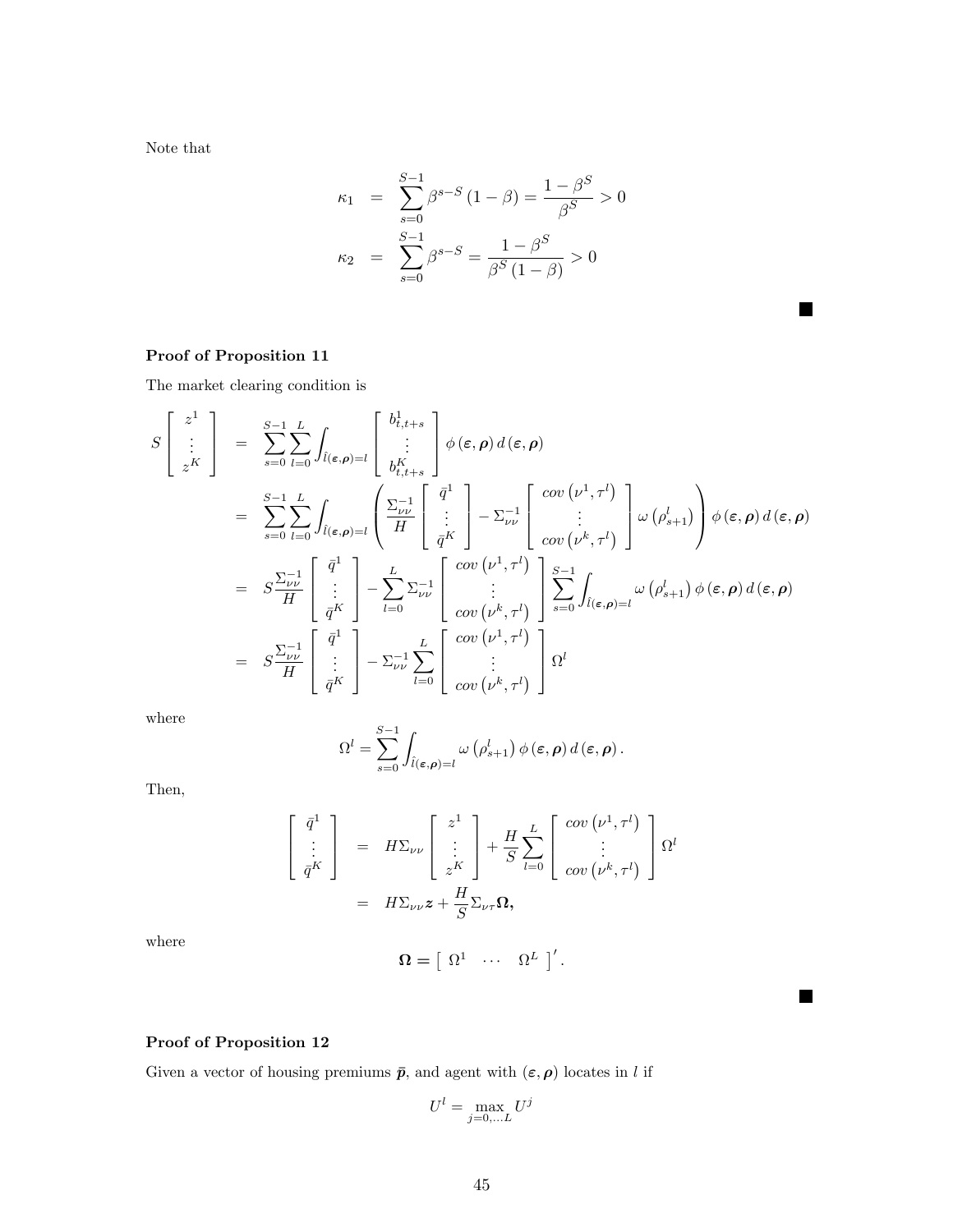Note that

$$
\kappa_1 = \sum_{s=0}^{S-1} \beta^{s-S} (1 - \beta) = \frac{1 - \beta^S}{\beta^S} > 0
$$
  

$$
\kappa_2 = \sum_{s=0}^{S-1} \beta^{s-S} = \frac{1 - \beta^S}{\beta^S (1 - \beta)} > 0
$$

 $\blacksquare$ 

 $\blacksquare$ 

# Proof of Proposition 11

The market clearing condition is

$$
S\begin{bmatrix} z^{1} \\ \vdots \\ z^{K} \end{bmatrix} = \sum_{s=0}^{S-1} \sum_{l=0}^{L} \int_{\hat{l}(\varepsilon,\rho)=l} \begin{bmatrix} b_{t,t+s}^{1} \\ \vdots \\ b_{t,t+s}^{K} \end{bmatrix} \phi(\varepsilon,\rho) d(\varepsilon,\rho)
$$
  
\n
$$
= \sum_{s=0}^{S-1} \sum_{l=0}^{L} \int_{\hat{l}(\varepsilon,\rho)=l} \left( \frac{\sum_{\nu\nu}^{-1}}{H} \begin{bmatrix} \bar{q}^{1} \\ \vdots \\ \bar{q}^{K} \end{bmatrix} - \sum_{\nu\nu}^{-1} \begin{bmatrix} cov(\nu^{1},\tau^{l}) \\ \vdots \\ cov(\nu^{k},\tau^{l}) \end{bmatrix} \right) \phi(\varepsilon,\rho) d(\varepsilon,\rho)
$$
  
\n
$$
= S \frac{\sum_{\nu\nu}^{-1}}{H} \begin{bmatrix} \bar{q}^{1} \\ \vdots \\ \bar{q}^{K} \end{bmatrix} - \sum_{l=0}^{L} \sum_{\nu\nu}^{-1} \begin{bmatrix} cov(\nu^{1},\tau^{l}) \\ \vdots \\ cov(\nu^{k},\tau^{l}) \end{bmatrix} \sum_{s=0}^{S-1} \int_{\hat{l}(\varepsilon,\rho)=l} \omega(\rho_{s+1}^{l}) \phi(\varepsilon,\rho) d(\varepsilon,\rho)
$$
  
\n
$$
= S \frac{\sum_{\nu\nu}^{-1}}{H} \begin{bmatrix} \bar{q}^{1} \\ \vdots \\ \bar{q}^{K} \end{bmatrix} - \sum_{\nu\nu}^{-1} \sum_{l=0}^{L} \begin{bmatrix} cov(\nu^{1},\tau^{l}) \\ \vdots \\ cov(\nu^{k},\tau^{l}) \end{bmatrix} \Omega^{l}
$$

where

$$
\Omega^l = \sum_{s=0}^{S-1} \int_{\hat{l}(\boldsymbol{\varepsilon}, \boldsymbol{\rho}) = l} \omega \left( \rho_{s+1}^l \right) \phi \left( \boldsymbol{\varepsilon}, \boldsymbol{\rho} \right) d \left( \boldsymbol{\varepsilon}, \boldsymbol{\rho} \right).
$$

Then,

$$
\begin{bmatrix}\n\bar{q}^{1} \\
\vdots \\
\bar{q}^{K}\n\end{bmatrix} = H\Sigma_{\nu\nu}\begin{bmatrix}\nz^{1} \\
\vdots \\
z^{K}\n\end{bmatrix} + \frac{H}{S}\sum_{l=0}^{L}\begin{bmatrix}\ncov(\nu^{1},\tau^{l}) \\
\vdots \\
cov(\nu^{k},\tau^{l})\n\end{bmatrix}\Omega^{l}
$$
\n
$$
= H\Sigma_{\nu\nu}\mathbf{z} + \frac{H}{S}\Sigma_{\nu\tau}\mathbf{\Omega},
$$

where

$$
\mathbf{\Omega} = [\Omega^1 \cdots \Omega^L]'
$$

# Proof of Proposition 12

Given a vector of housing premiums  $\bar{p}$ , and agent with  $(\varepsilon, \rho)$  locates in  $l$  if

$$
U^l = \max_{j=0,...L} U^j
$$